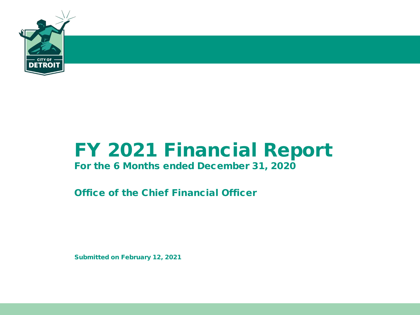

# FY 2021 Financial Report

## For the 6 Months ended December 31, 2020

Office of the Chief Financial Officer

Submitted on February 12, 2021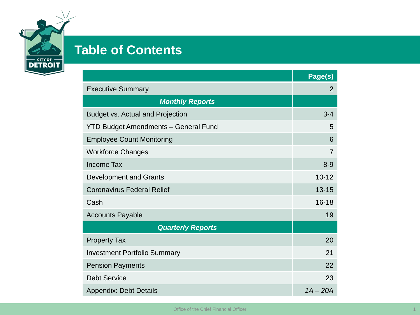

# **Table of Contents**

|                                             | Page(s)        |
|---------------------------------------------|----------------|
| <b>Executive Summary</b>                    | $\overline{2}$ |
| <b>Monthly Reports</b>                      |                |
| <b>Budget vs. Actual and Projection</b>     | $3 - 4$        |
| <b>YTD Budget Amendments - General Fund</b> | 5              |
| <b>Employee Count Monitoring</b>            | 6              |
| <b>Workforce Changes</b>                    | 7              |
| <b>Income Tax</b>                           | $8 - 9$        |
| <b>Development and Grants</b>               | $10 - 12$      |
| <b>Coronavirus Federal Relief</b>           | $13 - 15$      |
| Cash                                        | $16 - 18$      |
| <b>Accounts Payable</b>                     | 19             |
| <b>Quarterly Reports</b>                    |                |
| <b>Property Tax</b>                         | 20             |
| <b>Investment Portfolio Summary</b>         | 21             |
| <b>Pension Payments</b>                     | 22             |
| <b>Debt Service</b>                         | 23             |
| <b>Appendix: Debt Details</b>               | $1A - 20A$     |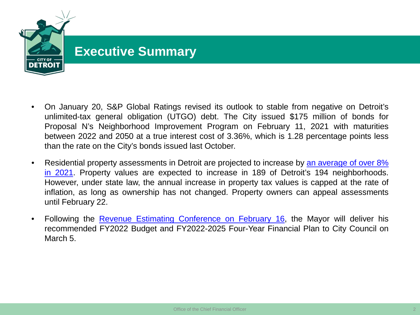

- On January 20, S&P Global Ratings revised its outlook to stable from negative on Detroit's unlimited-tax general obligation (UTGO) debt. The City issued \$175 million of bonds for Proposal N's Neighborhood Improvement Program on February 11, 2021 with maturities between 2022 and 2050 at a true interest cost of 3.36%, which is 1.28 percentage points less than the rate on the City's bonds issued last October.
- Residential property assessments in Detroit are projected to increase by an average of over 8% in 2021. Property values are expected to increase in 189 of Detroit's 194 [neighborhoods.](https://detroitmi.gov/news/detroit-residential-assessments-increase-8-2021-property-taxes-go-only-2-4th-straight-year-rising) However, under state law, the annual increase in property tax values is capped at the rate of inflation, as long as ownership has not changed. Property owners can appeal assessments until February 22.
- Following the Revenue Estimating [Conference](https://detroitmi.gov/events/virtual-detroit-revenue-estimating-conference-february-16-2021) on February 16, the Mayor will deliver his recommended FY2022 Budget and FY2022-2025 Four-Year Financial Plan to City Council on March 5.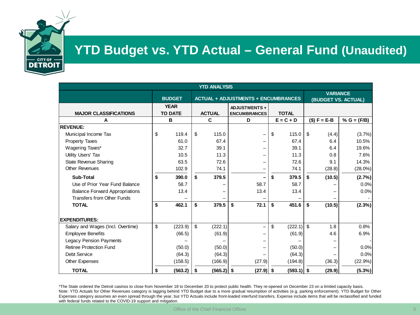

## **YTD Budget vs. YTD Actual – General Fund (Unaudited)**

| <b>YTD ANALYSIS</b>                   |                               |  |                         |                                            |               |                                        |               |
|---------------------------------------|-------------------------------|--|-------------------------|--------------------------------------------|---------------|----------------------------------------|---------------|
|                                       | <b>BUDGET</b>                 |  |                         | <b>ACTUAL + ADJUSTMENTS + ENCUMBRANCES</b> |               | <b>VARIANCE</b><br>(BUDGET VS. ACTUAL) |               |
| <b>MAJOR CLASSIFICATIONS</b>          | <b>YEAR</b><br><b>TO DATE</b> |  | <b>ACTUAL</b>           | <b>ADJUSTMENTS+</b><br><b>ENCUMBRANCES</b> | <b>TOTAL</b>  |                                        |               |
| А                                     | B                             |  | C                       | D                                          | $E = C + D$   | $($) F = E-B$                          | % $G = (F/B)$ |
| <b>REVENUE:</b>                       |                               |  |                         |                                            |               |                                        |               |
| Municipal Income Tax                  | \$<br>119.4                   |  | 115.0<br>\$             |                                            | \$<br>115.0   | \$<br>(4.4)                            | (3.7%)        |
| <b>Property Taxes</b>                 | 61.0                          |  | 67.4                    |                                            | 67.4          | 6.4                                    | 10.5%         |
| Wagering Taxes*                       | 32.7                          |  | 39.1                    |                                            | 39.1          | 6.4                                    | 19.6%         |
| Utility Users' Tax                    | 10.5                          |  | 11.3                    |                                            | 11.3          | 0.8                                    | 7.6%          |
| State Revenue Sharing                 | 63.5                          |  | 72.6                    |                                            | 72.6          | 9.1                                    | 14.3%         |
| <b>Other Revenues</b>                 | 102.9                         |  | 74.1                    |                                            | 74.1          | (28.8)                                 | $(28.0\%)$    |
| <b>Sub-Total</b>                      | \$<br>390.0                   |  | 379.5<br>\$             |                                            | 379.5<br>\$   | \$<br>(10.5)                           | (2.7%)        |
| Use of Prior Year Fund Balance        | 58.7                          |  |                         | 58.7                                       | 58.7          |                                        | 0.0%          |
| <b>Balance Forward Appropriations</b> | 13.4                          |  |                         | 13.4                                       | 13.4          |                                        | 0.0%          |
| <b>Transfers from Other Funds</b>     |                               |  |                         |                                            |               |                                        |               |
| <b>TOTAL</b>                          | 462.1<br>\$                   |  | 379.5<br>\$             | \$<br>72.1                                 | \$<br>451.6   | \$<br>(10.5)                           | (2.3%)        |
| <b>EXPENDITURES:</b>                  |                               |  |                         |                                            |               |                                        |               |
| Salary and Wages (Incl. Overtime)     | \$<br>(223.9)                 |  | $\mathbf{s}$<br>(222.1) |                                            | \$<br>(222.1) | $\mathfrak{L}$<br>1.8                  | 0.8%          |
| <b>Employee Benefits</b>              | (66.5)                        |  | (61.9)                  |                                            | (61.9)        | 4.6                                    | 6.9%          |
| <b>Legacy Pension Payments</b>        |                               |  |                         |                                            |               |                                        |               |
| <b>Retiree Protection Fund</b>        | (50.0)                        |  | (50.0)                  |                                            | (50.0)        |                                        | 0.0%          |
| Debt Service                          | (64.3)                        |  | (64.3)                  |                                            | (64.3)        |                                        | 0.0%          |
| <b>Other Expenses</b>                 | (158.5)                       |  | (166.9)                 | (27.9)                                     | (194.8)       | (36.3)                                 | (22.9%)       |
| <b>TOTAL</b>                          | (563.2)<br>S                  |  | $(565.2)$ \$<br>- \$    | $(27.9)$ \$                                | $(593.1)$ \$  | (29.9)                                 | (5.3%)        |

\*The State ordered the Detroit casinos to close from November 18 to December 20 to protect public health. They re-opened on December 23 on a limited capacity basis. Note: YTD Actuals for Other Revenues category is lagging behind YTD Budget due to a more gradual resumption of activities (e.g, parking enforcement). YTD Budget for Other Expenses category assumes an even spread through the year, but YTD Actuals include front-loaded interfund transfers. Expense include items that will be reclassified and funded with federal funds related to the COVID-19 support and mitigation.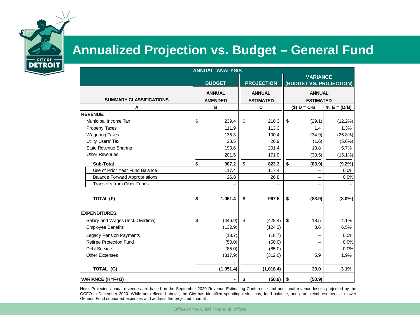

## **Annualized Projection vs. Budget – General Fund**

| <b>ANNUAL ANALYSIS</b>                |    |                                 |                |                                   |      |                                            |               |
|---------------------------------------|----|---------------------------------|----------------|-----------------------------------|------|--------------------------------------------|---------------|
|                                       |    | <b>BUDGET</b>                   |                | <b>PROJECTION</b>                 |      | <b>VARIANCE</b><br>(BUDGET VS. PROJECTION) |               |
| <b>SUMMARY CLASSIFICATIONS</b>        |    | <b>ANNUAL</b><br><b>AMENDED</b> |                | <b>ANNUAL</b><br><b>ESTIMATED</b> |      | <b>ANNUAL</b><br><b>ESTIMATED</b>          |               |
| Α                                     |    | B                               |                | C                                 |      | $($) D = C - B$                            | % $E = (D/B)$ |
| <b>REVENUE:</b>                       |    |                                 |                |                                   |      |                                            |               |
| Municipal Income Tax                  | \$ | 239.4                           | $\mathfrak{s}$ | 210.3                             | \$   | (29.1)                                     | $(12.2\%)$    |
| <b>Property Taxes</b>                 |    | 111.9                           |                | 113.3                             |      | 1.4                                        | 1.3%          |
| <b>Wagering Taxes</b>                 |    | 135.3                           |                | 100.4                             |      | (34.9)                                     | $(25.8\%)$    |
| Utility Users' Tax                    |    | 28.5                            |                | 26.9                              |      | (1.6)                                      | (5.6%)        |
| <b>State Revenue Sharing</b>          |    | 190.6                           |                | 201.4                             |      | 10.8                                       | 5.7%          |
| <b>Other Revenues</b>                 |    | 201.5                           |                | 171.0                             |      | (30.5)                                     | $(15.1\%)$    |
| <b>Sub-Total</b>                      | \$ | 907.2                           | \$             | 823.3                             | \$   | (83.9)                                     | $(9.2\%)$     |
| Use of Prior Year Fund Balance        |    | 117.4                           |                | 117.4                             |      |                                            | 0.0%          |
| <b>Balance Forward Appropriations</b> |    | 26.8                            |                | 26.8                              |      |                                            | 0.0%          |
| <b>Transfers from Other Funds</b>     |    |                                 |                |                                   |      |                                            |               |
| TOTAL (F)                             | \$ | 1,051.4                         | \$             | 967.5                             | \$   | (83.9)                                     | $(8.0\%)$     |
| <b>EXPENDITURES:</b>                  |    |                                 |                |                                   |      |                                            |               |
| Salary and Wages (Incl. Overtime)     | \$ | (446.9)                         | l \$           | (428.4)                           | l \$ | 18.5                                       | 4.1%          |
| <b>Employee Benefits</b>              |    | (132.9)                         |                | (124.3)                           |      | 8.6                                        | 6.5%          |
| <b>Legacy Pension Payments</b>        |    | (18.7)                          |                | (18.7)                            |      |                                            | 0.0%          |
| Retiree Protection Fund               |    | (50.0)                          |                | (50.0)                            |      |                                            | 0.0%          |
| Debt Service                          |    | (85.0)                          |                | (85.0)                            |      |                                            | 0.0%          |
| <b>Other Expenses</b>                 |    | (317.9)                         |                | (312.0)                           |      | 5.9                                        | 1.9%          |
|                                       |    |                                 |                |                                   |      |                                            |               |
| TOTAL (G)                             |    | (1,051.4)                       |                | (1,018.4)                         |      | 33.0                                       | 3.1%          |
| <b>VARIANCE (H=F+G)</b>               |    |                                 | \$             | (50.9)                            | \$   | (50.9)                                     |               |

Note: Projected annual revenues are based on the September 2020 Revenue Estimating Conference and additional revenue losses projected by the OCFO in December 2020. While not reflected above, the City has identified spending reductions, fund balance, and grant reimbursements to lower General Fund supported expenses and address the projected shortfall.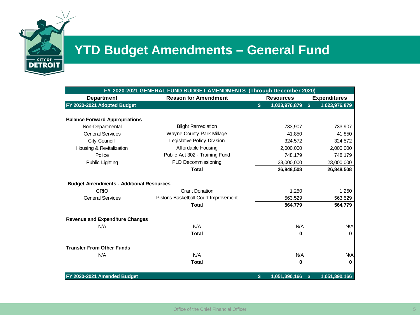

# **YTD Budget Amendments – General Fund**

|                                                 | FY 2020-2021 GENERAL FUND BUDGET AMENDMENTS (Through December 2020) |                     |    |                     |
|-------------------------------------------------|---------------------------------------------------------------------|---------------------|----|---------------------|
| <b>Department</b>                               | <b>Reason for Amendment</b>                                         | <b>Resources</b>    |    | <b>Expenditures</b> |
| FY 2020-2021 Adopted Budget                     |                                                                     | \$<br>1,023,976,879 | s. | 1,023,976,879       |
|                                                 |                                                                     |                     |    |                     |
| <b>Balance Forward Appropriations</b>           |                                                                     |                     |    |                     |
| Non-Departmental                                | <b>Blight Remediation</b>                                           | 733,907             |    | 733,907             |
| <b>General Services</b>                         | Wayne County Park Millage                                           | 41,850              |    | 41,850              |
| City Council                                    | Legislative Policy Division                                         | 324,572             |    | 324,572             |
| Housing & Revitalization                        | Affordable Housing                                                  | 2,000,000           |    | 2,000,000           |
| Police                                          | Public Act 302 - Training Fund                                      | 748,179             |    | 748,179             |
| Public Lighting                                 | PLD Decommissioning                                                 | 23,000,000          |    | 23,000,000          |
|                                                 | <b>Total</b>                                                        | 26,848,508          |    | 26,848,508          |
|                                                 |                                                                     |                     |    |                     |
| <b>Budget Amendments - Additional Resources</b> |                                                                     |                     |    |                     |
| CRIO                                            | <b>Grant Donation</b>                                               | 1,250               |    | 1,250               |
| <b>General Services</b>                         | Pistons Basketball Court Improvement                                | 563,529             |    | 563,529             |
|                                                 | <b>Total</b>                                                        | 564,779             |    | 564,779             |
| <b>Revenue and Expenditure Changes</b>          |                                                                     |                     |    |                     |
| N/A                                             | <b>N/A</b>                                                          | N/A                 |    | N/A                 |
|                                                 | <b>Total</b>                                                        | 0                   |    | $\mathbf{0}$        |
| <b>Transfer From Other Funds</b>                |                                                                     |                     |    |                     |
| <b>N/A</b>                                      | N/A                                                                 | N/A                 |    | <b>N/A</b>          |
|                                                 | <b>Total</b>                                                        | 0                   |    | 0                   |
| FY 2020-2021 Amended Budget                     |                                                                     | \$<br>1,051,390,166 | S  | 1,051,390,166       |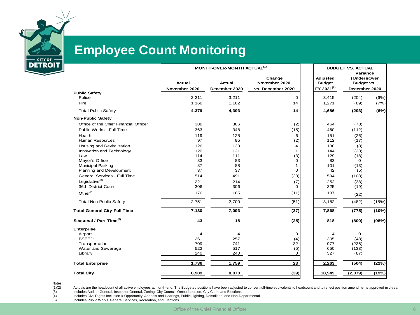

## **Employee Count Monitoring**

|                         |                                              |                                              | <b>BUDGET VS. ACTUAL</b>                                                                  |                                                    |                                                                    |
|-------------------------|----------------------------------------------|----------------------------------------------|-------------------------------------------------------------------------------------------|----------------------------------------------------|--------------------------------------------------------------------|
| Actual<br>November 2020 | Actual<br>December 2020                      | Change<br>November 2020<br>vs. December 2020 | <b>Adjusted</b><br><b>Budget</b><br>FY 2021 <sup>(2)</sup>                                | (Under)/Over<br><b>Budget vs.</b><br>December 2020 |                                                                    |
|                         |                                              |                                              |                                                                                           |                                                    | (6%)                                                               |
| 1,168                   | 1,182                                        | 14                                           | 1,271                                                                                     | (89)                                               | (7%)                                                               |
| 4,379                   | 4,393                                        | 14                                           | 4,686                                                                                     | (293)                                              | (6%)                                                               |
|                         |                                              |                                              |                                                                                           |                                                    |                                                                    |
| 388                     | 386                                          |                                              | 464                                                                                       | (78)                                               |                                                                    |
| 363                     |                                              |                                              | 460                                                                                       |                                                    |                                                                    |
| 119                     | 125                                          | 6                                            | 151                                                                                       |                                                    |                                                                    |
| 97                      | 95                                           |                                              | 112                                                                                       | (17)                                               |                                                                    |
| 126                     | 130                                          | 4                                            | 138                                                                                       | (8)                                                |                                                                    |
| 120                     | 121                                          | 1                                            | 144                                                                                       | (23)                                               |                                                                    |
| 114                     | 111                                          | (3)                                          | 129                                                                                       | (18)                                               |                                                                    |
|                         |                                              | 0                                            | 83                                                                                        | 0                                                  |                                                                    |
|                         |                                              | 1                                            |                                                                                           |                                                    |                                                                    |
|                         |                                              |                                              |                                                                                           |                                                    |                                                                    |
|                         | 491                                          | (23)                                         |                                                                                           | (103)                                              |                                                                    |
| 221                     | 214                                          | (7)                                          | 252                                                                                       | (38)                                               |                                                                    |
| 306                     | 306                                          | $\Omega$                                     | 325                                                                                       | (19)                                               |                                                                    |
| 176                     | 165                                          | (11)                                         | 187                                                                                       | (22)                                               |                                                                    |
| 2,751                   | 2,700                                        | (51)                                         | 3,182                                                                                     | (482)                                              | (15%)                                                              |
| 7,130                   | 7,093                                        | (37)                                         | 7,868                                                                                     | (775)                                              | (10%)                                                              |
| 43                      | 18                                           | (25)                                         | 818                                                                                       | (800)                                              | (98%)                                                              |
|                         |                                              |                                              |                                                                                           |                                                    |                                                                    |
| 4                       | 4                                            | 0                                            | 4                                                                                         | 0                                                  |                                                                    |
| 261                     | 257                                          | (4)                                          | 305                                                                                       | (48)                                               |                                                                    |
| 709                     | 741                                          | 32                                           | 977                                                                                       | (236)                                              |                                                                    |
|                         |                                              |                                              |                                                                                           |                                                    |                                                                    |
|                         |                                              |                                              |                                                                                           |                                                    |                                                                    |
| 1,736                   | 1,759                                        | 23                                           | 2,263                                                                                     | (504)                                              | (22%)                                                              |
| 8,909                   | 8,870                                        | (39)                                         | 10,949                                                                                    | (2,079)                                            | (19%)                                                              |
|                         | 3,211<br>83<br>87<br>37<br>514<br>522<br>240 | 3,211<br>348<br>83<br>88<br>37<br>517<br>240 | MONTH-OVER-MONTH ACTUAL <sup>(1)</sup><br>0<br>(2)<br>(15)<br>(2)<br>$\Omega$<br>(5)<br>0 | 3,415<br>101<br>42<br>594<br>650<br>327            | Variance<br>(204)<br>(112)<br>(26)<br>(13)<br>(5)<br>(133)<br>(87) |

Notes:<br>(1)(2)<br>(3)<br>(4)<br>(5)

Actuals are the headcount of all active employees at month-end. The Budgeted positions have been adjusted to convert full-time equivalents to headcount and to reflect position amendments approved mid-year. Includes Auditor General, Inspector General, Zoning, City Council, Ombudsperson, City Clerk, and Elections.

Includes Civil Rights Inclusion & Opportunity, Appeals and Hearings, Public Lighting, Demolition, and Non-Departmental.

Includes Public Works, General Services, Recreation, and Elections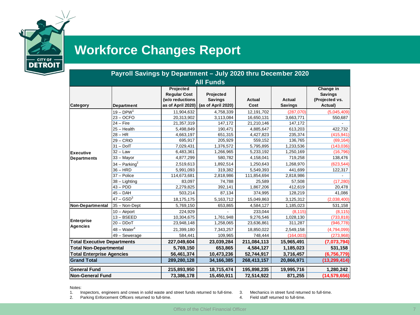

# **Workforce Changes Report**

|                                    | Payroll Savings by Department - July 2020 thru December 2020 |                                                                          |                                                   |                       |                                 |                                                          |
|------------------------------------|--------------------------------------------------------------|--------------------------------------------------------------------------|---------------------------------------------------|-----------------------|---------------------------------|----------------------------------------------------------|
|                                    |                                                              |                                                                          | <b>All Funds</b>                                  |                       |                                 |                                                          |
| Category                           | Department                                                   | Projected<br><b>Regular Cost</b><br>(w/o reductions<br>as of April 2020) | Projected<br><b>Savings</b><br>(as of April 2020) | <b>Actual</b><br>Cost | <b>Actual</b><br><b>Savings</b> | Change in<br><b>Savings</b><br>(Projected vs.<br>Actual) |
|                                    | $19 - DPW1$                                                  | 11,904,632                                                               | 4,758,339                                         | 12,191,702            | (287,070)                       | (5,045,409)                                              |
|                                    | $23 - OCFO$                                                  | 20,313,902                                                               | 3,113,084                                         | 16,650,131            | 3,663,771                       | 550,687                                                  |
|                                    | $24$ – Fire                                                  | 21,357,319                                                               | 147,172                                           | 21,210,146            | 147,172                         |                                                          |
|                                    | $25 - Health$                                                | 5,498,849                                                                | 190,471                                           | 4,885,647             | 613,203                         | 422,732                                                  |
|                                    | $28 - HR$                                                    | 4,663,197                                                                | 651,315                                           | 4,427,823             | 235,374                         | (415, 941)                                               |
|                                    | $29 - CRIO$                                                  | 695,917                                                                  | 205,929                                           | 559,152               | 136,765                         | (69, 164)                                                |
|                                    | $31 - DoIT$                                                  | 7,029,431                                                                | 1,376,572                                         | 5,795,895             | 1,233,536                       | (143, 036)                                               |
| <b>Executive</b>                   | $32 - Law$                                                   | 6,483,361                                                                | 1,266,965                                         | 5,233,192             | 1,250,169                       | (16, 796)                                                |
| <b>Departments</b>                 | 33 - Mayor                                                   | 4,877,299                                                                | 580,782                                           | 4,158,041             | 719,258                         | 138,476                                                  |
|                                    | $34 -$ Parking <sup>2</sup>                                  | 2,519,613                                                                | 1,892,514                                         | 1,250,643             | 1,268,970                       | (623, 544)                                               |
|                                    | $36 - HRD$                                                   | 5,991,093                                                                | 319,382                                           | 5,549,393             | 441,699                         | 122,317                                                  |
|                                    | $37 -$ Police                                                | 114,673,681                                                              | 2,818,986                                         | 111,854,694           | 2,818,986                       |                                                          |
|                                    | 38 - Lighting                                                | 83,097                                                                   | 74,788                                            | 25,589                | 57,508                          | (17, 280)                                                |
|                                    | $43 - PDD$                                                   | 2,279,825                                                                | 392,141                                           | 1,867,206             | 412,619                         | 20,478                                                   |
|                                    | $45 - DAH$                                                   | 503,214                                                                  | 87,134                                            | 374,995               | 128,219                         | 41,086                                                   |
|                                    | $47 - GSD3$                                                  | 18,175,175                                                               | 5,163,712                                         | 15,049,863            | 3,125,312                       | (2,038,400)                                              |
| Non-Departmental                   | 35 - Non-Dept                                                | 5,769,150                                                                | 653,865                                           | 4,584,127             | 1,185,023                       | 531,158                                                  |
|                                    | $10 -$ Airport                                               | 224,929                                                                  |                                                   | 233,044               | (8, 115)                        | (8, 115)                                                 |
|                                    | $13 - BSEED$                                                 | 10,304,675                                                               | 1,761,948                                         | 9,276,546             | 1,028,130                       | (733, 818)                                               |
| <b>Enterprise</b>                  | $20 - DDoT$                                                  | 23,948,148                                                               | 1,258,065                                         | 23,636,861            | 311,287                         | (946, 778)                                               |
| <b>Agencies</b>                    | $48 - Water4$                                                | 21,399,180                                                               | 7,343,257                                         | 18,850,022            | 2,549,158                       | (4,794,099)                                              |
|                                    | 49 - Sewerage                                                | 584,441                                                                  | 109,965                                           | 748,444               | (164,003)                       | (273,968)                                                |
| <b>Total Executive Departments</b> |                                                              | 227,049,604                                                              | 23,039,284                                        | 211,084,113           | 15,965,491                      | (7,073,794)                                              |
| <b>Total Non-Departmental</b>      |                                                              | 5,769,150                                                                | 653,865                                           | 4,584,127             | 1,185,023                       | 531,158                                                  |
| <b>Total Enterprise Agencies</b>   |                                                              | 56,461,374                                                               | 10,473,236                                        | 52,744,917            | 3,716,457                       | (6,756,779)                                              |
| <b>Grand Total</b>                 |                                                              | 289,280,128                                                              | 34, 166, 385                                      | 268,413,157           | 20,866,971                      | (13, 299, 414)                                           |
| <b>General Fund</b>                |                                                              | 215,893,950                                                              | 18,715,474                                        | 195,898,235           | 19,995,716                      | 1,280,242                                                |
| <b>Non-General Fund</b>            |                                                              | 73,386,178                                                               | 15,450,911                                        | 72,514,922            | 871,255                         | (14, 579, 656)                                           |

Notes:

1. Inspectors, engineers and crews in solid waste and street funds returned to full-time.

2. Parking Enforcement Officers returned to full-time.

- 3. Mechanics in street fund returned to full-time.
- 4. Field staff returned to full-time.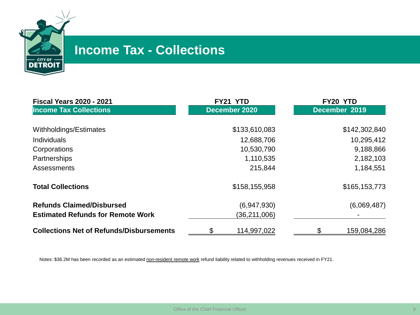

## **Income Tax - Collections**

| <b>Fiscal Years 2020 - 2021</b>                 | FY21 YTD      | FY20 YTD          |
|-------------------------------------------------|---------------|-------------------|
| <b>Income Tax Collections</b>                   | December 2020 | December 2019     |
| Withholdings/Estimates                          | \$133,610,083 | \$142,302,840     |
| <b>Individuals</b>                              | 12,688,706    | 10,295,412        |
| Corporations                                    | 10,530,790    | 9,188,866         |
| Partnerships                                    | 1,110,535     | 2,182,103         |
| Assessments                                     | 215,844       | 1,184,551         |
| <b>Total Collections</b>                        | \$158,155,958 | \$165,153,773     |
| <b>Refunds Claimed/Disbursed</b>                | (6,947,930)   | (6,069,487)       |
| <b>Estimated Refunds for Remote Work</b>        | (36,211,006)  |                   |
| <b>Collections Net of Refunds/Disbursements</b> | 114,997,022   | \$<br>159,084,286 |

Notes: \$36.2M has been recorded as an estimated non-resident remote work refund liability related to withholding revenues received in FY21.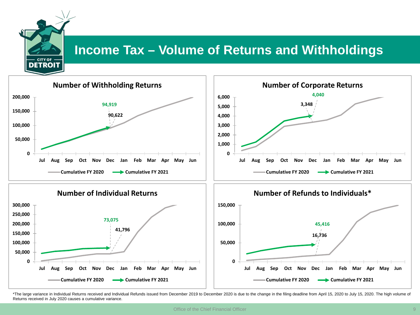

## **Income Tax – Volume of Returns and Withholdings**



\*The large variance in Individual Returns received and Individual Refunds issued from December 2019 to December 2020 is due to the change in the filing deadline from April 15, 2020 to July 15, 2020. The high volume of Returns received in July 2020 causes a cumulative variance.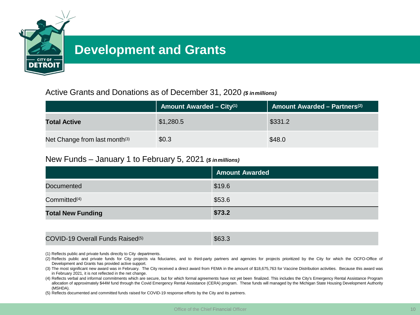

## **Development and Grants**

## Active Grants and Donations as of December 31, 2020 *(\$ inmillions)*

|                                           | <b>Amount Awarded – City</b> <sup>(1)</sup> | <b>Amount Awarded - Partners</b> <sup>(2)</sup> |
|-------------------------------------------|---------------------------------------------|-------------------------------------------------|
| <b>Total Active</b>                       | \$1,280.5                                   | \$331.2                                         |
| Net Change from last month <sup>(3)</sup> | \$0.3                                       | \$48.0                                          |

### New Funds – January 1 to February 5, 2021 **(***\$ inmillions)*

|                          | <b>Amount Awarded</b> |
|--------------------------|-----------------------|
| <b>Documented</b>        | \$19.6                |
| Committed <sup>(4)</sup> | \$53.6                |
| <b>Total New Funding</b> | \$73.2                |

### COVID-19 Overall Funds Raised<sup>(5)</sup> \$63.3

- (1) Reflects public and private funds directly to City departments.
- (2) Reflects public and private funds for City projects via fiduciaries, and to third-party partners and agencies for projects prioritized by the City for which the OCFO-Office of Development and Grants has provided active support.
- (3) The most significant new award was in February. The City received a direct award from FEMA in the amount of \$18,675,763 for Vaccine Distribution activities. Because this award was in February 2021, it is not reflected in the net change.
- (4) Reflects verbal and informal commitments which are secure, but for which formal agreements have not yet been finalized. This includes the City's Emergency Rental Assistance Program allocation of approximately \$44M fund through the Covid Emergency Rental Assistance (CERA) program. These funds will managed by the Michigan State Housing Development Authority (MSHDA).
- (5) Reflects documented and committed funds raised for COVID-19 response efforts by the City and its partners.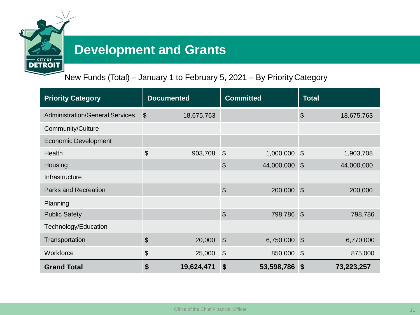

## **Development and Grants**

New Funds (Total) – January 1 to February 5, 2021 – By Priority Category

| <b>Priority Category</b>               | <b>Documented</b>       | <b>Committed</b>                          | <b>Total</b>                        |
|----------------------------------------|-------------------------|-------------------------------------------|-------------------------------------|
| <b>Administration/General Services</b> | \$<br>18,675,763        |                                           | $\boldsymbol{\theta}$<br>18,675,763 |
| Community/Culture                      |                         |                                           |                                     |
| <b>Economic Development</b>            |                         |                                           |                                     |
| Health                                 | \$<br>903,708           | $\boldsymbol{\mathsf{S}}$<br>1,000,000 \$ | 1,903,708                           |
| Housing                                |                         | \$<br>44,000,000                          | 44,000,000<br>$\sqrt{3}$            |
| Infrastructure                         |                         |                                           |                                     |
| <b>Parks and Recreation</b>            |                         | \$<br>200,000                             | $\sqrt{3}$<br>200,000               |
| Planning                               |                         |                                           |                                     |
| <b>Public Safety</b>                   |                         | $\boldsymbol{\mathsf{S}}$<br>798,786 \$   | 798,786                             |
| Technology/Education                   |                         |                                           |                                     |
| Transportation                         | $\frac{1}{2}$<br>20,000 | $\boldsymbol{\mathsf{S}}$<br>6,750,000    | 6,770,000<br>$\mathbf{\hat{S}}$     |
| Workforce                              | \$<br>25,000            | $\boldsymbol{\theta}$<br>850,000 \$       | 875,000                             |
| <b>Grand Total</b>                     | \$<br>19,624,471        | $\boldsymbol{\mathsf{s}}$<br>53,598,786   | 73,223,257<br>$\sqrt{3}$            |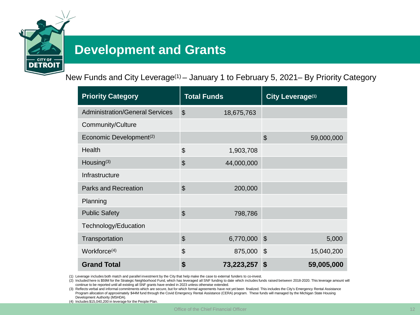

## **Development and Grants**

New Funds and City Leverage(1) – January 1 to February 5, 2021– By Priority Category

| <b>Priority Category</b>               | <b>Total Funds</b>           | City Leverage(1)                        |
|----------------------------------------|------------------------------|-----------------------------------------|
| <b>Administration/General Services</b> | $\mathfrak{S}$<br>18,675,763 |                                         |
| Community/Culture                      |                              |                                         |
| Economic Development <sup>(2)</sup>    |                              | $\boldsymbol{\mathsf{S}}$<br>59,000,000 |
| Health                                 | \$<br>1,903,708              |                                         |
| Housing <sup>(3)</sup>                 | $\mathfrak{S}$<br>44,000,000 |                                         |
| Infrastructure                         |                              |                                         |
| <b>Parks and Recreation</b>            | $\mathfrak{S}$<br>200,000    |                                         |
| Planning                               |                              |                                         |
| <b>Public Safety</b>                   | $\mathfrak{S}$<br>798,786    |                                         |
| Technology/Education                   |                              |                                         |
| Transportation                         | $\mathfrak{S}$<br>6,770,000  | $\mathcal{S}$<br>5,000                  |
| Workforce <sup>(4)</sup>               | \$<br>875,000                | $\mathfrak{F}$<br>15,040,200            |
| <b>Grand Total</b>                     | \$<br>73,223,257             | $\boldsymbol{\mathsf{s}}$<br>59,005,000 |

(1) Leverage includes both match and parallel investment by the City that help make the case to external funders to co-invest.

(2) Included here is \$59M for the Strategic Neighborhood Fund, which has leveraged all SNF funding to date which includes funds raised between 2018-2020. This leverage amount will continue to be reported until all existing all SNF grants have ended in 2023 unless otherwise extended.

(3) Reflects verbal and informal commitments which are secure, but for which formal agreements have not yet been finalized. This includes the City's Emergency Rental Assistance Program allocation of approximately \$44M fund through the Covid Emergency Rental Assistance (CERA) program. These funds will managed by the Michigan State Housing Development Authority (MSHDA).

(4) Includes \$15,040,200 in leverage for the People Plan.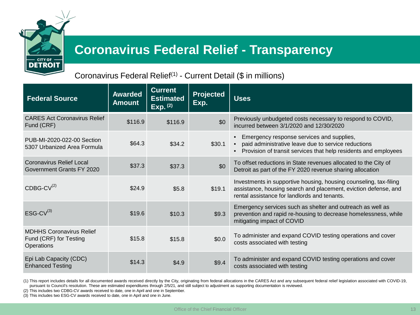

## **Coronavirus Federal Relief - Transparency**

## Coronavirus Federal Relief(1) - Current Detail (\$ in millions)

| <b>Federal Source</b>                                                   | <b>Awarded</b><br><b>Amount</b> | <b>Current</b><br><b>Estimated</b><br>Exp. (2) | <b>Projected</b><br>Exp. | <b>Uses</b>                                                                                                                                                                                   |
|-------------------------------------------------------------------------|---------------------------------|------------------------------------------------|--------------------------|-----------------------------------------------------------------------------------------------------------------------------------------------------------------------------------------------|
| <b>CARES Act Coronavirus Relief</b><br>Fund (CRF)                       | \$116.9                         | \$116.9                                        | \$0                      | Previously unbudgeted costs necessary to respond to COVID,<br>incurred between 3/1/2020 and 12/30/2020                                                                                        |
| PUB-MI-2020-022-00 Section<br>5307 Urbanized Area Formula               | \$64.3                          | \$34.2                                         | \$30.1                   | Emergency response services and supplies,<br>paid administrative leave due to service reductions<br>$\bullet$<br>Provision of transit services that help residents and employees<br>$\bullet$ |
| Coronavirus Relief Local<br>Government Grants FY 2020                   | \$37.3                          | \$37.3                                         | \$0                      | To offset reductions in State revenues allocated to the City of<br>Detroit as part of the FY 2020 revenue sharing allocation                                                                  |
| $CDBG-CV^{(2)}$                                                         | \$24.9                          | \$5.8                                          | \$19.1                   | Investments in supportive housing, housing counseling, tax-filing<br>assistance, housing search and placement, eviction defense, and<br>rental assistance for landlords and tenants.          |
| $ESG-CV^{(3)}$                                                          | \$19.6                          | \$10.3                                         | \$9.3                    | Emergency services such as shelter and outreach as well as<br>prevention and rapid re-housing to decrease homelessness, while<br>mitigating impact of COVID                                   |
| <b>MDHHS Coronavirus Relief</b><br>Fund (CRF) for Testing<br>Operations | \$15.8                          | \$15.8                                         | \$0.0                    | To administer and expand COVID testing operations and cover<br>costs associated with testing                                                                                                  |
| Epi Lab Capacity (CDC)<br><b>Enhanced Testing</b>                       | \$14.3                          | \$4.9                                          | \$9.4                    | To administer and expand COVID testing operations and cover<br>costs associated with testing                                                                                                  |

(1) This report includes details for all documented awards received directly by the City, originating from federal allocations in the CARES Act and any subsequent federal relief legislation associated with COVID-19, pursuant to Council's resolution. These are estimated expenditures through 2/5/21, and still subject to adjustment as supporting documentation is reviewed.

(2) This includes two CDBG-CV awards received to date, one in April and one in September.

(3) This includes two ESG-CV awards received to date, one in April and one in June.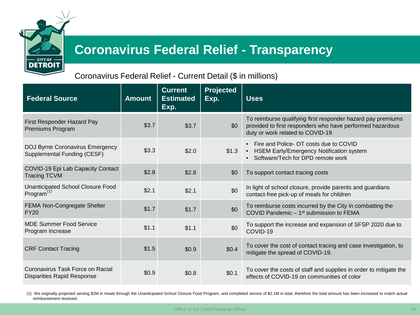

## **Coronavirus Federal Relief - Transparency**

## Coronavirus Federal Relief - Current Detail (\$ in millions)

| <b>Federal Source</b>                                                 | <b>Amount</b> | <b>Current</b><br><b>Estimated</b><br>Exp. | Projected<br>Exp. | <b>Uses</b>                                                                                                                                                  |
|-----------------------------------------------------------------------|---------------|--------------------------------------------|-------------------|--------------------------------------------------------------------------------------------------------------------------------------------------------------|
| First Responder Hazard Pay<br>Premiums Program                        | \$3.7         | \$3.7                                      | \$0               | To reimburse qualifying first responder hazard pay premiums<br>provided to first responders who have performed hazardous<br>duty or work related to COVID-19 |
| <b>DOJ Byrne Coronavirus Emergency</b><br>Supplemental Funding (CESF) | \$3.3         | \$2.0                                      | \$1.3             | • Fire and Police- OT costs due to COVID<br>• HSEM Early/Emergency Notification system<br>Software/Tech for DPD remote work<br>$\bullet$                     |
| COVID-19 Epi Lab Capacity Contact<br><b>Tracing TCVM</b>              | \$2.8         | \$2.8                                      | \$0               | To support contact tracing costs                                                                                                                             |
| <b>Unanticipated School Closure Food</b><br>Program <sup>(1)</sup>    | \$2.1         | \$2.1                                      | \$0               | In light of school closure, provide parents and guardians<br>contact-free pick-up of meals for children                                                      |
| FEMA Non-Congregate Shelter<br><b>FY20</b>                            | \$1.7         | \$1.7                                      | \$0               | To reimburse costs incurred by the City in combatting the<br>COVID Pandemic - 1 <sup>st</sup> submission to FEMA                                             |
| <b>MDE Summer Food Service</b><br>Program Increase                    | \$1.1         | \$1.1                                      | \$0               | To support the increase and expansion of SFSP 2020 due to<br>COVID-19                                                                                        |
| <b>CRF Contact Tracing</b>                                            | \$1.5         | \$0.9                                      | \$0.4\$           | To cover the cost of contact tracing and case investigation, to<br>mitigate the spread of COVID-19.                                                          |
| Coronavirus Task Force on Racial<br><b>Disparities Rapid Response</b> | \$0.9         | \$0.8                                      | \$0.1             | To cover the costs of staff and supplies in order to mitigate the<br>effects of COVID-19 on communities of color                                             |

(1) We originally projected serving \$2M in meals through the Unanticipated School Closure Food Program, and completed service of \$2.1M in total, therefore the total amount has been increased to match actual reimbursement received.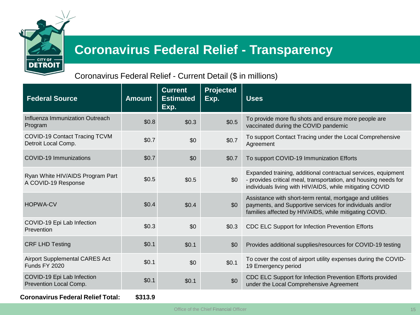

# **Coronavirus Federal Relief - Transparency**

## Coronavirus Federal Relief - Current Detail (\$ in millions)

| <b>Federal Source</b>                                         | <b>Amount</b> | <b>Current</b><br><b>Estimated</b><br>Exp. | <b>Projected</b><br>Exp. | <b>Uses</b>                                                                                                                                                                                  |
|---------------------------------------------------------------|---------------|--------------------------------------------|--------------------------|----------------------------------------------------------------------------------------------------------------------------------------------------------------------------------------------|
| Influenza Immunization Outreach<br>Program                    | \$0.8         | \$0.3                                      | \$0.5                    | To provide more flu shots and ensure more people are<br>vaccinated during the COVID pandemic                                                                                                 |
| COVID-19 Contact Tracing TCVM<br>Detroit Local Comp.          | \$0.7         | \$0                                        | \$0.7                    | To support Contact Tracing under the Local Comprehensive<br>Agreement                                                                                                                        |
| <b>COVID-19 Immunizations</b>                                 | \$0.7         | \$0                                        | \$0.7                    | To support COVID-19 Immunization Efforts                                                                                                                                                     |
| Ryan White HIV/AIDS Program Part<br>A COVID-19 Response       | \$0.5         | \$0.5                                      | \$0                      | Expanded training, additional contractual services, equipment<br>- provides critical meal, transportation, and housing needs for<br>individuals living with HIV/AIDS, while mitigating COVID |
| <b>HOPWA-CV</b>                                               | \$0.4         | \$0.4\$                                    | \$0                      | Assistance with short-term rental, mortgage and utilities<br>payments, and Supportive services for individuals and/or<br>families affected by HIV/AIDS, while mitigating COVID.              |
| COVID-19 Epi Lab Infection<br>Prevention                      | \$0.3         | \$0                                        | \$0.3                    | CDC ELC Support for Infection Prevention Efforts                                                                                                                                             |
| <b>CRF LHD Testing</b>                                        | \$0.1         | \$0.1                                      | \$0                      | Provides additional supplies/resources for COVID-19 testing                                                                                                                                  |
| <b>Airport Supplemental CARES Act</b><br><b>Funds FY 2020</b> | \$0.1         | \$0                                        | \$0.1                    | To cover the cost of airport utility expenses during the COVID-<br>19 Emergency period                                                                                                       |
| COVID-19 Epi Lab Infection<br>Prevention Local Comp.          | \$0.1         | \$0.1                                      | \$0                      | CDC ELC Support for Infection Prevention Efforts provided<br>under the Local Comprehensive Agreement                                                                                         |
| <b>Coronavirus Federal Relief Total:</b>                      | \$313.9       |                                            |                          |                                                                                                                                                                                              |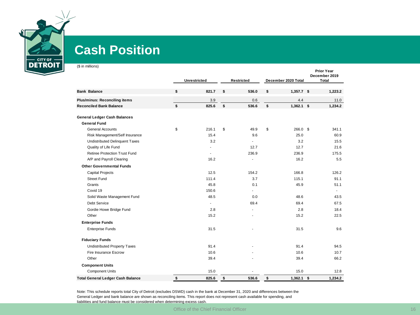

## **Cash Position**

(\$ in millions)

|                                          | <b>Unrestricted</b> | <b>Restricted</b> | December 2020 Total | <b>Prior Year</b><br>December 2019<br>Total |         |  |
|------------------------------------------|---------------------|-------------------|---------------------|---------------------------------------------|---------|--|
|                                          |                     |                   |                     |                                             |         |  |
| <b>Bank Balance</b>                      | \$<br>821.7         | \$<br>536.0       | \$<br>$1,357.7$ \$  |                                             | 1,223.2 |  |
| <b>Plus/minus: Reconciling items</b>     | 3.9                 | 0.6               | 4.4                 |                                             | 11.0    |  |
| <b>Reconciled Bank Balance</b>           | \$<br>825.6         | \$<br>536.6       | \$<br>$1,362.1$ \$  |                                             | 1,234.2 |  |
| <b>General Ledger Cash Balances</b>      |                     |                   |                     |                                             |         |  |
| <b>General Fund</b>                      |                     |                   |                     |                                             |         |  |
| <b>General Accounts</b>                  | \$<br>216.1         | \$<br>49.9        | \$<br>266.0 \$      |                                             | 341.1   |  |
| Risk Management/Self Insurance           | 15.4                | 9.6               | 25.0                |                                             | 60.9    |  |
| <b>Undistributed Delinquent Taxes</b>    | 3.2                 |                   | 3.2                 |                                             | 15.5    |  |
| Quality of Life Fund                     |                     | 12.7              | 12.7                |                                             | 21.6    |  |
| <b>Retiree Protection Trust Fund</b>     | $\sim$              | 236.9             | 236.9               |                                             | 175.5   |  |
| A/P and Payroll Clearing                 | 16.2                | $\overline{a}$    | 16.2                |                                             | 5.5     |  |
| <b>Other Governmental Funds</b>          |                     |                   |                     |                                             |         |  |
| <b>Capital Projects</b>                  | 12.5                | 154.2             | 166.8               |                                             | 126.2   |  |
| <b>Street Fund</b>                       | 111.4               | 3.7               | 115.1               |                                             | 91.1    |  |
| Grants                                   | 45.8                | 0.1               | 45.9                |                                             | 51.1    |  |
| Covid 19                                 | 150.6               |                   |                     |                                             |         |  |
| Solid Waste Management Fund              | 48.5                | 0.0               | 48.6                |                                             | 43.5    |  |
| Debt Service                             | $\blacksquare$      | 69.4              | 69.4                |                                             | 67.5    |  |
| Gordie Howe Bridge Fund                  | 2.8                 |                   | 2.8                 |                                             | 18.4    |  |
| Other                                    | 15.2                |                   | 15.2                |                                             | 22.5    |  |
| <b>Enterprise Funds</b>                  |                     |                   |                     |                                             |         |  |
| <b>Enterprise Funds</b>                  | 31.5                |                   | 31.5                |                                             | 9.6     |  |
| <b>Fiduciary Funds</b>                   |                     |                   |                     |                                             |         |  |
| <b>Undistributed Property Taxes</b>      | 91.4                |                   | 91.4                |                                             | 94.5    |  |
| Fire Insurance Escrow                    | 10.6                |                   | 10.6                |                                             | 10.7    |  |
| Other                                    | 39.4                |                   | 39.4                |                                             | 66.2    |  |
| <b>Component Units</b>                   |                     |                   |                     |                                             |         |  |
| <b>Component Units</b>                   | 15.0                |                   | 15.0                |                                             | 12.8    |  |
| <b>Total General Ledger Cash Balance</b> | \$<br>825.6         | \$<br>536.6       | \$<br>$1,362.1$ \$  |                                             | 1.234.2 |  |

Note: This schedule reports total City of Detroit (excludes DSWD) cash in the bank at December 31, 2020 and differences between the General Ledger and bank balance are shown as reconciling items. This report does not represent cash available for spending, and liabilities and fund balance must be considered when determining excess cash.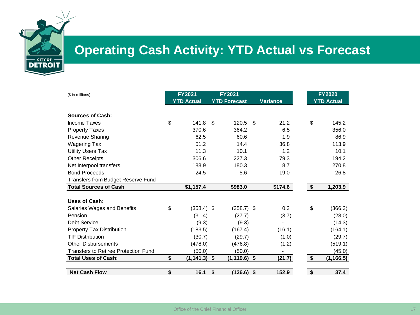

# **Operating Cash Activity: YTD Actual vs Forecast**

| (\$ in millions)                            | <b>FY2021</b>         | FY2021              |     |                 |                        | <b>FY2020</b>     |
|---------------------------------------------|-----------------------|---------------------|-----|-----------------|------------------------|-------------------|
|                                             | <b>YTD Actual</b>     | <b>YTD Forecast</b> |     | <b>Variance</b> |                        | <b>YTD Actual</b> |
| <b>Sources of Cash:</b>                     |                       |                     |     |                 |                        |                   |
| Income Taxes                                | \$<br>$141.8$ \$      | 120.5               | -\$ | 21.2            | \$                     | 145.2             |
| <b>Property Taxes</b>                       | 370.6                 | 364.2               |     | 6.5             |                        | 356.0             |
| Revenue Sharing                             | 62.5                  | 60.6                |     | 1.9             |                        | 86.9              |
| Wagering Tax                                | 51.2                  | 14.4                |     | 36.8            |                        | 113.9             |
| <b>Utility Users Tax</b>                    | 11.3                  | 10.1                |     | 1.2             |                        | 10.1              |
| <b>Other Receipts</b>                       | 306.6                 | 227.3               |     | 79.3            |                        | 194.2             |
| Net Interpool transfers                     | 188.9                 | 180.3               |     | 8.7             |                        | 270.8             |
| <b>Bond Proceeds</b>                        | 24.5                  | 5.6                 |     | 19.0            |                        | 26.8              |
| Transfers from Budget Reserve Fund          | -                     |                     |     | $\blacksquare$  |                        |                   |
| <b>Total Sources of Cash</b>                | \$1,157.4             | \$983.0             |     | \$174.6         | \$                     | 1,203.9           |
|                                             |                       |                     |     |                 |                        |                   |
| <b>Uses of Cash:</b>                        |                       |                     |     |                 |                        |                   |
| Salaries Wages and Benefits                 | \$<br>$(358.4)$ \$    | $(358.7)$ \$        |     | 0.3             | \$                     | (366.3)           |
| Pension                                     | (31.4)                | (27.7)              |     | (3.7)           |                        | (28.0)            |
| <b>Debt Service</b>                         | (9.3)                 | (9.3)               |     |                 |                        | (14.3)            |
| <b>Property Tax Distribution</b>            | (183.5)               | (167.4)             |     | (16.1)          |                        | (164.1)           |
| <b>TIF Distribution</b>                     | (30.7)                | (29.7)              |     | (1.0)           |                        | (29.7)            |
| <b>Other Disbursements</b>                  | (478.0)               | (476.8)             |     | (1.2)           |                        | (519.1)           |
| <b>Transfers to Retiree Protection Fund</b> | (50.0)                | (50.0)              |     |                 |                        | (45.0)            |
| <b>Total Uses of Cash:</b>                  | \$<br>$(1, 141.3)$ \$ | $(1, 119.6)$ \$     |     | (21.7)          | $\boldsymbol{\hat{z}}$ | (1, 166.5)        |
| <b>Net Cash Flow</b>                        | \$<br>16.1            | \$<br>$(136.6)$ \$  |     | 152.9           | \$                     | 37.4              |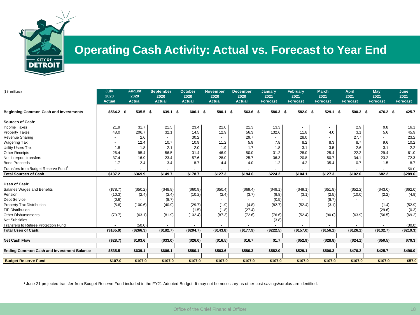

## **Operating Cash Activity: Actual vs. Forecast to Year End**

| (\$ in millions)                                 | July<br>2020<br><b>Actual</b> | <b>August</b><br>2020<br><b>Actual</b> | <b>September</b><br>2020<br><b>Actual</b> | October<br>2020<br><b>Actual</b> | <b>November</b><br>2020<br><b>Actual</b> | <b>December</b><br>2020<br><b>Actual</b> | <b>January</b><br>2021<br><b>Forecast</b> | <b>February</b><br>2021<br><b>Forecast</b> | <b>March</b><br>2021<br><b>Forecast</b> | April<br>2021<br><b>Forecast</b> | <b>May</b><br>2021<br><b>Forecast</b> | June<br>2021<br><b>Forecast</b> |
|--------------------------------------------------|-------------------------------|----------------------------------------|-------------------------------------------|----------------------------------|------------------------------------------|------------------------------------------|-------------------------------------------|--------------------------------------------|-----------------------------------------|----------------------------------|---------------------------------------|---------------------------------|
| <b>Beginning Common Cash and Investments</b>     | \$564.2\$                     | 535.5 \$                               | 639.1 \$                                  | 606.1 \$                         | 580.1 \$                                 | $563.6$ \$                               | 580.3 \$                                  | 582.0 \$                                   | $529.1$ \$                              | $500.3$ \$                       | 476.2 \$                              | 425.7                           |
| <b>Sources of Cash:</b>                          |                               |                                        |                                           |                                  |                                          |                                          |                                           |                                            |                                         |                                  |                                       |                                 |
| <b>Income Taxes</b>                              | 21.9                          | 31.7                                   | 21.5                                      | 23.4                             | 22.0                                     | 21.3                                     | 13.3                                      |                                            |                                         | 2.9                              | 9.8                                   | 16.1                            |
| <b>Property Taxes</b>                            | 48.0                          | 206.7                                  | 32.1                                      | 14.5                             | 12.9                                     | 56.3                                     | 132.6                                     | 11.8                                       | 4.0                                     | 3.1                              | 5.6                                   | 45.9                            |
| Revenue Sharing                                  |                               | 2.6                                    |                                           | 30.2                             |                                          | 29.7                                     |                                           | 28.0                                       |                                         | 27.7                             |                                       | 23.2                            |
| Wagering Tax                                     | $\sim$                        | 12.4                                   | 10.7                                      | 10.9                             | 11.2                                     | 5.9                                      | 7.8                                       | 8.2                                        | 8.3                                     | 8.7                              | 9.6                                   | 10.2                            |
| <b>Utility Users Tax</b>                         | 1.8                           | 1.8                                    | 2.1                                       | 2.0                              | 1.9                                      | 1.7                                      | 1.8                                       | 3.1                                        | 3.5                                     | 2.6                              | 3.1                                   | 2.2                             |
| <b>Other Receipts</b>                            | 26.4                          | 95.4                                   | 56.5                                      | 31.4                             | 46.9                                     | 50.0                                     | 31.2                                      | 28.0                                       | 25.4                                    | 22.2                             | 29.4                                  | 61.0                            |
| Net Interpool transfers                          | 37.4                          | 16.9                                   | 23.4                                      | 57.6                             | 28.0                                     | 25.7                                     | 36.3                                      | 20.8                                       | 50.7                                    | 34.1                             | 23.2                                  | 72.3                            |
| <b>Bond Proceeds</b>                             | 1.7                           | 2.4                                    | 3.4                                       | 8.7                              | 4.4                                      | 4.0                                      | 1.2                                       | 4.2                                        | 35.4                                    | 0.7                              | 1.5                                   | 8.7                             |
| Transfers from Budget Reserve Fund <sup>1</sup>  | $\sim$                        |                                        |                                           |                                  |                                          |                                          |                                           |                                            |                                         |                                  |                                       | 50.0                            |
| <b>Total Sources of Cash</b>                     | \$137.2                       | \$369.9                                | \$149.7                                   | \$178.7                          | \$127.3                                  | \$194.6                                  | \$224.2                                   | \$104.1                                    | \$127.3                                 | \$102.0                          | \$82.2                                | \$289.6                         |
|                                                  |                               |                                        |                                           |                                  |                                          |                                          |                                           |                                            |                                         |                                  |                                       |                                 |
| <b>Uses of Cash:</b>                             |                               |                                        |                                           |                                  |                                          |                                          |                                           |                                            |                                         |                                  |                                       |                                 |
| Salaries Wages and Benefits                      | (\$78.7)                      | (\$50.2)                               | (\$48.8)                                  | (\$60.9)                         | (\$50.4)                                 | (\$69.4)                                 | (\$49.1)                                  | (\$49.1)                                   | (\$51.8)                                | (\$52.2)                         | (\$43.0)                              | (\$62.0)                        |
| Pension                                          | (10.3)                        | (2.4)                                  | (2.4)                                     | (10.2)                           | (2.4)                                    | (3.7)                                    | (9.8)                                     | (3.1)                                      | (2.5)                                   | (10.0)                           | (2.2)                                 | (4.9)                           |
| Debt Service                                     | (0.6)                         |                                        | (8.7)                                     |                                  |                                          |                                          | (0.5)                                     |                                            | (8.7)                                   |                                  |                                       |                                 |
| Property Tax Distribution                        | (5.6)                         | (100.6)                                | (40.9)                                    | (29.7)                           | (1.9)                                    | (4.8)                                    | (82.7)                                    | (52.4)                                     | (3.1)                                   |                                  | (1.4)                                 | (52.9)                          |
| <b>TIF Distribution</b>                          |                               |                                        |                                           | (1.5)                            | (1.8)                                    | (27.4)                                   |                                           |                                            |                                         |                                  | (29.6)                                | (0.3)                           |
| <b>Other Disbursements</b>                       | (70.7)                        | (63.1)                                 | (81.9)                                    | (102.4)                          | (87.3)                                   | (72.6)                                   | (76.6)                                    | (52.4)                                     | (90.0)                                  | (63.9)                           | (56.5)                                | (69.2)                          |
| <b>Net Subsidies</b>                             |                               |                                        |                                           |                                  |                                          |                                          | (3.8)                                     |                                            |                                         |                                  |                                       |                                 |
| <b>Transfers to Retiree Protection Fund</b>      |                               | (50.0)                                 |                                           |                                  |                                          |                                          |                                           |                                            |                                         |                                  |                                       | (30.0)                          |
| <b>Total Uses of Cash:</b>                       | (\$165.9)                     | ( \$266.3)                             | (\$182.7)                                 | (\$204.7)                        | (\$143.8)                                | (\$177.9)                                | (\$222.5)                                 | (\$157.0)                                  | (\$156.1)                               | (\$126.1)                        | (\$132.7)                             | (\$219.3)                       |
|                                                  |                               |                                        |                                           |                                  |                                          |                                          |                                           |                                            |                                         |                                  |                                       |                                 |
| <b>Net Cash Flow</b>                             | (\$28.7)                      | \$103.6                                | ( \$33.0)                                 | (\$26.0)                         | (\$16.5)                                 | \$16.7                                   | \$1.7                                     | ( \$52.9)                                  | (\$28.8)                                | (\$24.1)                         | (\$50.5)                              | \$70.3                          |
|                                                  |                               |                                        |                                           |                                  |                                          |                                          |                                           |                                            |                                         |                                  |                                       |                                 |
| <b>Ending Common Cash and Investment Balance</b> | \$535.5                       | \$639.1                                | \$606.1                                   | \$580.1                          | \$563.6                                  | \$580.3                                  | \$582.0                                   | \$529.1                                    | \$500.3                                 | \$476.2                          | \$425.7                               | \$496.0                         |
| <b>Budget Reserve Fund</b>                       | \$107.0                       | \$107.0                                | \$107.0                                   | \$107.0                          | \$107.0                                  | \$107.0                                  | \$107.0                                   | \$107.0                                    | \$107.0                                 | \$107.0                          | \$107.0                               | \$57.0                          |
|                                                  |                               |                                        |                                           |                                  |                                          |                                          |                                           |                                            |                                         |                                  |                                       |                                 |

1 June 21 projected transfer from Budget Reserve Fund included in the FY21 Adopted Budget. It may not be necessary as other cost savings/surplus are identified.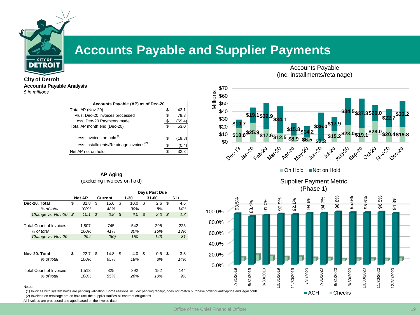

## **Accounts Payable and Supplier Payments**

**City of Detroit Accounts Payable Analysis** *\$ in millions*

| Accounts Payable (AP) as of Dec-20                   |    |        |
|------------------------------------------------------|----|--------|
| Total AP (Nov-20)                                    |    | 43.1   |
| Plus: Dec-20 invoices processed                      |    | 79.3   |
| Less: Dec-20 Payments made                           |    | (69.4) |
| Total AP month end (Dec-20)                          | \$ | 53.0   |
| Less: Invoices on hold <sup>(1)</sup>                | S  | (19.8) |
| Less: Installments/Retainage Invoices <sup>(2)</sup> |    | (0.4   |
| Net AP not on hold                                   |    | 32.8   |

### **AP Aging** (excluding invoices on hold)

|                                |               |     |         | Days Past Due |           |           |
|--------------------------------|---------------|-----|---------|---------------|-----------|-----------|
|                                | <b>Net AP</b> |     | Current | $1 - 30$      | 31-60     | $61+$     |
| Dec-20. Total                  | \$<br>32.8    | \$  | 15.6    | \$<br>10.0    | \$<br>2.6 | \$<br>4.6 |
| % of total                     | 100%          |     | 48%     | 30%           | 8%        | 14%       |
| Change vs. Nov-20              | \$<br>10.1    | \$  | 0.8     | \$<br>6.0     | \$<br>2.0 | \$<br>1.3 |
|                                |               |     |         |               |           |           |
| <b>Total Count of Invoices</b> | 1,807         |     | 745     | 542           | 295       | 225       |
| % of total                     | 100%          |     | 41%     | 30%           | 16%       | 13%       |
| Change vs. Nov-20              | 294           |     | (80)    | 150           | 143       | 81        |
|                                |               |     |         |               |           |           |
|                                |               |     |         |               |           |           |
| Nov-20. Total                  | \$<br>22.7    | \$. | 14.8    | \$<br>4.0     | \$<br>0.6 | \$<br>3.3 |
| % of total                     | 100%          |     | 65%     | 18%           | 3%        | 14%       |
| <b>Total Count of Invoices</b> | 1,513         |     | 825     | 392           | 152       | 144       |
| % of total                     | 100%          |     | 55%     | 26%           | 10%       | 9%        |

Accounts Payable (Inc. installments/retainage)





96.8% 96.5% 93.5% 94.6% 95.6% 95.6% 94.3% 94.7% 92.9% 92.1% 91.0% 88.4% 100.0% 80.0% 60.0% 40.0% 20.0% 0.0% 9/30/2019 1/30/2019 7/31/2019 8/31/2019 10/31/2019 1/31/2020 7/31/2020 8/31/2020 9/30/2020 10/30/2020 1/30/2020 12/31/2020 7/31/2019 8/31/2019 9/30/2019 10/31/2019 11/30/2019 1/31/2020 7/31/2020 8/31/2020 9/30/2020 10/30/2020 11/30/2020 12/31/2020 ■ACH Checks

#### Notes:

(1) Invoices with system holds are pending validation. Some reasons include: pending receipt, does not match purchase order quantity/price and legal holds (2) Invoices on retainage are on hold until the supplier satifies all contract obligations

All invoices are processed and aged based on the invoice date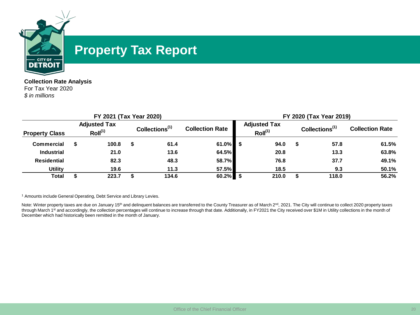

## **Property Tax Report**

**Collection Rate Analysis** For Tax Year 2020 *\$ in millions*

|                                                                     |  | FY 2021 (Tax Year 2020) |                            |                        |                                            | FY 2020 (Tax Year 2019) |       |                            |                        |       |  |  |
|---------------------------------------------------------------------|--|-------------------------|----------------------------|------------------------|--------------------------------------------|-------------------------|-------|----------------------------|------------------------|-------|--|--|
| <b>Adjusted Tax</b><br>Roll <sup>(1)</sup><br><b>Property Class</b> |  |                         | Collections <sup>(1)</sup> | <b>Collection Rate</b> | <b>Adjusted Tax</b><br>Roll <sup>(1)</sup> |                         |       | Collections <sup>(1)</sup> | <b>Collection Rate</b> |       |  |  |
| <b>Commercial</b>                                                   |  | 100.8                   | S                          | 61.4                   | $61.0\%$ \$                                |                         | 94.0  | S.                         | 57.8                   | 61.5% |  |  |
| <b>Industrial</b>                                                   |  | 21.0                    |                            | 13.6                   | 64.5%                                      |                         | 20.8  |                            | 13.3                   | 63.8% |  |  |
| <b>Residential</b>                                                  |  | 82.3                    |                            | 48.3                   | 58.7%                                      |                         | 76.8  |                            | 37.7                   | 49.1% |  |  |
| <b>Utility</b>                                                      |  | 19.6                    |                            | 11.3                   | 57.5%                                      |                         | 18.5  |                            | 9.3                    | 50.1% |  |  |
| Total                                                               |  | 223.7                   |                            | 134.6                  | $60.2\%$ \$                                |                         | 210.0 |                            | 118.0                  | 56.2% |  |  |

<sup>1</sup> Amounts include General Operating, Debt Service and Library Levies.

Note: Winter property taxes are due on January 15<sup>th</sup> and delinquent balances are transferred to the County Treasurer as of March 2<sup>nd</sup>, 2021. The City will continue to collect 2020 property taxes through March 1st and accordingly, the collection percentages will continue to increase through that date. Additionally, in FY2021 the City received over \$1M in Utility collections in the month of December which had historically been remitted in the month of January.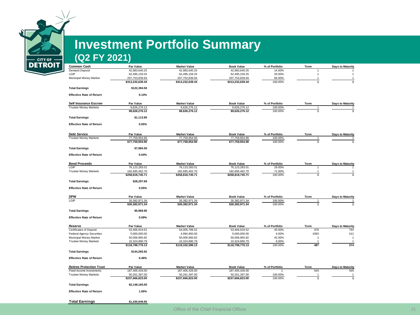

# **Investment Portfolio Summary**

## **(Q2 FY 2021)**

| <b>Common Cash</b>               | Par Value                         | <b>Market Value</b>               | <b>Book Value</b>                 | % of Portfolio   | Term                  | <b>Days to Maturity</b> |
|----------------------------------|-----------------------------------|-----------------------------------|-----------------------------------|------------------|-----------------------|-------------------------|
| <b>Demand Deposit</b>            | 42,983,640.25                     | 42,983,640.25                     | 42,983,640.25                     | 14.00%           | 1                     |                         |
| LGIP                             | 62,495,159.25                     | 62,495,159.25                     | 62,495,159.25                     | 20.00%           | $\mathbf{1}$          | 1                       |
| Municipal Money Market           | 207,753,839.94                    | 207,753,839.94                    | 207,753,839.94                    | 66.00%           | -1                    | 1                       |
|                                  | \$313,232,639.44                  | \$313,232,639.44                  | \$313,232,639.44                  | 100.00%          |                       | $\mathbf{1}$            |
| <b>Total Earnings</b>            | \$122,394.50                      |                                   |                                   |                  |                       |                         |
| <b>Effective Rate of Return</b>  | 0.14%                             |                                   |                                   |                  |                       |                         |
| <b>Self Insurance Escrow</b>     | Par Value                         | <b>Market Value</b>               | <b>Book Value</b>                 | % of Portfolio   | Term                  | <b>Days to Maturity</b> |
| <b>Trustee Money Markets</b>     | 9,626,276.12                      | 9,626,276.12                      | 9,626,276.12                      | 100.00%          | 1                     | 1                       |
|                                  | \$9,626,276.12                    | \$9,626,276.12                    | \$9,626,276.12                    | 100.00%          | $\mathbf{1}$          | $\mathbf{1}$            |
| <b>Total Earnings</b>            | \$1,113.90                        |                                   |                                   |                  |                       |                         |
| <b>Effective Rate of Return</b>  | 0.05%                             |                                   |                                   |                  |                       |                         |
| <b>Debt Service</b>              | <b>Par Value</b>                  | <b>Market Value</b>               | <b>Book Value</b>                 | % of Portfolio   | Term                  | <b>Days to Maturity</b> |
| <b>Trustee Money Markets</b>     | 77,759,954.90                     | 77,759,954.90                     | 77,759,954.90                     | 100.00%          | 1                     |                         |
|                                  | \$77,759,954.90                   | \$77,759,954.90                   | \$77,759,954.90                   | 100.00%          | $\overline{1}$        | $\mathbf{1}$            |
| <b>Total Earnings</b>            | \$7,984.50                        |                                   |                                   |                  |                       |                         |
| <b>Effective Rate of Return</b>  | 0.04%                             |                                   |                                   |                  |                       |                         |
| <b>Bond Proceeds</b>             | Par Value                         | <b>Market Value</b>               | <b>Book Value</b>                 | % of Portfolio   | Term                  | <b>Days to Maturity</b> |
| LGIP                             | 76,123,283.01                     | 76,123,283.01                     | 76,123,283.01                     | 29.00%           | $\mathbf{1}$          |                         |
| <b>Trustee Money Markets</b>     | 182,695,462.70                    | 182,695,462.70                    | 182,695,462.70                    | 71.00%           | $\mathbf{1}$          | 1                       |
|                                  | \$258,818,745.71                  | \$258,818,745.71                  | \$258,818,745.71                  | 100.00%          | $\mathbf{1}$          | $\mathbf{1}$            |
| <b>Total Earnings</b>            | \$28,297.69                       |                                   |                                   |                  |                       |                         |
| <b>Effective Rate of Return</b>  | 0.05%                             |                                   |                                   |                  |                       |                         |
| <b>DPW</b>                       | Par Value                         | <b>Market Value</b>               | <b>Book Value</b>                 | % of Portfolio   | Term                  | <b>Days to Maturity</b> |
| LGIP                             | 26,382,971.34                     | 26,382,971.34                     | 26,382,971.34                     | 100.00%          | $\mathbf{1}$          | $\mathbf{1}$            |
|                                  | \$26,382,971.34                   | \$26,382,971.34                   | \$26,382,971.34                   | 100.00%          | $\overline{1}$        |                         |
| <b>Total Earnings</b>            | \$5,969.95                        |                                   |                                   |                  |                       |                         |
|                                  |                                   |                                   |                                   |                  |                       |                         |
| <b>Effective Rate of Return</b>  | 0.09%                             |                                   |                                   |                  |                       |                         |
| Reserve                          | Par Value                         | <b>Market Value</b>               | <b>Book Value</b>                 | % of Portfolio   | Term                  | <b>Days to Maturity</b> |
| Certificates of Deposit          | 53,466,919.52                     | 54,005,789.52                     | 53,466,919.52                     | 45.00%           | 978                   | 792                     |
| <b>Federal Agency Securities</b> | 5,000,000.00                      | 4,994,950.00                      | 5,000,000.00                      | 4.00%            | 1093                  | 412                     |
| Municipal Money Market           | 50,006,965.82                     | 50,006,965.82                     | 50,006,965.82                     | 42.00%           | $\mathbf{1}$          | $\overline{1}$          |
| <b>Trustee Money Markets</b>     | 10,324,890.79<br>\$118,798,776.13 | 10,324,890.79<br>\$119,332,596.13 | 10,324,890.79<br>\$118,798,776.13 | 9.00%<br>100.00% | $\overline{1}$<br>487 | $\overline{1}$<br>374   |
| <b>Total Earnings</b>            | \$144,265.92                      |                                   |                                   |                  |                       |                         |
|                                  |                                   |                                   |                                   |                  |                       |                         |
| <b>Effective Rate of Return</b>  | 0.48%                             |                                   |                                   |                  |                       |                         |
| <b>Retiree Protection Trust</b>  | Par Value                         | <b>Market Value</b>               | <b>Book Value</b>                 | % of Portfolio   | Term                  | <b>Days to Maturity</b> |
| Fixed Income Investments         | 187,405,426.00                    | 187,405,426.00                    | 187,405,426.00                    |                  | N/A                   | N/A                     |
| <b>Trustee Money Markets</b>     | 50,261,397.00                     | 50,261,397.00                     | 50,261,397.00                     | 100.00%          | $\mathbf{1}$          | 1                       |
|                                  | \$237,666,823.00                  | \$237,666,823.00                  | \$237,666,823.00                  | 100.00%          | $\mathbf{1}$          | $\mathbf{1}$            |
| <b>Total Earnings</b>            | \$2,148,165.00                    |                                   |                                   |                  |                       |                         |
| <b>Effective Rate of Return</b>  | 1.06%                             |                                   |                                   |                  |                       |                         |
|                                  |                                   |                                   |                                   |                  |                       |                         |
| <b>Total Earnings</b>            | \$1,435,949.95                    |                                   |                                   |                  |                       |                         |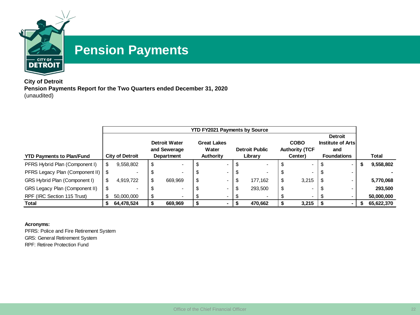

## **Pension Payments**

**City of Detroit Pension Payments Report for the Two Quarters ended December 31, 2020** (unaudited)

|                                      |    | <b>YTD FY2021 Payments by Source</b> |    |                          |    |                    |      |                       |    |                       |  |                    |   |              |
|--------------------------------------|----|--------------------------------------|----|--------------------------|----|--------------------|------|-----------------------|----|-----------------------|--|--------------------|---|--------------|
|                                      |    | <b>Detroit</b>                       |    |                          |    |                    |      |                       |    |                       |  |                    |   |              |
|                                      |    |                                      |    | <b>Detroit Water</b>     |    | <b>Great Lakes</b> |      |                       |    | <b>COBO</b>           |  | Institute of Arts  |   |              |
|                                      |    |                                      |    | and Sewerage             |    | Water              |      | <b>Detroit Public</b> |    | <b>Authority (TCF</b> |  | and                |   |              |
| <b>YTD Payments to Plan/Fund</b>     |    | City of Detroit                      |    | Department               |    | Authority          |      | Library               |    | Center)               |  | <b>Foundations</b> |   | <b>Total</b> |
| PFRS Hybrid Plan (Component I)       | S  | 9,558,802                            | S  | $\overline{\phantom{0}}$ |    |                    |      |                       |    |                       |  |                    | л | 9,558,802    |
| PFRS Legacy Plan (Component II)   \$ |    |                                      |    | ۰.                       | J  |                    | - \$ | -                     | ა  |                       |  |                    |   |              |
| GRS Hybrid Plan (Component I)        | \$ | 4,919,722                            | \$ | 669.969                  | \$ |                    | \$   | 177,162               | \$ | 3,215                 |  |                    |   | 5,770,068    |
| GRS Legacy Plan (Component II)       | \$ |                                      |    | ۰.                       |    |                    | \$   | 293.500               | \$ |                       |  |                    |   | 293,500      |
| RPF (IRC Section 115 Trust)          | S  | 50,000,000                           | \$ |                          |    |                    |      |                       |    |                       |  |                    |   | 50,000,000   |
| Total                                | S  | 64,478,524                           |    | 669,969                  |    |                    |      | 470,662               |    | 3,215                 |  |                    |   | 65,622,370   |

### **Acronyms:**

PFRS: Police and Fire Retirement System GRS: General Retirement System RPF: Retiree Protection Fund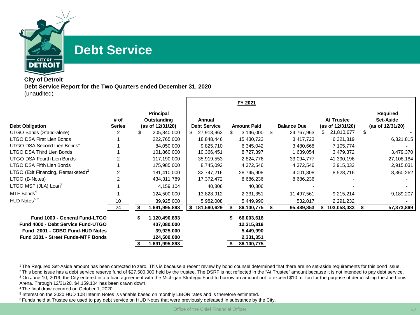

## **Debt Service**

### **City of Detroit Debt Service Report for the Two Quarters ended December 31, 2020** (unaudited)

|                                                                     |               |                           |                     | FY 2021                |                    |     |                  |    |                              |
|---------------------------------------------------------------------|---------------|---------------------------|---------------------|------------------------|--------------------|-----|------------------|----|------------------------------|
|                                                                     | # of          | Principal<br>Outstanding  | <b>Annual</b>       |                        |                    |     | At Trustee       |    | <b>Required</b><br>Set-Aside |
| <b>Debt Obligation</b>                                              | <b>Series</b> | (as of 12/31/20)          | <b>Debt Service</b> | <b>Amount Paid</b>     | <b>Balance Due</b> |     | (as of 12/31/20) |    | (as of 12/31/20)             |
| UTGO Bonds (Stand-alone)                                            | 2             | 205,840,000               | \$<br>27,913,963    | 3,146,000              | \$<br>24,767,963   |     | 21,810,677       | \$ |                              |
| <b>LTGO DSA First Lien Bonds</b>                                    |               | 222,765,000               | 18,848,446          | 15,430,723             | 3,417,723          |     | 6,321,819        |    | 6,321,815                    |
| UTGO DSA Second Lien Bonds                                          |               | 84,050,000                | 9,825,710           | 6,345,042              | 3,480,668          |     | 7,105,774        |    |                              |
| LTGO DSA Third Lien Bonds                                           |               | 101,860,000               | 10,366,451          | 8,727,397              | 1,639,054          |     | 3,479,372        |    | 3,479,370                    |
| <b>UTGO DSA Fourth Lien Bonds</b>                                   |               | 117,190,000               | 35,919,553          | 2,824,776              | 33,094,777         |     | 41,390,196       |    | 27,108,184                   |
| <b>LTGO DSA Fifth Lien Bonds</b>                                    |               | 175,985,000               | 8,745,092           | 4,372,546              | 4,372,546          |     | 2,915,032        |    | 2,915,031                    |
| LTGO (Exit Financing, Remarketed) <sup>2</sup>                      |               | 181,410,000               | 32,747,216          | 28,745,908             | 4,001,308          |     | 8,528,716        |    | 8,360,262                    |
| LTGO (B-Notes)                                                      | 2             | 434,311,789               | 17,372,472          | 8,686,236              | 8,686,236          |     |                  |    |                              |
| LTGO MSF (JLA) Loan <sup>3</sup>                                    |               | 4,159,104                 | 40,806              | 40,806                 |                    |     |                  |    |                              |
| MTF Bonds <sup>4</sup>                                              |               | 124,500,000               | 13,828,912          | 2,331,351              | 11,497,561         |     | 9,215,214        |    | 9,189,207                    |
| HUD Notes <sup>5, 6</sup>                                           | 10            | 39,925,000                | 5,982,008           | 5,449,990              | 532,017            |     | 2,291,232        |    |                              |
|                                                                     | 24            | 1,691,995,893             | 181,590,629<br>S.   | 86,100,775             | 95,489,853         | ! S | 103,058,033      | S  | 57,373,869                   |
| Fund 1000 - General Fund-LTGO<br>Fund 4000 - Debt Service Fund-UTGO |               | 1,120,490,893             |                     | 66,003,616             |                    |     |                  |    |                              |
| Fund 2001 - CDBG Fund-HUD Notes                                     |               | 407,080,000               |                     | 12,315,818             |                    |     |                  |    |                              |
| <b>Fund 3301 - Street Funds-MTF Bonds</b>                           |               | 39,925,000<br>124,500,000 |                     | 5,449,990<br>2,331,351 |                    |     |                  |    |                              |
|                                                                     |               | 1,691,995,893             |                     | 86,100,775             |                    |     |                  |    |                              |

<sup>1</sup>The Required Set-Aside amount has been corrected to zero. This is because a recent review by bond counsel determined that there are no set-aside requirements for this bond issue.

<sup>2</sup> This bond issue has a debt service reserve fund of \$27,500,000 held by the trustee. The DSRF is not reflected in the "At Trustee" amount because it is not intended to pay debt service.

<sup>3</sup> On June 10, 2019, the City entered into a loan agreement with the Michigan Strategic Fund to borrow an amount not to exceed \$10 million for the purpose of demolishing the Joe Louis Arena. Through 12/31/20, \$4,159,104 has been drawn down.

<sup>4</sup> The final draw occurred on October 1, 2020.

<sup>5</sup> Interest on the 2020 HUD 108 Interim Notes is variable based on monthly LIBOR rates and is therefore estimated.

<sup>6</sup> Funds held at Trustee are used to pay debt service on HUD Notes that were previously defeased in substance by the City.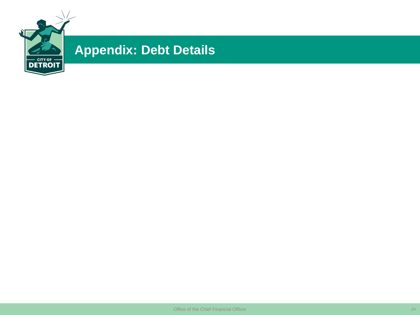

# **Appendix: Debt Details**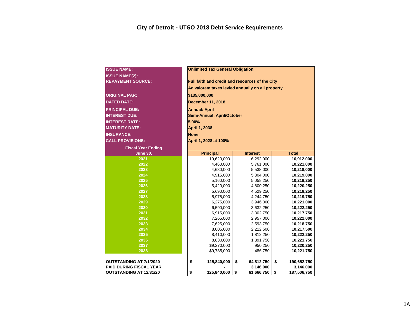| <b>ISSUE NAME:</b>             | <b>Unlimited Tax General Obligation</b>          |                  |                   |  |  |  |  |  |  |  |
|--------------------------------|--------------------------------------------------|------------------|-------------------|--|--|--|--|--|--|--|
| <b>ISSUE NAME(2):</b>          |                                                  |                  |                   |  |  |  |  |  |  |  |
| <b>REPAYMENT SOURCE:</b>       | Full faith and credit and resources of the City  |                  |                   |  |  |  |  |  |  |  |
|                                | Ad valorem taxes levied annually on all property |                  |                   |  |  |  |  |  |  |  |
| <b>ORIGINAL PAR:</b>           | \$135,000,000                                    |                  |                   |  |  |  |  |  |  |  |
| <b>DATED DATE:</b>             | <b>December 11, 2018</b>                         |                  |                   |  |  |  |  |  |  |  |
| <b>PRINCIPAL DUE:</b>          | <b>Annual: April</b>                             |                  |                   |  |  |  |  |  |  |  |
| <b>INTEREST DUE:</b>           | <b>Semi-Annual: April/October</b>                |                  |                   |  |  |  |  |  |  |  |
| <b>INTEREST RATE:</b>          | 5.00%                                            |                  |                   |  |  |  |  |  |  |  |
| <b>MATURITY DATE:</b>          | April 1, 2038                                    |                  |                   |  |  |  |  |  |  |  |
| <b>INSURANCE:</b>              | <b>None</b>                                      |                  |                   |  |  |  |  |  |  |  |
| <b>CALL PROVISIONS:</b>        | April 1, 2028 at 100%                            |                  |                   |  |  |  |  |  |  |  |
| <b>Fiscal Year Ending</b>      |                                                  |                  |                   |  |  |  |  |  |  |  |
| <b>June 30,</b>                | <b>Principal</b>                                 | <b>Interest</b>  | <b>Total</b>      |  |  |  |  |  |  |  |
| 2021                           | 10,620,000                                       | 6,292,000        | 16,912,000        |  |  |  |  |  |  |  |
| 2022                           | 4,460,000                                        | 5,761,000        | 10,221,000        |  |  |  |  |  |  |  |
| 2023                           | 4,680,000                                        | 5,538,000        | 10,218,000        |  |  |  |  |  |  |  |
| 2024                           | 4,915,000                                        | 5,304,000        | 10,219,000        |  |  |  |  |  |  |  |
| 2025                           | 5,160,000                                        | 5,058,250        | 10,218,250        |  |  |  |  |  |  |  |
| 2026                           | 5,420,000                                        | 4,800,250        | 10,220,250        |  |  |  |  |  |  |  |
| 2027                           | 5,690,000                                        | 4,529,250        | 10,219,250        |  |  |  |  |  |  |  |
| 2028                           | 5,975,000                                        | 4,244,750        | 10,219,750        |  |  |  |  |  |  |  |
| 2029                           | 6,275,000                                        | 3,946,000        | 10,221,000        |  |  |  |  |  |  |  |
| 2030                           | 6,590,000                                        | 3,632,250        | 10,222,250        |  |  |  |  |  |  |  |
| 2031                           | 6,915,000                                        | 3,302,750        | 10,217,750        |  |  |  |  |  |  |  |
| 2032                           | 7,265,000                                        | 2,957,000        | 10,222,000        |  |  |  |  |  |  |  |
| 2033                           | 7,625,000                                        | 2,593,750        | 10,218,750        |  |  |  |  |  |  |  |
| 2034                           | 8,005,000                                        | 2,212,500        | 10,217,500        |  |  |  |  |  |  |  |
| 2035                           | 8,410,000                                        | 1,812,250        | 10,222,250        |  |  |  |  |  |  |  |
| 2036                           | 8,830,000                                        | 1,391,750        | 10,221,750        |  |  |  |  |  |  |  |
| 2037                           | \$9,270,000                                      | 950,250          | 10,220,250        |  |  |  |  |  |  |  |
| 2038                           | \$9,735,000                                      | 486,750          | 10,221,750        |  |  |  |  |  |  |  |
|                                |                                                  |                  |                   |  |  |  |  |  |  |  |
| <b>OUTSTANDING AT 7/1/2020</b> | \$<br>125,840,000                                | \$<br>64,812,750 | \$<br>190,652,750 |  |  |  |  |  |  |  |
| <b>PAID DURING FISCAL YEAR</b> | 3,146,000<br>3,146,000                           |                  |                   |  |  |  |  |  |  |  |
| <b>OUTSTANDING AT 12/31/20</b> | 125,840,000<br>\$                                | \$<br>61,666,750 | \$<br>187,506,750 |  |  |  |  |  |  |  |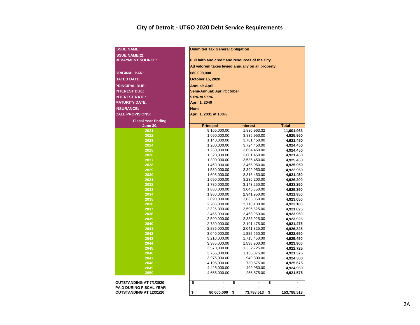### **City of Detroit - UTGO 2020 Debt Service Requirements**

| <b>ISSUE NAME:</b>             | <b>Unlimited Tax General Obligation</b>          |                              |                        |  |  |  |  |  |  |  |  |  |  |
|--------------------------------|--------------------------------------------------|------------------------------|------------------------|--|--|--|--|--|--|--|--|--|--|
| <b>ISSUE NAME(2):</b>          |                                                  |                              |                        |  |  |  |  |  |  |  |  |  |  |
| <b>REPAYMENT SOURCE:</b>       | Full faith and credit and resources of the City  |                              |                        |  |  |  |  |  |  |  |  |  |  |
|                                | Ad valorem taxes levied annually on all property |                              |                        |  |  |  |  |  |  |  |  |  |  |
| <b>ORIGINAL PAR:</b>           |                                                  |                              |                        |  |  |  |  |  |  |  |  |  |  |
|                                | \$80,000,000                                     |                              |                        |  |  |  |  |  |  |  |  |  |  |
| <b>DATED DATE:</b>             | October 15, 2020                                 |                              |                        |  |  |  |  |  |  |  |  |  |  |
| <b>PRINCIPAL DUE:</b>          | <b>Annual: April</b>                             |                              |                        |  |  |  |  |  |  |  |  |  |  |
| <b>INTEREST DUE:</b>           | Semi-Annual: April/October                       |                              |                        |  |  |  |  |  |  |  |  |  |  |
| <b>INTEREST RATE:</b>          | 5.0% to 5.5%                                     |                              |                        |  |  |  |  |  |  |  |  |  |  |
| <b>MATURITY DATE:</b>          | April 1, 2040                                    |                              |                        |  |  |  |  |  |  |  |  |  |  |
| <b>INSURANCE:</b>              |                                                  |                              |                        |  |  |  |  |  |  |  |  |  |  |
|                                | <b>None</b>                                      |                              |                        |  |  |  |  |  |  |  |  |  |  |
| <b>CALL PROVISIONS:</b>        | April 1, 2031 at 100%                            |                              |                        |  |  |  |  |  |  |  |  |  |  |
| <b>Fiscal Year Ending</b>      |                                                  |                              |                        |  |  |  |  |  |  |  |  |  |  |
| <b>June 30,</b>                | <b>Principal</b>                                 | <b>Interest</b>              | <b>Total</b>           |  |  |  |  |  |  |  |  |  |  |
| 2021                           | 9,165,000.00                                     | 1,836,963.32                 | 11,001,963             |  |  |  |  |  |  |  |  |  |  |
| 2022                           | 1,090,000.00                                     | 3,835,950.00                 | 4,925,950              |  |  |  |  |  |  |  |  |  |  |
| 2023<br>2024                   | 1,140,000.00                                     | 3,781,450.00                 | 4,921,450              |  |  |  |  |  |  |  |  |  |  |
| 2025                           | 1,200,000.00                                     | 3,724,450.00                 | 4,924,450              |  |  |  |  |  |  |  |  |  |  |
| 2026                           | 1,260,000.00<br>1,320,000.00                     | 3,664,450.00<br>3,601,450.00 | 4,924,450              |  |  |  |  |  |  |  |  |  |  |
| 2027                           | 1,390,000.00                                     | 3,535,450.00                 | 4,921,450<br>4,925,450 |  |  |  |  |  |  |  |  |  |  |
| 2028                           | 1,460,000.00                                     | 3,465,950.00                 | 4,925,950              |  |  |  |  |  |  |  |  |  |  |
| 2029                           | 1,530,000.00                                     | 3,392,950.00                 | 4,922,950              |  |  |  |  |  |  |  |  |  |  |
| 2030                           | 1,605,000.00                                     | 3,316,450.00                 | 4,921,450              |  |  |  |  |  |  |  |  |  |  |
| 2031                           | 1,690,000.00                                     | 3,236,200.00                 | 4,926,200              |  |  |  |  |  |  |  |  |  |  |
| 2032                           | 1,780,000.00                                     | 3,143,250.00                 | 4,923,250              |  |  |  |  |  |  |  |  |  |  |
| 2033                           | 1,880,000.00                                     | 3,045,350.00                 | 4,925,350              |  |  |  |  |  |  |  |  |  |  |
| 2034                           | 1,980,000.00                                     | 2,941,950.00                 | 4,921,950              |  |  |  |  |  |  |  |  |  |  |
| 2035                           | 2,090,000.00                                     | 2,833,050.00                 | 4,923,050              |  |  |  |  |  |  |  |  |  |  |
| 2036                           | 2,205,000.00                                     | 2,718,100.00                 | 4,923,100              |  |  |  |  |  |  |  |  |  |  |
| 2037                           | 2,325,000.00                                     | 2,596,825.00                 | 4,921,825              |  |  |  |  |  |  |  |  |  |  |
| 2038                           | 2,455,000.00                                     | 2,468,950.00                 | 4,923,950              |  |  |  |  |  |  |  |  |  |  |
| 2039                           | 2,590,000.00                                     | 2,333,925.00                 | 4,923,925              |  |  |  |  |  |  |  |  |  |  |
| 2040                           | 2,730,000.00                                     | 2,191,475.00                 | 4,921,475              |  |  |  |  |  |  |  |  |  |  |
| 2041                           | 2,885,000.00                                     | 2,041,325.00                 | 4,926,325              |  |  |  |  |  |  |  |  |  |  |
| 2042                           | 3,040,000.00                                     | 1,882,650.00                 | 4,922,650              |  |  |  |  |  |  |  |  |  |  |
| 2043                           | 3,210,000.00                                     | 1,715,450.00                 | 4,925,450              |  |  |  |  |  |  |  |  |  |  |
| 2044                           | 3,385,000.00                                     | 1,538,900.00                 | 4,923,900              |  |  |  |  |  |  |  |  |  |  |
| 2045                           | 3,570,000.00                                     | 1,352,725.00                 | 4,922,725              |  |  |  |  |  |  |  |  |  |  |
| 2046                           | 3,765,000.00                                     | 1,156,375.00                 | 4,921,375              |  |  |  |  |  |  |  |  |  |  |
| 2047<br>2048                   | 3,975,000.00<br>4,195,000.00                     | 949,300.00<br>730,675.00     | 4,924,300<br>4,925,675 |  |  |  |  |  |  |  |  |  |  |
| 2049                           | 4,425,000.00                                     | 499,950.00                   | 4,924,950              |  |  |  |  |  |  |  |  |  |  |
| 2050                           | 4,665,000.00                                     | 256,575.00                   | 4,921,575              |  |  |  |  |  |  |  |  |  |  |
|                                |                                                  |                              |                        |  |  |  |  |  |  |  |  |  |  |
| OUTSTANDING AT 7/1/2020        | \$<br>L.                                         | \$<br>$\overline{a}$         | \$<br>$\overline{a}$   |  |  |  |  |  |  |  |  |  |  |
| <b>PAID DURING FISCAL YEAR</b> |                                                  |                              |                        |  |  |  |  |  |  |  |  |  |  |
| <b>OUTSTANDING AT 12/31/20</b> | \$<br>80,000,000                                 | \$<br>73,788,513             | \$<br>153,788,513      |  |  |  |  |  |  |  |  |  |  |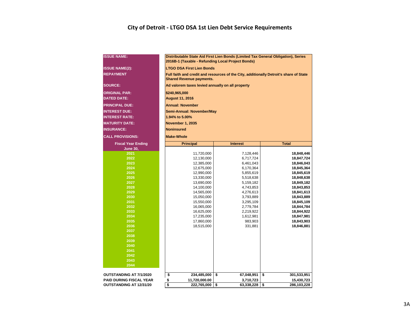### **City of Detroit - LTGO DSA 1st Lien Debt Service Requirements**

| <b>ISSUE NAME:</b>             | Distributable State Aid First Lien Bonds (Limited Tax General Obligation), Series<br>2016B-1 (Taxable - Refunding Local Project Bonds) |                           |                                                                                        |  |  |  |  |  |  |  |  |  |  |  |  |
|--------------------------------|----------------------------------------------------------------------------------------------------------------------------------------|---------------------------|----------------------------------------------------------------------------------------|--|--|--|--|--|--|--|--|--|--|--|--|
| <b>ISSUE NAME(2):</b>          | <b>LTGO DSA First Lien Bonds</b>                                                                                                       |                           |                                                                                        |  |  |  |  |  |  |  |  |  |  |  |  |
| <b>REPAYMENT</b>               | <b>Shared Revenue payments.</b>                                                                                                        |                           | Full faith and credit and resources of the City, additionally Detroit's share of State |  |  |  |  |  |  |  |  |  |  |  |  |
| <b>SOURCE:</b>                 | Ad valorem taxes levied annually on all property                                                                                       |                           |                                                                                        |  |  |  |  |  |  |  |  |  |  |  |  |
| <b>ORIGINAL PAR:</b>           | \$240,965,000                                                                                                                          |                           |                                                                                        |  |  |  |  |  |  |  |  |  |  |  |  |
| <b>DATED DATE:</b>             | <b>August 11, 2016</b>                                                                                                                 |                           |                                                                                        |  |  |  |  |  |  |  |  |  |  |  |  |
| <b>PRINCIPAL DUE:</b>          | <b>Annual: November</b>                                                                                                                |                           |                                                                                        |  |  |  |  |  |  |  |  |  |  |  |  |
| <b>INTEREST DUE:</b>           |                                                                                                                                        | Semi-Annual: November/May |                                                                                        |  |  |  |  |  |  |  |  |  |  |  |  |
| <b>INTEREST RATE:</b>          | 1.94% to 5.00%                                                                                                                         |                           |                                                                                        |  |  |  |  |  |  |  |  |  |  |  |  |
| <b>MATURITY DATE:</b>          | <b>November 1, 2035</b>                                                                                                                |                           |                                                                                        |  |  |  |  |  |  |  |  |  |  |  |  |
| <b>INSURANCE:</b>              | <b>Noninsured</b>                                                                                                                      |                           |                                                                                        |  |  |  |  |  |  |  |  |  |  |  |  |
| <b>CALL PROVISIONS:</b>        | <b>Make-Whole</b>                                                                                                                      |                           |                                                                                        |  |  |  |  |  |  |  |  |  |  |  |  |
| <b>Fiscal Year Ending</b>      | <b>Principal</b>                                                                                                                       | <b>Interest</b>           | <b>Total</b>                                                                           |  |  |  |  |  |  |  |  |  |  |  |  |
| <b>June 30,</b>                |                                                                                                                                        |                           |                                                                                        |  |  |  |  |  |  |  |  |  |  |  |  |
| 2021                           | 11,720,000                                                                                                                             | 7,128,446                 | 18,848,446                                                                             |  |  |  |  |  |  |  |  |  |  |  |  |
| 2022                           | 12,130,000                                                                                                                             | 6,717,724                 | 18,847,724                                                                             |  |  |  |  |  |  |  |  |  |  |  |  |
| 2023                           | 12,385,000                                                                                                                             | 6,461,043                 | 18,846,043                                                                             |  |  |  |  |  |  |  |  |  |  |  |  |
| 2024                           | 12,675,000                                                                                                                             | 6,170,364                 | 18,845,364                                                                             |  |  |  |  |  |  |  |  |  |  |  |  |
| 2025                           | 12,990,000                                                                                                                             | 5,855,619                 | 18,845,619                                                                             |  |  |  |  |  |  |  |  |  |  |  |  |
| 2026<br>2027                   | 13,330,000                                                                                                                             | 5,518,638                 | 18,848,638                                                                             |  |  |  |  |  |  |  |  |  |  |  |  |
| 2028                           | 13,690,000<br>14,100,000                                                                                                               | 5,159,182<br>4,743,853    | 18,849,182<br>18,843,853                                                               |  |  |  |  |  |  |  |  |  |  |  |  |
| 2029                           | 14,565,000                                                                                                                             | 4,276,613                 | 18,841,613                                                                             |  |  |  |  |  |  |  |  |  |  |  |  |
| 2030                           | 15,050,000                                                                                                                             | 3,793,889                 | 18,843,889                                                                             |  |  |  |  |  |  |  |  |  |  |  |  |
| 2031                           | 15,550,000                                                                                                                             | 3,295,109                 | 18,845,109                                                                             |  |  |  |  |  |  |  |  |  |  |  |  |
| 2032                           | 16,065,000                                                                                                                             | 2,779,784                 | 18,844,784                                                                             |  |  |  |  |  |  |  |  |  |  |  |  |
| 2033                           | 16,625,000                                                                                                                             | 2,219,922                 | 18,844,922                                                                             |  |  |  |  |  |  |  |  |  |  |  |  |
| 2034                           | 17,235,000                                                                                                                             | 1,612,981                 | 18,847,981                                                                             |  |  |  |  |  |  |  |  |  |  |  |  |
| 2035                           | 17,860,000                                                                                                                             | 983,903                   | 18,843,903                                                                             |  |  |  |  |  |  |  |  |  |  |  |  |
| 2036                           | 18,515,000                                                                                                                             | 331,881                   | 18,846,881                                                                             |  |  |  |  |  |  |  |  |  |  |  |  |
| 2037                           |                                                                                                                                        |                           |                                                                                        |  |  |  |  |  |  |  |  |  |  |  |  |
| 2038                           |                                                                                                                                        |                           |                                                                                        |  |  |  |  |  |  |  |  |  |  |  |  |
| 2039<br>2040                   |                                                                                                                                        |                           |                                                                                        |  |  |  |  |  |  |  |  |  |  |  |  |
| 2041                           |                                                                                                                                        |                           |                                                                                        |  |  |  |  |  |  |  |  |  |  |  |  |
| 2042                           |                                                                                                                                        |                           |                                                                                        |  |  |  |  |  |  |  |  |  |  |  |  |
| 2043                           |                                                                                                                                        |                           |                                                                                        |  |  |  |  |  |  |  |  |  |  |  |  |
| 2044                           |                                                                                                                                        |                           |                                                                                        |  |  |  |  |  |  |  |  |  |  |  |  |
|                                |                                                                                                                                        |                           |                                                                                        |  |  |  |  |  |  |  |  |  |  |  |  |
| OUTSTANDING AT 7/1/2020        | \$<br>234,485,000                                                                                                                      | \$<br>67,048,951          | \$<br>301,533,951                                                                      |  |  |  |  |  |  |  |  |  |  |  |  |
| <b>PAID DURING FISCAL YEAR</b> | \$<br>11,720,000.00                                                                                                                    | 3,710,723                 | 15,430,723                                                                             |  |  |  |  |  |  |  |  |  |  |  |  |
| <b>OUTSTANDING AT 12/31/20</b> | \$<br>222,765,000                                                                                                                      | \$<br>63,338,228          | \$<br>286,103,228                                                                      |  |  |  |  |  |  |  |  |  |  |  |  |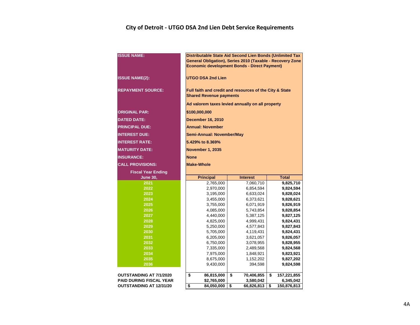### **City of Detroit - UTGO DSA 2nd Lien Debt Service Requirements**

| <b>ISSUE NAME:</b>             | Distributable State Aid Second Lien Bonds (Unlimited Tax<br>General Obligation), Series 2010 (Taxable - Recovery Zone<br><b>Economic development Bonds - Direct Payment)</b> |                               |                                |  |  |  |  |  |  |  |  |  |  |  |
|--------------------------------|------------------------------------------------------------------------------------------------------------------------------------------------------------------------------|-------------------------------|--------------------------------|--|--|--|--|--|--|--|--|--|--|--|
| <b>ISSUE NAME(2):</b>          | <b>UTGO DSA 2nd Lien</b>                                                                                                                                                     |                               |                                |  |  |  |  |  |  |  |  |  |  |  |
| <b>REPAYMENT SOURCE:</b>       | Full faith and credit and resources of the City & State<br><b>Shared Revenue payments</b>                                                                                    |                               |                                |  |  |  |  |  |  |  |  |  |  |  |
|                                | Ad valorem taxes levied annually on all property                                                                                                                             |                               |                                |  |  |  |  |  |  |  |  |  |  |  |
| <b>ORIGINAL PAR:</b>           | \$100,000,000                                                                                                                                                                |                               |                                |  |  |  |  |  |  |  |  |  |  |  |
| <b>DATED DATE:</b>             |                                                                                                                                                                              |                               |                                |  |  |  |  |  |  |  |  |  |  |  |
|                                | <b>December 16, 2010</b>                                                                                                                                                     |                               |                                |  |  |  |  |  |  |  |  |  |  |  |
| <b>PRINCIPAL DUE:</b>          | <b>Annual: November</b>                                                                                                                                                      |                               |                                |  |  |  |  |  |  |  |  |  |  |  |
| <b>INTEREST DUE:</b>           | <b>Semi-Annual: November/May</b>                                                                                                                                             |                               |                                |  |  |  |  |  |  |  |  |  |  |  |
| <b>INTEREST RATE:</b>          | 5.429% to 8.369%                                                                                                                                                             |                               |                                |  |  |  |  |  |  |  |  |  |  |  |
| <b>MATURITY DATE:</b>          | <b>November 1, 2035</b>                                                                                                                                                      |                               |                                |  |  |  |  |  |  |  |  |  |  |  |
| <b>INSURANCE:</b>              | <b>None</b>                                                                                                                                                                  |                               |                                |  |  |  |  |  |  |  |  |  |  |  |
| <b>CALL PROVISIONS:</b>        | <b>Make-Whole</b>                                                                                                                                                            |                               |                                |  |  |  |  |  |  |  |  |  |  |  |
| <b>Fiscal Year Ending</b>      |                                                                                                                                                                              |                               |                                |  |  |  |  |  |  |  |  |  |  |  |
| <b>June 30,</b>                | <b>Principal</b>                                                                                                                                                             | <b>Interest</b>               | <b>Total</b>                   |  |  |  |  |  |  |  |  |  |  |  |
| 2021                           | 2,765,000                                                                                                                                                                    | 7,060,710                     | 9,825,710                      |  |  |  |  |  |  |  |  |  |  |  |
| 2022                           | 2,970,000                                                                                                                                                                    | 6,854,594                     | 9,824,594                      |  |  |  |  |  |  |  |  |  |  |  |
| 2023                           | 3,195,000                                                                                                                                                                    | 6,633,024                     | 9,828,024                      |  |  |  |  |  |  |  |  |  |  |  |
| 2024                           | 3,455,000                                                                                                                                                                    | 6,373,621                     | 9,828,621                      |  |  |  |  |  |  |  |  |  |  |  |
| 2025                           | 3,755,000                                                                                                                                                                    | 6,071,919                     | 9,826,919                      |  |  |  |  |  |  |  |  |  |  |  |
| 2026                           | 4,085,000                                                                                                                                                                    | 5,743,854                     | 9,828,854                      |  |  |  |  |  |  |  |  |  |  |  |
| 2027                           | 4,440,000                                                                                                                                                                    | 5,387,125                     | 9,827,125                      |  |  |  |  |  |  |  |  |  |  |  |
| 2028                           | 4,825,000                                                                                                                                                                    | 4,999,431                     | 9,824,431<br>9,827,843         |  |  |  |  |  |  |  |  |  |  |  |
| 2029                           |                                                                                                                                                                              |                               |                                |  |  |  |  |  |  |  |  |  |  |  |
|                                | 5,250,000                                                                                                                                                                    | 4,577,843                     |                                |  |  |  |  |  |  |  |  |  |  |  |
| 2030                           | 5,705,000                                                                                                                                                                    | 4,119,431                     | 9,824,431                      |  |  |  |  |  |  |  |  |  |  |  |
| 2031                           | 6,205,000                                                                                                                                                                    | 3,621,057                     | 9,826,057                      |  |  |  |  |  |  |  |  |  |  |  |
| 2032                           | 6,750,000                                                                                                                                                                    | 3,078,955                     | 9,828,955                      |  |  |  |  |  |  |  |  |  |  |  |
| 2033                           | 7,335,000                                                                                                                                                                    | 2,489,568                     | 9,824,568                      |  |  |  |  |  |  |  |  |  |  |  |
| 2034<br>2035                   | 7,975,000                                                                                                                                                                    | 1,848,921                     | 9,823,921                      |  |  |  |  |  |  |  |  |  |  |  |
| 2036                           | 8,675,000<br>9,430,000                                                                                                                                                       | 1,152,202<br>394,598          | 9,827,202<br>9,824,598         |  |  |  |  |  |  |  |  |  |  |  |
|                                |                                                                                                                                                                              |                               |                                |  |  |  |  |  |  |  |  |  |  |  |
| <b>OUTSTANDING AT 7/1/2020</b> | \$<br>86,815,000                                                                                                                                                             | \$<br>70,406,855              | \$<br>157,221,855              |  |  |  |  |  |  |  |  |  |  |  |
| <b>PAID DURING FISCAL YEAR</b> | \$2,765,000<br>\$<br>84,050,000                                                                                                                                              | 3,580,042<br>\$<br>66,826,813 | 6,345,042<br>\$<br>150,876,813 |  |  |  |  |  |  |  |  |  |  |  |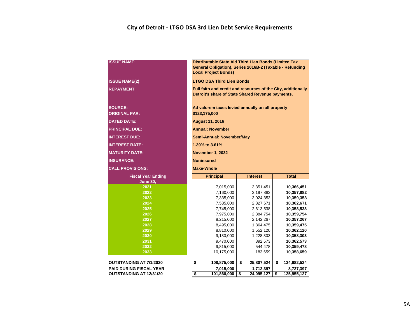### **City of Detroit - LTGO DSA 3rd Lien Debt Service Requirements**

| <b>ISSUE NAME:</b>                     | Distributable State Aid Third Lien Bonds (Limited Tax<br>General Obligation), Series 2016B-2 (Taxable - Refunding<br><b>Local Project Bonds)</b> |                                                                                                                    |    |                        |    |                          |  |  |  |  |  |  |  |
|----------------------------------------|--------------------------------------------------------------------------------------------------------------------------------------------------|--------------------------------------------------------------------------------------------------------------------|----|------------------------|----|--------------------------|--|--|--|--|--|--|--|
| <b>ISSUE NAME(2):</b>                  |                                                                                                                                                  | <b>LTGO DSA Third Lien Bonds</b>                                                                                   |    |                        |    |                          |  |  |  |  |  |  |  |
| <b>REPAYMENT</b>                       |                                                                                                                                                  | Full faith and credit and resources of the City, additionally<br>Detroit's share of State Shared Revenue payments. |    |                        |    |                          |  |  |  |  |  |  |  |
| <b>SOURCE:</b><br><b>ORIGINAL PAR:</b> |                                                                                                                                                  | Ad valorem taxes levied annually on all property<br>\$123,175,000                                                  |    |                        |    |                          |  |  |  |  |  |  |  |
| <b>DATED DATE:</b>                     | <b>August 11, 2016</b>                                                                                                                           |                                                                                                                    |    |                        |    |                          |  |  |  |  |  |  |  |
| <b>PRINCIPAL DUE:</b>                  | <b>Annual: November</b>                                                                                                                          |                                                                                                                    |    |                        |    |                          |  |  |  |  |  |  |  |
| <b>INTEREST DUE:</b>                   | Semi-Annual: November/May                                                                                                                        |                                                                                                                    |    |                        |    |                          |  |  |  |  |  |  |  |
| <b>INTEREST RATE:</b>                  | 1.39% to 3.61%                                                                                                                                   |                                                                                                                    |    |                        |    |                          |  |  |  |  |  |  |  |
| <b>MATURITY DATE:</b>                  | November 1, 2032                                                                                                                                 |                                                                                                                    |    |                        |    |                          |  |  |  |  |  |  |  |
| <b>INSURANCE:</b>                      | <b>Noninsured</b>                                                                                                                                |                                                                                                                    |    |                        |    |                          |  |  |  |  |  |  |  |
| <b>CALL PROVISIONS:</b>                | <b>Make-Whole</b>                                                                                                                                |                                                                                                                    |    |                        |    |                          |  |  |  |  |  |  |  |
| <b>Fiscal Year Ending</b>              |                                                                                                                                                  | <b>Principal</b>                                                                                                   |    | <b>Interest</b>        |    | <b>Total</b>             |  |  |  |  |  |  |  |
| <b>June 30,</b>                        |                                                                                                                                                  |                                                                                                                    |    |                        |    |                          |  |  |  |  |  |  |  |
| 2021                                   |                                                                                                                                                  | 7,015,000                                                                                                          |    | 10,366,451             |    |                          |  |  |  |  |  |  |  |
| 2022                                   |                                                                                                                                                  | 7,160,000                                                                                                          |    | 3,197,882              |    | 10,357,882               |  |  |  |  |  |  |  |
| 2023<br>2024                           |                                                                                                                                                  | 7,335,000                                                                                                          |    | 3,024,353              |    | 10,359,353               |  |  |  |  |  |  |  |
| 2025                                   |                                                                                                                                                  | 7,535,000<br>7,745,000                                                                                             |    | 2,827,671<br>2,613,538 |    | 10,362,671<br>10,358,538 |  |  |  |  |  |  |  |
| 2026                                   |                                                                                                                                                  | 7,975,000                                                                                                          |    | 2,384,754              |    | 10,359,754               |  |  |  |  |  |  |  |
| 2027                                   |                                                                                                                                                  | 8,215,000                                                                                                          |    | 2,142,267              |    | 10,357,267               |  |  |  |  |  |  |  |
| 2028                                   |                                                                                                                                                  | 8,495,000                                                                                                          |    | 1,864,475              |    | 10,359,475               |  |  |  |  |  |  |  |
| 2029                                   |                                                                                                                                                  | 8,810,000                                                                                                          |    | 1,552,120              |    | 10,362,120               |  |  |  |  |  |  |  |
| 2030                                   |                                                                                                                                                  | 9,130,000                                                                                                          |    | 1,228,303              |    | 10,358,303               |  |  |  |  |  |  |  |
| 2031                                   |                                                                                                                                                  | 9,470,000                                                                                                          |    | 892,573                |    | 10,362,573               |  |  |  |  |  |  |  |
| 2032                                   |                                                                                                                                                  | 9,815,000                                                                                                          |    | 544,478                |    | 10,359,478               |  |  |  |  |  |  |  |
| 2033                                   |                                                                                                                                                  | 10,175,000                                                                                                         |    | 183,659                |    | 10,358,659               |  |  |  |  |  |  |  |
| <b>OUTSTANDING AT 7/1/2020</b>         | \$                                                                                                                                               | 108,875,000                                                                                                        | \$ | 25,807,524             | \$ | 134,682,524              |  |  |  |  |  |  |  |
| <b>PAID DURING FISCAL YEAR</b>         |                                                                                                                                                  | 7,015,000                                                                                                          |    | 1,712,397              |    | 8,727,397                |  |  |  |  |  |  |  |
| <b>OUTSTANDING AT 12/31/20</b>         | \$                                                                                                                                               | 101,860,000                                                                                                        | \$ | 24,095,127             | \$ | 125,955,127              |  |  |  |  |  |  |  |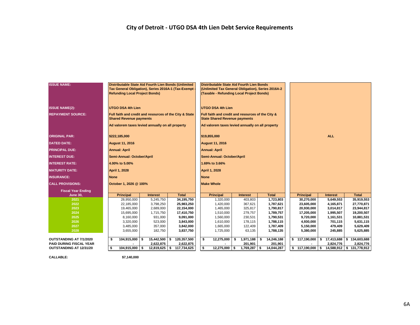### **City of Detroit - UTGO DSA 4th Lien Debt Service Requirements**

| <b>ISSUE NAME:</b>             | Distributable State Aid Fourth Lien Bonds (Unlimited<br>Tax General Obligation), Series 2016A-1 (Tax-Exempt<br><b>Refunding Local Project Bonds)</b> |                 |                   | Distributable State Aid Fourth Lien Bonds<br>(Unlimited Tax General Obligation), Series 2016A-2<br>(Taxable - Refunding Local Project Bonds) |    |                |    |              |            |                              |                 |           |                           |  |  |
|--------------------------------|------------------------------------------------------------------------------------------------------------------------------------------------------|-----------------|-------------------|----------------------------------------------------------------------------------------------------------------------------------------------|----|----------------|----|--------------|------------|------------------------------|-----------------|-----------|---------------------------|--|--|
| <b>ISSUE NAME(2):</b>          | <b>UTGO DSA 4th Lien</b>                                                                                                                             |                 |                   | <b>UTGO DSA 4th Lien</b>                                                                                                                     |    |                |    |              |            |                              |                 |           |                           |  |  |
| <b>REPAYMENT SOURCE:</b>       | Full faith and credit and resources of the City & State<br><b>Shared Revenue payments</b>                                                            |                 |                   | Full faith and credit and resources of the City &<br><b>State Shared Revenue payments</b>                                                    |    |                |    |              |            |                              |                 |           |                           |  |  |
|                                | Ad valorem taxes levied annually on all property                                                                                                     |                 |                   | Ad valorem taxes levied annually on all property                                                                                             |    |                |    |              |            |                              |                 |           |                           |  |  |
| <b>ORIGINAL PAR:</b>           | \$222,185,000                                                                                                                                        |                 |                   | \$19,855,000                                                                                                                                 |    |                |    |              | <b>ALL</b> |                              |                 |           |                           |  |  |
| <b>DATED DATE:</b>             | <b>August 11, 2016</b>                                                                                                                               |                 |                   | <b>August 11, 2016</b>                                                                                                                       |    |                |    |              |            |                              |                 |           |                           |  |  |
| <b>PRINCIPAL DUE:</b>          | <b>Annual: April</b>                                                                                                                                 |                 |                   | <b>Annual: April</b>                                                                                                                         |    |                |    |              |            |                              |                 |           |                           |  |  |
| <b>INTEREST DUE:</b>           | Semi-Annual: October/April                                                                                                                           |                 |                   | Semi-Annual: October/April                                                                                                                   |    |                |    |              |            |                              |                 |           |                           |  |  |
| <b>INTEREST RATE:</b>          | 4.00% to 5.00%                                                                                                                                       |                 |                   | 1.69% to 3.66%                                                                                                                               |    |                |    |              |            |                              |                 |           |                           |  |  |
| <b>MATURITY DATE:</b>          | April 1, 2028                                                                                                                                        |                 |                   | <b>April 1, 2028</b>                                                                                                                         |    |                |    |              |            |                              |                 |           |                           |  |  |
| <b>INSURANCE:</b>              | <b>None</b>                                                                                                                                          |                 |                   | <b>None</b>                                                                                                                                  |    |                |    |              |            |                              |                 |           |                           |  |  |
| <b>CALL PROVISIONS:</b>        | October 1, 2026 @ 100%                                                                                                                               |                 |                   | <b>Make Whole</b>                                                                                                                            |    |                |    |              |            |                              |                 |           |                           |  |  |
| <b>Fiscal Year Ending</b>      |                                                                                                                                                      |                 |                   |                                                                                                                                              |    |                |    |              |            |                              |                 |           |                           |  |  |
| <b>June 30.</b>                | <b>Principal</b>                                                                                                                                     | <b>Interest</b> | <b>Total</b>      | <b>Principal</b>                                                                                                                             |    | Interest       |    | <b>Total</b> |            | <b>Principal</b>             | <b>Interest</b> |           | <b>Total</b>              |  |  |
| 2021                           | 28,950,000                                                                                                                                           | 5,245,750       | 34,195,750        | 1,320,000                                                                                                                                    |    | 403,803        |    | 1,723,803    |            | 30,270,000                   | 5,649,553       |           | 35,919,553                |  |  |
| 2022                           | 22,185,000                                                                                                                                           | 3,798,250       | 25,983,250        | 1,420,000                                                                                                                                    |    | 367,621        |    | 1,787,621    |            | 23,605,000                   | 4,165,871       |           | 27,770,871                |  |  |
| 2023                           | 19,465,000                                                                                                                                           | 2,689,000       | 22,154,000        | 1,465,000                                                                                                                                    |    | 325,817        |    | 1,790,817    |            | 20,930,000                   | 3,014,817       |           | 23,944,817                |  |  |
| 2024                           | 15,695,000                                                                                                                                           | 1,715,750       | 17,410,750        | 1,510,000                                                                                                                                    |    | 279,757        |    | 1,789,757    |            | 17,205,000                   | 1,995,507       |           | 19,200,507                |  |  |
| 2025                           | 8,160,000                                                                                                                                            | 931,000         | 9,091,000         | 1,560,000                                                                                                                                    |    | 230,531        |    | 1,790,531    |            | 9,720,000                    | 1,161,531       |           | 10,881,531                |  |  |
| 2026                           | 3,320,000                                                                                                                                            | 523,000         | 3,843,000         | 1,610,000                                                                                                                                    |    | 178,115        |    | 1,788,115    |            | 4,930,000                    | 701,115         |           | 5,631,115                 |  |  |
| 2027<br>2028                   | 3,485,000                                                                                                                                            | 357,000         | 3,842,000         | 1,665,000                                                                                                                                    |    | 122,409        |    | 1,787,409    |            | 5,150,000                    | 479,409         | 5,629,409 |                           |  |  |
|                                | 3,655,000                                                                                                                                            | 182,750         | 3,837,750         | 1,725,000                                                                                                                                    |    | 63,135         |    | 1,788,135    |            | 5,380,000                    | 245,885         |           | 5,625,885                 |  |  |
| OUTSTANDING AT 7/1/2020        | 104,915,000 \$<br>\$                                                                                                                                 | 15,442,500      | 120,357,500<br>s. | \$<br>12,275,000                                                                                                                             | \$ | 1,971,188      | \$ | 14,246,188   |            | \$117,190,000                | \$17,413,688    |           | \$134,603,688             |  |  |
| <b>PAID DURING FISCAL YEAR</b> |                                                                                                                                                      | 2,622,875       | 2,622,875         |                                                                                                                                              |    | 201,901        |    | 201,901      |            |                              | 2,824,776       |           | 2,824,776                 |  |  |
| OUTSTANDING AT 12/31/20        | 104,915,000 \$<br>\$                                                                                                                                 | $12,819,625$ \$ | 117,734,625       | $12,275,000$ \$<br>\$                                                                                                                        |    | $1,769,287$ \$ |    | 14,044,287   |            | $\frac{1}{2}$ 117,190,000 \$ |                 |           | 14,588,912 \$ 131,778,912 |  |  |

**CALLABLE: \$7,140,000**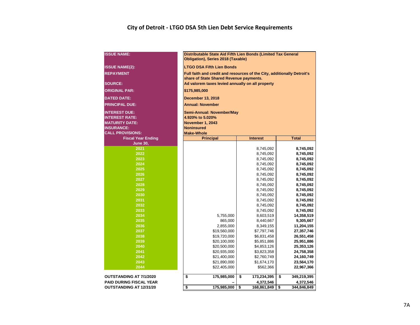### **City of Detroit - LTGO DSA 5th Lien Debt Service Requirements**

| <b>ISSUE NAME:</b>             | Distributable State Aid Fifth Lien Bonds (Limited Tax General<br>Obligation), Series 2018 (Taxable) |                        |                         |  |  |  |  |  |  |  |  |  |  |  |
|--------------------------------|-----------------------------------------------------------------------------------------------------|------------------------|-------------------------|--|--|--|--|--|--|--|--|--|--|--|
| <b>ISSUE NAME(2):</b>          | <b>LTGO DSA Fifth Lien Bonds</b>                                                                    |                        |                         |  |  |  |  |  |  |  |  |  |  |  |
| <b>REPAYMENT</b>               | Full faith and credit and resources of the City, additionally Detroit's                             |                        |                         |  |  |  |  |  |  |  |  |  |  |  |
|                                | share of State Shared Revenue payments.                                                             |                        |                         |  |  |  |  |  |  |  |  |  |  |  |
| <b>SOURCE:</b>                 | Ad valorem taxes levied annually on all property                                                    |                        |                         |  |  |  |  |  |  |  |  |  |  |  |
| <b>ORIGINAL PAR:</b>           | \$175,985,000                                                                                       |                        |                         |  |  |  |  |  |  |  |  |  |  |  |
| <b>DATED DATE:</b>             | <b>December 13, 2018</b>                                                                            |                        |                         |  |  |  |  |  |  |  |  |  |  |  |
| <b>PRINCIPAL DUE:</b>          | <b>Annual: November</b>                                                                             |                        |                         |  |  |  |  |  |  |  |  |  |  |  |
| <b>INTEREST DUE:</b>           | Semi-Annual: November/May                                                                           |                        |                         |  |  |  |  |  |  |  |  |  |  |  |
| <b>INTEREST RATE:</b>          | 4.920% to 5.020%                                                                                    |                        |                         |  |  |  |  |  |  |  |  |  |  |  |
| <b>MATURITY DATE:</b>          | <b>November 1, 2043</b>                                                                             |                        |                         |  |  |  |  |  |  |  |  |  |  |  |
| <b>INSURANCE:</b>              | <b>Noninsured</b>                                                                                   |                        |                         |  |  |  |  |  |  |  |  |  |  |  |
| <b>CALL PROVISIONS:</b>        | <b>Make-Whole</b>                                                                                   |                        |                         |  |  |  |  |  |  |  |  |  |  |  |
| <b>Fiscal Year Ending</b>      | <b>Principal</b><br><b>Total</b><br><b>Interest</b>                                                 |                        |                         |  |  |  |  |  |  |  |  |  |  |  |
| <b>June 30,</b>                |                                                                                                     |                        |                         |  |  |  |  |  |  |  |  |  |  |  |
| 2021                           |                                                                                                     | 8,745,092              | 8,745,092               |  |  |  |  |  |  |  |  |  |  |  |
| 2022                           |                                                                                                     | 8,745,092              | 8,745,092<br>8,745,092  |  |  |  |  |  |  |  |  |  |  |  |
| 2023                           |                                                                                                     | 8,745,092              |                         |  |  |  |  |  |  |  |  |  |  |  |
| 2024                           |                                                                                                     | 8,745,092<br>8,745,092 |                         |  |  |  |  |  |  |  |  |  |  |  |
| 2025                           |                                                                                                     | 8,745,092              | 8,745,092               |  |  |  |  |  |  |  |  |  |  |  |
| 2026                           |                                                                                                     | 8,745,092              | 8,745,092               |  |  |  |  |  |  |  |  |  |  |  |
| 2027                           |                                                                                                     | 8,745,092              | 8,745,092               |  |  |  |  |  |  |  |  |  |  |  |
| 2028                           |                                                                                                     | 8,745,092              | 8,745,092               |  |  |  |  |  |  |  |  |  |  |  |
| 2029                           |                                                                                                     | 8,745,092              | 8,745,092               |  |  |  |  |  |  |  |  |  |  |  |
| 2030                           |                                                                                                     | 8,745,092              | 8,745,092               |  |  |  |  |  |  |  |  |  |  |  |
| 2031                           |                                                                                                     | 8,745,092              | 8,745,092               |  |  |  |  |  |  |  |  |  |  |  |
| 2032<br>2033                   |                                                                                                     | 8,745,092              | 8,745,092               |  |  |  |  |  |  |  |  |  |  |  |
| 2034                           | 5,755,000                                                                                           | 8,745,092              | 8,745,092               |  |  |  |  |  |  |  |  |  |  |  |
| 2035                           | 865,000                                                                                             | 8,603,519<br>8,440,667 | 14,358,519<br>9,305,667 |  |  |  |  |  |  |  |  |  |  |  |
| 2036                           | 2,855,000                                                                                           | 8,349,155              | 11,204,155              |  |  |  |  |  |  |  |  |  |  |  |
| 2037                           | \$19,560,000                                                                                        | \$7,797,746            | 27,357,746              |  |  |  |  |  |  |  |  |  |  |  |
| 2038                           | \$19,720,000                                                                                        | \$6,831,458            | 26,551,458              |  |  |  |  |  |  |  |  |  |  |  |
| 2039                           | \$20,100,000                                                                                        | \$5,851,886            | 25,951,886              |  |  |  |  |  |  |  |  |  |  |  |
| 2040                           | \$20,500,000                                                                                        | \$4,853,126            | 25,353,126              |  |  |  |  |  |  |  |  |  |  |  |
| 2041                           | \$20,935,000                                                                                        | \$3,823,358            | 24,758,358              |  |  |  |  |  |  |  |  |  |  |  |
| 2042                           | \$21,400,000                                                                                        | \$2,760,749            | 24,160,749              |  |  |  |  |  |  |  |  |  |  |  |
| 2043                           | \$21,890,000<br>\$1,674,170<br>23,564,170                                                           |                        |                         |  |  |  |  |  |  |  |  |  |  |  |
| 2044                           | \$22,405,000                                                                                        | \$562,366              | 22,967,366              |  |  |  |  |  |  |  |  |  |  |  |
| <b>OUTSTANDING AT 7/1/2020</b> | \$<br>175,985,000                                                                                   | \$<br>173,234,395      | \$<br>349,219,395       |  |  |  |  |  |  |  |  |  |  |  |
| <b>PAID DURING FISCAL YEAR</b> |                                                                                                     | 4,372,546              | 4,372,546               |  |  |  |  |  |  |  |  |  |  |  |
| <b>OUTSTANDING AT 12/31/20</b> | \$<br>175,985,000                                                                                   | \$<br>168,861,849      | \$<br>344,846,849       |  |  |  |  |  |  |  |  |  |  |  |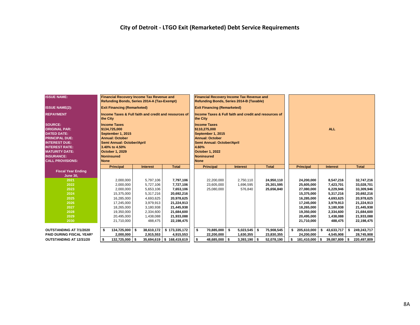| <b>ISSUE NAME:</b>                                                                                                                                                                                              | <b>Financial Recovery Income Tax Revenue and</b><br>Refunding Bonds, Series 2014-A (Tax-Exempt)                                                                                                   |                 |                           | <b>Financial Recovery Income Tax Revenue and</b><br>Refunding Bonds, Series 2014-B (Taxable)                                                                                      |                 |                  |                     |                    |                     |  |  |  |
|-----------------------------------------------------------------------------------------------------------------------------------------------------------------------------------------------------------------|---------------------------------------------------------------------------------------------------------------------------------------------------------------------------------------------------|-----------------|---------------------------|-----------------------------------------------------------------------------------------------------------------------------------------------------------------------------------|-----------------|------------------|---------------------|--------------------|---------------------|--|--|--|
| <b>ISSUE NAME(2):</b>                                                                                                                                                                                           | <b>Exit Financing (Remarketed)</b>                                                                                                                                                                |                 |                           | <b>Exit Financing (Remarketed)</b>                                                                                                                                                |                 |                  |                     |                    |                     |  |  |  |
| <b>REPAYMENT</b>                                                                                                                                                                                                | Income Taxes & Full faith and credit and resources of<br>the City                                                                                                                                 |                 |                           | Income Taxes & Full faith and credit and resources of<br>the City                                                                                                                 |                 |                  |                     |                    |                     |  |  |  |
| <b>SOURCE:</b><br><b>ORIGINAL PAR:</b><br><b>DATED DATE:</b><br><b>PRINCIPAL DUE:</b><br><b>INTEREST DUE:</b><br><b>INTEREST RATE:</b><br><b>MATURITY DATE:</b><br><b>INSURANCE:</b><br><b>CALL PROVISIONS:</b> | <b>Income Taxes</b><br>\$134,725,000<br>September 1, 2015<br><b>Annual: October</b><br>Semi Annual: October/April<br>3.40% to 4.50%<br><b>October 1, 2029</b><br><b>Noninsured</b><br><b>None</b> |                 |                           | <b>Income Taxes</b><br>\$110,275,000<br>September 1, 2015<br><b>Annual: October</b><br>Semi Annual: October/April<br>4.60%<br>October 1, 2022<br><b>Noninsured</b><br><b>None</b> |                 |                  | <b>ALL</b>          |                    |                     |  |  |  |
|                                                                                                                                                                                                                 | <b>Principal</b>                                                                                                                                                                                  | <b>Interest</b> | <b>Total</b>              | <b>Principal</b>                                                                                                                                                                  | <b>Interest</b> | <b>Total</b>     | <b>Principal</b>    | <b>Interest</b>    | <b>Total</b>        |  |  |  |
| <b>Fiscal Year Ending</b><br><b>June 30,</b>                                                                                                                                                                    |                                                                                                                                                                                                   |                 |                           |                                                                                                                                                                                   |                 |                  |                     |                    |                     |  |  |  |
| 2021                                                                                                                                                                                                            | 2,000,000                                                                                                                                                                                         | 5.797.106       | 7,797,106                 | 22,200,000                                                                                                                                                                        | 2.750.110       | 24.950.110       | 24,200,000          | 8,547,216          | 32,747,216          |  |  |  |
| 2022                                                                                                                                                                                                            | 2,000,000                                                                                                                                                                                         | 5,727,106       | 7,727,106                 | 23,605,000                                                                                                                                                                        | 1,696,595       | 25,301,595       | 25,605,000          | 7,423,701          | 33,028,701          |  |  |  |
| 2023                                                                                                                                                                                                            | 2,000,000                                                                                                                                                                                         | 5,653,106       | 7,653,106                 | 25,080,000                                                                                                                                                                        | 576,840         | 25,656,840       | 27,080,000          | 6,229,946          | 33,309,946          |  |  |  |
| 2024                                                                                                                                                                                                            | 15,375,000                                                                                                                                                                                        | 5,317,216       | 20,692,216                |                                                                                                                                                                                   |                 |                  | 15,375,000          | 5,317,216          | 20,692,216          |  |  |  |
| 2025                                                                                                                                                                                                            | 16,285,000                                                                                                                                                                                        | 4,693,625       | 20,978,625                |                                                                                                                                                                                   |                 |                  | 16,285,000          | 4.693.625          | 20,978,625          |  |  |  |
| 2026                                                                                                                                                                                                            | 17,245,000                                                                                                                                                                                        | 3,979,913       | 21,224,913                |                                                                                                                                                                                   |                 |                  | 17,245,000          | 3,979,913          | 21,224,913          |  |  |  |
| 2027                                                                                                                                                                                                            | 18,265,000                                                                                                                                                                                        | 3,180,938       | 21,445,938                |                                                                                                                                                                                   |                 |                  | 18,265,000          | 3,180,938          | 21,445,938          |  |  |  |
| 2028                                                                                                                                                                                                            | 19,350,000                                                                                                                                                                                        | 2,334,600       | 21,684,600                |                                                                                                                                                                                   |                 |                  | 19,350,000          | 2,334,600          | 21,684,600          |  |  |  |
| 2029                                                                                                                                                                                                            | 20,495,000                                                                                                                                                                                        | 1,438,088       | 21,933,088                |                                                                                                                                                                                   |                 |                  | 20,495,000          | 1,438,088          | 21,933,088          |  |  |  |
| 2030                                                                                                                                                                                                            | 21,710,000                                                                                                                                                                                        | 488,475         | 22,198,475                |                                                                                                                                                                                   |                 |                  | 21,710,000          | 488,475            | 22,198,475          |  |  |  |
| OUTSTANDING AT 7/1/2020                                                                                                                                                                                         | \$<br>134,725,000 \$                                                                                                                                                                              | 38,610,172      | \$173,335,172             | \$<br>70,885,000 \$                                                                                                                                                               | 5,023,545       | 75,908,545<br>\$ | 205,610,000         | 43,633,717<br>\$   | 249,243,717<br>s.   |  |  |  |
| <b>PAID DURING FISCAL YEAR*</b>                                                                                                                                                                                 | 2.000.000                                                                                                                                                                                         | 2,915,553       | 4,915,553                 | 22,200,000                                                                                                                                                                        | 1,630,355       | 23,830,355       | 24,200,000          | 4,545,908          | 28,745,908          |  |  |  |
| OUTSTANDING AT 12/31/20                                                                                                                                                                                         | 132,725,000 \$<br>s.                                                                                                                                                                              |                 | 35,694,619 \$ 168,419,619 | \$<br>48,685,000 \$                                                                                                                                                               | $3,393,190$ \$  | 52,078,190       | 181,410,000<br>- \$ | 39,087,809<br>l \$ | l \$<br>220,497,809 |  |  |  |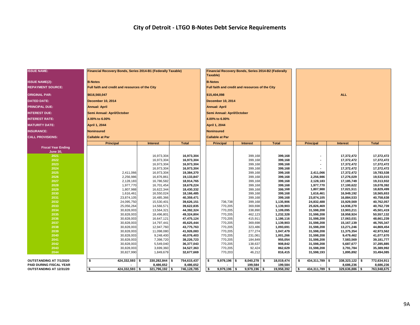| <b>ISSUE NAME:</b>                           | Financial Recovery Bonds, Series 2014-B1 (Federally Taxable) |                          |                          | Financial Recovery Bonds, Series 2014-B2 (Federally<br>Taxable) |                    |                      |                          |                          |                          |  |  |  |
|----------------------------------------------|--------------------------------------------------------------|--------------------------|--------------------------|-----------------------------------------------------------------|--------------------|----------------------|--------------------------|--------------------------|--------------------------|--|--|--|
| <b>ISSUE NAME(2):</b>                        | <b>B-Notes</b>                                               |                          |                          | <b>B-Notes</b>                                                  |                    |                      |                          |                          |                          |  |  |  |
| <b>REPAYMENT SOURCE:</b>                     | Full faith and credit and resources of the City              |                          |                          | Full faith and credit and resources of the City                 |                    |                      |                          |                          |                          |  |  |  |
| <b>ORIGINAL PAR:</b>                         | \$616,560,047                                                |                          |                          | \$15,404,098                                                    |                    |                      | <b>ALL</b>               |                          |                          |  |  |  |
| <b>DATED DATE:</b>                           | <b>December 10, 2014</b>                                     |                          |                          | December 10, 2014                                               |                    |                      |                          |                          |                          |  |  |  |
| <b>PRINCIPAL DUE:</b>                        | <b>Annual: April</b>                                         |                          |                          | <b>Annual: April</b>                                            |                    |                      |                          |                          |                          |  |  |  |
| <b>INTEREST DUE:</b>                         | Semi Annual: April/October                                   |                          |                          | Semi Annual: April/October                                      |                    |                      |                          |                          |                          |  |  |  |
| <b>INTEREST RATE:</b>                        | 4.00% to 6.00%                                               |                          |                          | 4.00% to 6.00%                                                  |                    |                      |                          |                          |                          |  |  |  |
| <b>MATURITY DATE:</b>                        | April 1, 2044                                                |                          |                          | April 1, 2044                                                   |                    |                      |                          |                          |                          |  |  |  |
| <b>INSURANCE:</b>                            | <b>Noninsured</b>                                            |                          |                          | <b>Noninsured</b>                                               |                    |                      |                          |                          |                          |  |  |  |
| <b>CALL PROVISIONS:</b>                      | <b>Callable at Par</b>                                       |                          |                          | <b>Callable at Par</b>                                          |                    |                      |                          |                          |                          |  |  |  |
|                                              | Principal                                                    | <b>Interest</b>          | <b>Total</b>             | <b>Principal</b>                                                | <b>Interest</b>    | <b>Total</b>         | <b>Principal</b>         | <b>Interest</b>          | <b>Total</b>             |  |  |  |
| <b>Fiscal Year Ending</b><br><b>June 30,</b> |                                                              |                          |                          |                                                                 |                    |                      |                          |                          |                          |  |  |  |
| 2021                                         |                                                              | 16,973,304               | 16,973,304               |                                                                 | 399,168            | 399,168              | ٠                        | 17,372,472               | 17,372,472               |  |  |  |
| 2022                                         |                                                              | 16,973,304               | 16,973,304               |                                                                 | 399,168            | 399,168              |                          | 17,372,472               | 17,372,472               |  |  |  |
| 2023                                         |                                                              | 16,973,304               | 16,973,304               |                                                                 | 399,168            | 399,168              |                          | 17,372,472               | 17,372,472               |  |  |  |
| 2024                                         |                                                              | 16,973,304               | 16,973,304               |                                                                 | 399,168            | 399,168              |                          | 17,372,472               | 17,372,472               |  |  |  |
| 2025                                         | 2,411,066                                                    | 16,973,304               | 19,384,370               |                                                                 | 399,168            | 399,168              | 2,411,066                | 17,372,472               | 19,783,538               |  |  |  |
| 2026<br>2027                                 | 2,256,986<br>2,128,183                                       | 16,876,861<br>16,786,582 | 19,133,847<br>18,914,765 |                                                                 | 399,168<br>399,168 | 399,168<br>399,168   | 2,256,986<br>2,128,183   | 17,276,029<br>17,185,749 | 19,533,015<br>19,313,932 |  |  |  |
| 2028                                         | 1,977,770                                                    | 16,701,454               | 18,679,224               |                                                                 | 399,168            | 399,168              | 1,977,770                | 17,100,622               | 19,078,392               |  |  |  |
| 2029                                         | 1,807,988                                                    | 16,622,344               | 18,430,332               |                                                                 | 399,168            | 399,168              | 1,807,988                | 17,021,511               | 18,829,499               |  |  |  |
| 2030                                         | 1,616,461                                                    | 16,550,024               | 18,166,485               |                                                                 | 399,168            | 399,168              | 1,616,461                | 16,949,192               | 18,565,653               |  |  |  |
| 2031                                         | 23,874,105                                                   | 16,485,366               | 40,359,471               |                                                                 | 399,168            | 399,168              | 23,874,105               | 16,884,533               | 40,758,638               |  |  |  |
| 2032                                         | 24,095,750                                                   | 15,530,401               | 39,626,151               | 736,738                                                         | 399,168            | 1,135,906            | 24,832,488               | 15,929,569               | 40,762,057               |  |  |  |
| 2033                                         | 25,056,264                                                   | 14,566,571               | 39,622,835               | 770,205                                                         | 369,698            | 1,139,903            | 25,826,469               | 14,936,270               | 40,762,739               |  |  |  |
| 2034                                         | 30,828,003                                                   | 13,564,321               | 44,392,324               | 770,205                                                         | 338,890            | 1,109,095            | 31,598,208               | 13,903,211               | 45,501,419               |  |  |  |
| 2035                                         | 30,828,003                                                   | 18,496,801               | 49,324,804               | 770,205                                                         | 462,123            | 1,232,328            | 31,598,208               | 18,958,924               | 50,557,132               |  |  |  |
| 2036                                         | 30,828,003                                                   | 16,647,121               | 47,475,124               | 770,205                                                         | 415,911            | 1,186,116            | 31,598,208               | 17,063,031               | 48,661,239               |  |  |  |
| 2037                                         | 30,828,003                                                   | 14,797,441               | 45,625,444               | 770,205                                                         | 369,698            | 1,139,903            | 31,598,208               | 15,167,139               | 46,765,347               |  |  |  |
| 2038                                         | 30,828,003                                                   | 12,947,760               | 43,775,763               | 770,205                                                         | 323,486            | 1,093,691            | 31,598,208               | 13,271,246               | 44,869,454               |  |  |  |
| 2039                                         | 30,828,003                                                   | 11,098,080               | 41,926,083               | 770,205                                                         | 277,274            | 1,047,479            | 31,598,208               | 11,375,354               | 42,973,562               |  |  |  |
| 2040<br>2041                                 | 30,828,003<br>30,828,003                                     | 9,248,400<br>7,398,720   | 40,076,403<br>38,226,723 | 770,205<br>770,205                                              | 231,061<br>184,849 | 1,001,266<br>955,054 | 31,598,208<br>31,598,208 | 9,479,462<br>7,583,569   | 41,077,670<br>39,181,777 |  |  |  |
| 2042                                         | 30,828,003                                                   | 5,549,040                | 36,377,043               | 770,205                                                         | 138,637            | 908,842              | 31,598,208               | 5,687,677                | 37,285,885               |  |  |  |
| 2043                                         | 30,828,003                                                   | 3,699,360                | 34,527,363               | 770,205                                                         | 92,424             | 862,629              | 31,598,208               | 3,791,784                | 35,389,992               |  |  |  |
| 2044                                         | 30,827,990                                                   | 1,849,679                | 32,677,669               | 770,203                                                         | 46,212             | 816,415              | 31,598,193               | 1,895,892                | 33,494,085               |  |  |  |
| OUTSTANDING AT 7/1/2020                      | s.<br>424,332,593 \$                                         | 330,282,844 \$           | 754,615,437              | <b>S</b><br>$9,979,196$ \$                                      | 8,040,278 \$       | 18,019,474           | 434,311,789 \$<br>- \$   | $338,323,122$ \$         | 772,634,911              |  |  |  |
| <b>PAID DURING FISCAL YEAR</b>               |                                                              | 8,486,652                | 8,486,652                |                                                                 | 199,584            | 199,584              |                          | 8,686,236                | 8,686,236                |  |  |  |
| <b>OUTSTANDING AT 12/31/20</b>               | $424,332,593$ \$<br>$\overline{\bullet}$                     | 321,796,192 \$           | 746,128,785              | $9,979,196$ \$<br><b>S</b>                                      | $9,979,196$ \$     | 19,958,392           | 434,311,789 \$           | 329,636,886 \$           | 763,948,675              |  |  |  |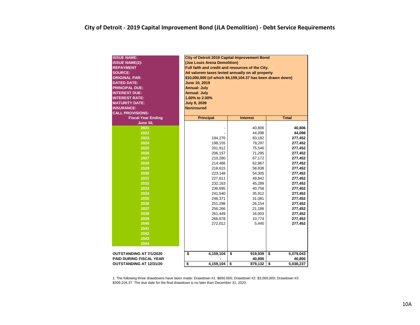| <b>ISSUE NAME:</b><br><b>ISSUE NAME(2):</b><br><b>REPAYMENT</b><br><b>SOURCE:</b><br><b>ORIGINAL PAR:</b><br><b>DATED DATE:</b><br><b>PRINCIPAL DUE:</b><br><b>INTEREST DUE:</b><br><b>INTEREST RATE:</b><br><b>MATURITY DATE:</b><br><b>INSURANCE:</b><br><b>CALL PROVISIONS:</b> | City of Detroit 2019 Capital Improvement Bond<br>(Joe Louis Arena Demolition)<br>Full faith and credit and resources of the City.<br>Ad valorem taxes levied annually on all property<br>\$10,000,000 (of which \$4,159,104.37 has been drawn down)<br>June 10, 2019<br><b>Annual: July</b><br><b>Annual: July</b><br>1.00% to 2.00%<br><b>July 9, 2039</b><br><b>Noninsured</b> |                  |                    |  |  |  |  |  |  |  |  |  |  |  |
|------------------------------------------------------------------------------------------------------------------------------------------------------------------------------------------------------------------------------------------------------------------------------------|----------------------------------------------------------------------------------------------------------------------------------------------------------------------------------------------------------------------------------------------------------------------------------------------------------------------------------------------------------------------------------|------------------|--------------------|--|--|--|--|--|--|--|--|--|--|--|
| <b>Fiscal Year Ending</b>                                                                                                                                                                                                                                                          | <b>Total</b><br><b>Principal</b><br><b>Interest</b>                                                                                                                                                                                                                                                                                                                              |                  |                    |  |  |  |  |  |  |  |  |  |  |  |
| <b>June 30,</b>                                                                                                                                                                                                                                                                    |                                                                                                                                                                                                                                                                                                                                                                                  |                  |                    |  |  |  |  |  |  |  |  |  |  |  |
| 2021                                                                                                                                                                                                                                                                               |                                                                                                                                                                                                                                                                                                                                                                                  | 40,806           | 40,806             |  |  |  |  |  |  |  |  |  |  |  |
| 2022                                                                                                                                                                                                                                                                               |                                                                                                                                                                                                                                                                                                                                                                                  | 44,098           | 44,098             |  |  |  |  |  |  |  |  |  |  |  |
| 2023                                                                                                                                                                                                                                                                               | 194,270                                                                                                                                                                                                                                                                                                                                                                          | 83,182           | 277,452            |  |  |  |  |  |  |  |  |  |  |  |
| 2024                                                                                                                                                                                                                                                                               | 198,155                                                                                                                                                                                                                                                                                                                                                                          | 79,297           | 277,452            |  |  |  |  |  |  |  |  |  |  |  |
| 2025                                                                                                                                                                                                                                                                               | 201,912                                                                                                                                                                                                                                                                                                                                                                          | 75,540           | 277,452            |  |  |  |  |  |  |  |  |  |  |  |
| 2026                                                                                                                                                                                                                                                                               | 206,157                                                                                                                                                                                                                                                                                                                                                                          | 71,295           | 277,452            |  |  |  |  |  |  |  |  |  |  |  |
| 2027                                                                                                                                                                                                                                                                               | 210,280<br>67,172<br>277,452                                                                                                                                                                                                                                                                                                                                                     |                  |                    |  |  |  |  |  |  |  |  |  |  |  |
| 2028                                                                                                                                                                                                                                                                               | 214,486                                                                                                                                                                                                                                                                                                                                                                          | 62,967           | 277,452            |  |  |  |  |  |  |  |  |  |  |  |
| 2029                                                                                                                                                                                                                                                                               | 218,615                                                                                                                                                                                                                                                                                                                                                                          | 58,838           | 277,452            |  |  |  |  |  |  |  |  |  |  |  |
| 2030                                                                                                                                                                                                                                                                               | 223,148                                                                                                                                                                                                                                                                                                                                                                          | 54,305           | 277,452            |  |  |  |  |  |  |  |  |  |  |  |
| 2031                                                                                                                                                                                                                                                                               | 227,611                                                                                                                                                                                                                                                                                                                                                                          | 49,842           | 277,452            |  |  |  |  |  |  |  |  |  |  |  |
| 2032                                                                                                                                                                                                                                                                               | 232,163                                                                                                                                                                                                                                                                                                                                                                          | 45,289           | 277,452            |  |  |  |  |  |  |  |  |  |  |  |
| 2033                                                                                                                                                                                                                                                                               | 236,695                                                                                                                                                                                                                                                                                                                                                                          | 40,758           | 277,452            |  |  |  |  |  |  |  |  |  |  |  |
| 2034                                                                                                                                                                                                                                                                               | 241,540                                                                                                                                                                                                                                                                                                                                                                          | 35,912           | 277,452            |  |  |  |  |  |  |  |  |  |  |  |
| 2035                                                                                                                                                                                                                                                                               | 246,371                                                                                                                                                                                                                                                                                                                                                                          | 31,081           | 277,452            |  |  |  |  |  |  |  |  |  |  |  |
| 2036<br>2037                                                                                                                                                                                                                                                                       | 251,298                                                                                                                                                                                                                                                                                                                                                                          | 26,154           | 277,452            |  |  |  |  |  |  |  |  |  |  |  |
| 2038                                                                                                                                                                                                                                                                               | 256,266<br>261,449                                                                                                                                                                                                                                                                                                                                                               | 21,186<br>16,003 | 277,452<br>277,452 |  |  |  |  |  |  |  |  |  |  |  |
| 2039                                                                                                                                                                                                                                                                               | 266,678                                                                                                                                                                                                                                                                                                                                                                          | 10,774           | 277,452            |  |  |  |  |  |  |  |  |  |  |  |
| 2040                                                                                                                                                                                                                                                                               | 272,012                                                                                                                                                                                                                                                                                                                                                                          | 5,440            | 277,452            |  |  |  |  |  |  |  |  |  |  |  |
| 2041                                                                                                                                                                                                                                                                               |                                                                                                                                                                                                                                                                                                                                                                                  |                  |                    |  |  |  |  |  |  |  |  |  |  |  |
| 2042                                                                                                                                                                                                                                                                               |                                                                                                                                                                                                                                                                                                                                                                                  |                  |                    |  |  |  |  |  |  |  |  |  |  |  |
| 2043                                                                                                                                                                                                                                                                               |                                                                                                                                                                                                                                                                                                                                                                                  |                  |                    |  |  |  |  |  |  |  |  |  |  |  |
| 2044                                                                                                                                                                                                                                                                               |                                                                                                                                                                                                                                                                                                                                                                                  |                  |                    |  |  |  |  |  |  |  |  |  |  |  |
|                                                                                                                                                                                                                                                                                    |                                                                                                                                                                                                                                                                                                                                                                                  |                  |                    |  |  |  |  |  |  |  |  |  |  |  |
| OUTSTANDING AT 7/1/2020                                                                                                                                                                                                                                                            | \$<br>4,159,104<br>\$<br>919,939<br>\$<br>5,079,043                                                                                                                                                                                                                                                                                                                              |                  |                    |  |  |  |  |  |  |  |  |  |  |  |
| <b>PAID DURING FISCAL YEAR</b>                                                                                                                                                                                                                                                     |                                                                                                                                                                                                                                                                                                                                                                                  | 40,806           | 40,806             |  |  |  |  |  |  |  |  |  |  |  |
| <b>OUTSTANDING AT 12/31/20</b>                                                                                                                                                                                                                                                     | 4,159,104<br>\$                                                                                                                                                                                                                                                                                                                                                                  | \$<br>879,132    | \$<br>5,038,237    |  |  |  |  |  |  |  |  |  |  |  |

1. The following three drawdowns have been made: Drawdown #1: \$850,000; Drawdown #2: \$3,000,000; Drawdown #3: \$309,104.37. The due date for the final drawdown is no later than December 31, 2020.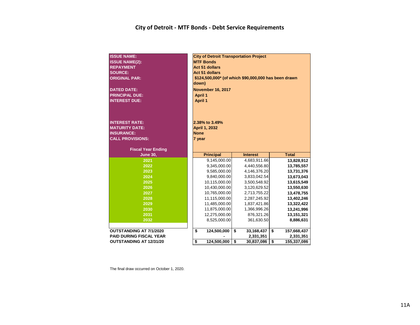### **City of Detroit - MTF Bonds - Debt Service Requirements**

| <b>ISSUE NAME:</b><br><b>ISSUE NAME(2):</b><br><b>REPAYMENT</b><br><b>SOURCE:</b><br><b>ORIGINAL PAR:</b><br><b>DATED DATE:</b><br><b>PRINCIPAL DUE:</b><br><b>INTEREST DUE:</b> | <b>City of Detroit Transportation Project</b><br><b>MTF Bonds</b><br><b>Act 51 dollars</b><br><b>Act 51 dollars</b><br>\$124,500,000* (of which \$90,000,000 has been drawn<br>down)<br><b>November 16, 2017</b><br><b>April 1</b><br><b>April 1</b> |                                 |    |                 |    |              |  |  |  |  |  |  |  |
|----------------------------------------------------------------------------------------------------------------------------------------------------------------------------------|------------------------------------------------------------------------------------------------------------------------------------------------------------------------------------------------------------------------------------------------------|---------------------------------|----|-----------------|----|--------------|--|--|--|--|--|--|--|
| <b>INTEREST RATE:</b><br><b>MATURITY DATE:</b><br><b>INSURANCE:</b><br><b>CALL PROVISIONS:</b><br><b>Fiscal Year Ending</b>                                                      | <b>None</b><br>7 year                                                                                                                                                                                                                                | 2.38% to 3.49%<br>April 1, 2032 |    |                 |    |              |  |  |  |  |  |  |  |
| <b>June 30,</b>                                                                                                                                                                  |                                                                                                                                                                                                                                                      | <b>Principal</b>                |    | <b>Interest</b> |    | <b>Total</b> |  |  |  |  |  |  |  |
| 2021                                                                                                                                                                             |                                                                                                                                                                                                                                                      | 9,145,000.00                    |    | 4,683,911.66    |    | 13,828,912   |  |  |  |  |  |  |  |
| 2022                                                                                                                                                                             |                                                                                                                                                                                                                                                      | 9,345,000.00                    |    | 4,440,556.80    |    | 13,785,557   |  |  |  |  |  |  |  |
| 2023                                                                                                                                                                             |                                                                                                                                                                                                                                                      | 9,585,000.00                    |    | 4,146,376.20    |    | 13,731,376   |  |  |  |  |  |  |  |
| 2024                                                                                                                                                                             |                                                                                                                                                                                                                                                      | 9,840,000.00                    |    | 3,833,042.54    |    | 13,673,043   |  |  |  |  |  |  |  |
| 2025                                                                                                                                                                             |                                                                                                                                                                                                                                                      | 10,115,000.00                   |    | 3,500,548.92    |    | 13,615,549   |  |  |  |  |  |  |  |
| 2026                                                                                                                                                                             |                                                                                                                                                                                                                                                      | 10,430,000.00                   |    | 3,120,629.52    |    | 13,550,630   |  |  |  |  |  |  |  |
| 2027                                                                                                                                                                             |                                                                                                                                                                                                                                                      | 10,765,000.00                   |    | 2,713,755.22    |    | 13,478,755   |  |  |  |  |  |  |  |
| 2028                                                                                                                                                                             |                                                                                                                                                                                                                                                      | 11,115,000.00                   |    | 2,287,245.92    |    | 13,402,246   |  |  |  |  |  |  |  |
| 2029                                                                                                                                                                             |                                                                                                                                                                                                                                                      | 11,485,000.00                   |    | 1,837,421.86    |    | 13,322,422   |  |  |  |  |  |  |  |
| 2030                                                                                                                                                                             |                                                                                                                                                                                                                                                      | 11,875,000.00                   |    | 1,366,996.26    |    | 13,241,996   |  |  |  |  |  |  |  |
| 2031                                                                                                                                                                             |                                                                                                                                                                                                                                                      | 12,275,000.00                   |    | 876,321.26      |    | 13,151,321   |  |  |  |  |  |  |  |
| 2032                                                                                                                                                                             |                                                                                                                                                                                                                                                      | 8,525,000.00                    |    | 361,630.50      |    | 8,886,631    |  |  |  |  |  |  |  |
|                                                                                                                                                                                  |                                                                                                                                                                                                                                                      |                                 |    |                 |    |              |  |  |  |  |  |  |  |
| <b>OUTSTANDING AT 7/1/2020</b>                                                                                                                                                   | \$                                                                                                                                                                                                                                                   | 124.500.000                     | \$ | 33,168,437      | \$ | 157,668,437  |  |  |  |  |  |  |  |
| <b>PAID DURING FISCAL YEAR</b>                                                                                                                                                   |                                                                                                                                                                                                                                                      |                                 |    | 2,331,351       |    | 2,331,351    |  |  |  |  |  |  |  |
| <b>OUTSTANDING AT 12/31/20</b>                                                                                                                                                   | \$                                                                                                                                                                                                                                                   | 124,500,000                     | \$ | 30,837,086      | \$ | 155,337,086  |  |  |  |  |  |  |  |

The final draw occurred on October 1, 2020.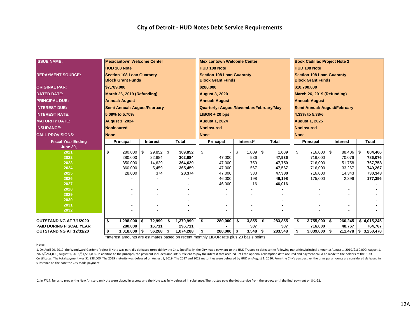| <b>ISSUE NAME:</b>             | <b>Mexicantown Welcome Center</b> |                                  |      |               |           |                       |                                  |                       |              | <b>Mexicantown Welcome Center</b> |                                         |              | <b>Book Cadillac Project Note 2</b> |                                  |                              |  |          |      |                        |  |  |
|--------------------------------|-----------------------------------|----------------------------------|------|---------------|-----------|-----------------------|----------------------------------|-----------------------|--------------|-----------------------------------|-----------------------------------------|--------------|-------------------------------------|----------------------------------|------------------------------|--|----------|------|------------------------|--|--|
|                                |                                   | <b>HUD 108 Note</b>              |      |               |           |                       |                                  | <b>HUD 108 Note</b>   |              |                                   |                                         |              |                                     | <b>HUD 108 Note</b>              |                              |  |          |      |                        |  |  |
|                                |                                   |                                  |      |               |           |                       |                                  |                       |              |                                   |                                         |              |                                     |                                  |                              |  |          |      |                        |  |  |
| <b>REPAYMENT SOURCE:</b>       |                                   | <b>Section 108 Loan Guaranty</b> |      |               |           |                       | <b>Section 108 Loan Guaranty</b> |                       |              |                                   |                                         |              |                                     | <b>Section 108 Loan Guaranty</b> |                              |  |          |      |                        |  |  |
|                                |                                   | <b>Block Grant Funds</b>         |      |               |           |                       | <b>Block Grant Funds</b>         |                       |              |                                   |                                         |              |                                     | <b>Block Grant Funds</b>         |                              |  |          |      |                        |  |  |
| <b>ORIGINAL PAR:</b>           |                                   | \$7,789,000                      |      |               | \$280,000 |                       |                                  |                       |              |                                   |                                         | \$10,700,000 |                                     |                                  |                              |  |          |      |                        |  |  |
| <b>DATED DATE:</b>             |                                   | March 26, 2019 (Refunding)       |      |               |           | <b>August 3, 2020</b> |                                  |                       |              |                                   |                                         |              | March 26, 2019 (Refunding)          |                                  |                              |  |          |      |                        |  |  |
| <b>PRINCIPAL DUE:</b>          |                                   | <b>Annual: August</b>            |      |               |           | <b>Annual: August</b> |                                  |                       |              |                                   |                                         |              | <b>Annual: August</b>               |                                  |                              |  |          |      |                        |  |  |
| <b>INTEREST DUE:</b>           | Semi Annual: August/February      |                                  |      |               |           |                       |                                  |                       |              |                                   | Quarterly: August/November/February/May |              |                                     |                                  | Semi Annual: August/February |  |          |      |                        |  |  |
| <b>INTEREST RATE:</b>          |                                   | 5.09% to 5.70%                   |      |               |           |                       |                                  | $LIBOR + 20$ bps      |              |                                   |                                         |              |                                     |                                  | 4.33% to 5.38%               |  |          |      |                        |  |  |
| <b>MATURITY DATE:</b>          |                                   | <b>August 1, 2024</b>            |      |               |           |                       |                                  | <b>August 1, 2024</b> |              |                                   |                                         |              |                                     |                                  | <b>August 1, 2025</b>        |  |          |      |                        |  |  |
| <b>INSURANCE:</b>              |                                   | Noninsured                       |      |               |           |                       |                                  | Noninsured            |              |                                   |                                         |              |                                     |                                  | Noninsured                   |  |          |      |                        |  |  |
| <b>CALL PROVISIONS:</b>        | <b>None</b>                       |                                  |      |               |           |                       | <b>None</b>                      |                       |              |                                   |                                         |              |                                     | <b>None</b>                      |                              |  |          |      |                        |  |  |
| <b>Fiscal Year Ending</b>      |                                   | <b>Principal</b>                 |      | Interest      |           | <b>Total</b>          |                                  | <b>Principal</b>      |              |                                   | Interest*                               |              | <b>Total</b>                        |                                  | Principal                    |  | Interest |      | <b>Total</b>           |  |  |
| <b>June 30,</b>                |                                   |                                  |      |               |           |                       |                                  |                       |              |                                   |                                         |              |                                     |                                  |                              |  |          |      |                        |  |  |
| 2021                           | \$                                | 280,000                          | \$   | $29,852$ \$   |           | 309,852               | \$                               |                       |              | \$                                | $1,009$ \$                              |              | 1,009                               | \$                               | 716,000 \$                   |  | 88,406   | - \$ | 804,406                |  |  |
| 2022                           |                                   | 280,000                          |      | 22,684        |           | 302,684               |                                  |                       | 47,000       |                                   | 936                                     |              | 47,936                              |                                  | 716,000                      |  | 70,076   |      | 786,076                |  |  |
| 2023                           |                                   | 350,000                          |      | 14,629        |           | 364,629               |                                  |                       | 47,000       |                                   | 750                                     |              | 47,750                              |                                  | 716,000                      |  | 51,758   |      | 767,758                |  |  |
| 2024                           |                                   | 360,000                          |      | 5,459         |           | 365,459               |                                  |                       | 47,000       |                                   | 567                                     |              | 47,567                              |                                  | 716,000                      |  | 33,267   |      | 749,267                |  |  |
| 2025                           |                                   | 28,000                           |      | 374           |           | 28,374                |                                  |                       | 47,000       |                                   | 380                                     |              | 47,380                              |                                  | 716,000                      |  | 14,343   |      | 730,343                |  |  |
| 2026                           |                                   |                                  |      |               |           |                       |                                  |                       | 46,000       |                                   | 198                                     |              | 46,198                              |                                  | 175,000                      |  | 2,396    |      | 177,396                |  |  |
| 2027<br>2028                   |                                   |                                  |      |               |           |                       |                                  |                       | 46,000       |                                   | 16                                      |              | 46,016                              |                                  |                              |  |          |      |                        |  |  |
| 2029                           |                                   |                                  |      |               |           |                       |                                  |                       |              |                                   |                                         |              |                                     |                                  |                              |  |          |      |                        |  |  |
| 2030                           |                                   |                                  |      |               |           |                       |                                  |                       |              |                                   |                                         |              |                                     |                                  |                              |  |          |      |                        |  |  |
| 2031                           |                                   |                                  |      |               |           |                       |                                  |                       |              |                                   |                                         |              |                                     |                                  |                              |  |          |      |                        |  |  |
| 2032                           |                                   |                                  |      |               |           |                       |                                  |                       |              |                                   |                                         |              |                                     |                                  |                              |  |          |      |                        |  |  |
|                                |                                   |                                  |      |               |           |                       |                                  |                       |              |                                   |                                         |              |                                     |                                  |                              |  |          |      |                        |  |  |
| <b>OUTSTANDING AT 7/1/2020</b> | \$                                | 1,298,000                        | - \$ | 72,999        | Ŝ.        | 1,370,999             | \$                               |                       | 280,000      | -\$                               | 3,855                                   | \$           | 283,855                             | \$                               | $3,755,000$ \$               |  | 260,245  |      | \$4,015,245            |  |  |
| <b>PAID DURING FISCAL YEAR</b> |                                   | 280,000                          |      | 16,711        |           | 296,711               |                                  |                       |              |                                   | 307                                     |              | 307                                 |                                  | 716,000                      |  | 48,767   |      | 764,767                |  |  |
| <b>OUTSTANDING AT 12/31/20</b> | \$                                | 1,018,000                        | l \$ | $56,288$ \ \$ |           | 1,074,288             | \$                               |                       | $280,000$ \$ |                                   | $3,548$ \$                              |              | 283,548                             | \$                               | $3,039,000$ \$               |  |          |      | $211,478$ \$ 3,250,478 |  |  |

\*Interest amounts are estimates based on recent monthly LIBOR rate plus 20 basis points.

#### Notes:

1. On April 29, 2019, the Woodward Gardens Project II Note was partially defeased (prepaid) by the City. Specifically, the City made payment to the HUD Trustee to defease the following maturities/principal amounts: August 2027/\$261,000; August 1, 2018/\$1,557,000. In addition to the principal, the payment included amounts sufficient to pay the interest that accrued until the optional redemption date occured and payment could be made to the h Certificates. The total payment was \$1,938,000. The 2019 maturity was defeased on August 1, 2019. The 2027 and 2028 maturities were defeased by HUD on August 1, 2020. From the City's perspective, the principal amounts are substance on the date the City made payment.

2. In FY17, funds to prepay the New Amsterdam Note were placed in escrow and the Note was fully defeased in substance. The trustee pays the debt service from the escrow until the final payment on 8-1-22.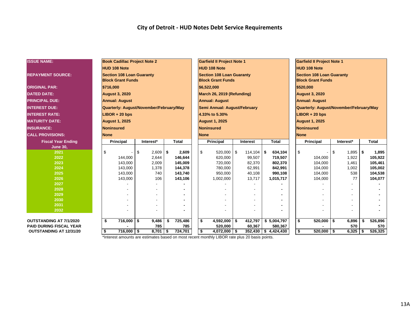| <b>ISSUE NAME:</b>             | <b>Book Cadillac Project Note 2</b>     |             |               | <b>Garfield II Project Note 1</b> |            |                        | <b>Garfield II Project Note 1</b> |             |                       |                                         |    |            |     |              |
|--------------------------------|-----------------------------------------|-------------|---------------|-----------------------------------|------------|------------------------|-----------------------------------|-------------|-----------------------|-----------------------------------------|----|------------|-----|--------------|
|                                | <b>HUD 108 Note</b>                     |             |               | <b>HUD 108 Note</b>               |            |                        |                                   |             |                       | <b>HUD 108 Note</b>                     |    |            |     |              |
| <b>REPAYMENT SOURCE:</b>       | <b>Section 108 Loan Guaranty</b>        |             |               | <b>Section 108 Loan Guaranty</b>  |            |                        |                                   |             |                       | <b>Section 108 Loan Guaranty</b>        |    |            |     |              |
|                                | <b>Block Grant Funds</b>                |             |               | <b>Block Grant Funds</b>          |            |                        | <b>Block Grant Funds</b>          |             |                       |                                         |    |            |     |              |
| <b>ORIGINAL PAR:</b>           | \$716,000                               |             |               | \$6,522,000                       |            |                        | \$520,000                         |             |                       |                                         |    |            |     |              |
| <b>DATED DATE:</b>             | <b>August 3, 2020</b>                   |             |               | March 26, 2019 (Refunding)        |            |                        |                                   |             | <b>August 3, 2020</b> |                                         |    |            |     |              |
| <b>PRINCIPAL DUE:</b>          | <b>Annual: August</b>                   |             |               | <b>Annual: August</b>             |            |                        |                                   |             |                       | <b>Annual: August</b>                   |    |            |     |              |
| <b>INTEREST DUE:</b>           | Quarterly: August/November/February/May |             |               | Semi Annual: August/February      |            |                        |                                   |             |                       | Quarterly: August/November/February/May |    |            |     |              |
| <b>INTEREST RATE:</b>          | $LIBOR + 20$ bps                        |             |               | 4.33% to 5.30%                    |            |                        |                                   |             |                       | $LIBOR + 20$ bps                        |    |            |     |              |
| <b>IMATURITY DATE:</b>         | <b>August 1, 2025</b>                   |             |               | <b>August 1, 2025</b>             |            |                        |                                   |             |                       | <b>August 1, 2025</b>                   |    |            |     |              |
| <b>INSURANCE:</b>              | <b>Noninsured</b>                       |             |               | <b>Noninsured</b>                 |            |                        |                                   |             |                       | <b>Noninsured</b>                       |    |            |     |              |
| <b>CALL PROVISIONS:</b>        | <b>None</b>                             |             |               | <b>None</b>                       |            |                        |                                   | <b>None</b> |                       |                                         |    |            |     |              |
| <b>Fiscal Year Ending</b>      | Principal                               | Interest*   | <b>Total</b>  | Principal                         |            | Interest               | <b>Total</b>                      |             |                       | <b>Principal</b>                        |    | Interest*  |     | <b>Total</b> |
| <b>June 30,</b>                |                                         |             |               |                                   |            |                        |                                   |             |                       |                                         |    |            |     |              |
| 2021                           | \$                                      | \$<br>2,609 | \$<br>2,609   | \$<br>520,000                     | $\sqrt{3}$ | 114,104                | l \$                              | 634,104     | \$                    |                                         | \$ | $1,895$ \$ |     | 1,895        |
| 2022                           | 144.000                                 | 2,644       | 146,644       | 620,000                           |            | 99,507                 |                                   | 719,507     |                       | 104,000                                 |    | 1,922      |     | 105,922      |
| 2023                           | 143,000                                 | 2,009       | 145.009       | 720,000                           |            | 82,370                 |                                   | 802,370     |                       | 104,000                                 |    | 1.461      |     | 105,461      |
| 2024                           | 143,000                                 | 1,378       | 144,378       | 780,000                           |            | 62,991                 |                                   | 842,991     |                       | 104,000                                 |    | 1,002      |     | 105,002      |
| 2025                           | 143,000                                 | 740         | 143,740       | 950,000                           |            | 40,108                 |                                   | 990,108     |                       | 104,000                                 |    | 538        |     | 104,538      |
| 2026                           | 143,000                                 | 106         | 143,106       | 1,002,000                         |            | 13,717                 |                                   | 1,015,717   |                       | 104,000                                 |    | 77         |     | 104,077      |
| 2027                           |                                         |             |               |                                   |            |                        |                                   |             |                       |                                         |    |            |     |              |
| 2028                           |                                         |             |               |                                   |            |                        |                                   |             |                       |                                         |    |            |     |              |
| 2029                           |                                         |             |               |                                   |            |                        |                                   |             |                       |                                         |    |            |     |              |
| 2030                           |                                         |             |               |                                   |            |                        |                                   |             |                       |                                         |    |            |     |              |
| 2031                           |                                         |             |               |                                   |            |                        |                                   |             |                       |                                         |    |            |     |              |
| 2032                           |                                         |             |               |                                   |            |                        |                                   |             |                       |                                         |    |            |     |              |
| <b>OUTSTANDING AT 7/1/2020</b> | \$<br>716,000                           | \$<br>9,486 | 725,486<br>\$ | \$<br>$4,592,000$ \$              |            | 412,797                | \$5,004,797                       |             | \$                    | $520,000$ \$                            |    | 6,896      | \$  | 526,896      |
| <b>PAID DURING FISCAL YEAR</b> |                                         | 785         | 785           | 520,000                           |            | 60,367                 |                                   | 580,367     |                       |                                         |    | 570        |     | 570          |
| <b>OUTSTANDING AT 12/31/20</b> | $716,000$ \$<br>\$                      | 8,701       | \$<br>724,701 | $4,072,000$ \$<br>\$              |            | $352,430$ \$ 4,424,430 |                                   |             | \$                    | $520,000$ \ \$                          |    | 6,325      | -\$ | 526,325      |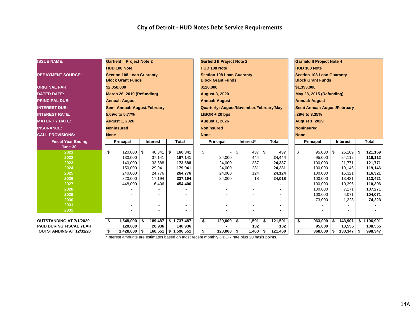| <b>ISSUE NAME:</b>             |                              | <b>Garfield II Project Note 2</b> |     |                 |     |                        |                                   |                                         |     |           |                                 |              |                       |                                   |                              |          |                  |  |                    |  |  |  |
|--------------------------------|------------------------------|-----------------------------------|-----|-----------------|-----|------------------------|-----------------------------------|-----------------------------------------|-----|-----------|---------------------------------|--------------|-----------------------|-----------------------------------|------------------------------|----------|------------------|--|--------------------|--|--|--|
|                                |                              |                                   |     |                 |     |                        | <b>Garfield II Project Note 2</b> |                                         |     |           |                                 |              |                       | <b>Garfield II Project Note 4</b> |                              |          |                  |  |                    |  |  |  |
|                                |                              | <b>HUD 108 Note</b>               |     |                 |     |                        | <b>HUD 108 Note</b>               |                                         |     |           |                                 |              |                       | <b>HUD 108 Note</b>               |                              |          |                  |  |                    |  |  |  |
| <b>REPAYMENT SOURCE:</b>       |                              | <b>Section 108 Loan Guaranty</b>  |     |                 |     |                        |                                   | <b>Section 108 Loan Guaranty</b>        |     |           |                                 |              |                       | <b>Section 108 Loan Guaranty</b>  |                              |          |                  |  |                    |  |  |  |
|                                |                              | <b>Block Grant Funds</b>          |     |                 |     |                        |                                   | <b>Block Grant Funds</b>                |     |           |                                 |              |                       | <b>Block Grant Funds</b>          |                              |          |                  |  |                    |  |  |  |
| <b>ORIGINAL PAR:</b>           | \$2,058,000                  |                                   |     |                 |     |                        | \$120,000                         |                                         |     |           |                                 |              |                       | \$1,393,000                       |                              |          |                  |  |                    |  |  |  |
| <b>DATED DATE:</b>             | March 26, 2019 (Refunding)   |                                   |     |                 |     |                        |                                   | <b>August 3, 2020</b>                   |     |           | <b>May 28, 2015 (Refunding)</b> |              |                       |                                   |                              |          |                  |  |                    |  |  |  |
| <b>PRINCIPAL DUE:</b>          | <b>Annual: August</b>        |                                   |     |                 |     |                        |                                   | <b>Annual: August</b>                   |     |           |                                 |              | <b>Annual: August</b> |                                   |                              |          |                  |  |                    |  |  |  |
| <b>INTEREST DUE:</b>           | Semi Annual: August/February |                                   |     |                 |     |                        |                                   | Quarterly: August/November/February/May |     |           |                                 |              |                       |                                   | Semi Annual: August/February |          |                  |  |                    |  |  |  |
| <b>INTEREST RATE:</b>          | 5.09% to 5.77%               |                                   |     |                 |     |                        |                                   | $LIBOR + 20$ bps                        |     |           |                                 | 28% to 3.35% |                       |                                   |                              |          |                  |  |                    |  |  |  |
| <b>MATURITY DATE:</b>          | <b>August 1, 2026</b>        |                                   |     |                 |     |                        |                                   | <b>August 1, 2026</b>                   |     |           |                                 |              | <b>August 1, 2029</b> |                                   |                              |          |                  |  |                    |  |  |  |
| <b>INSURANCE:</b>              | <b>Noninsured</b>            |                                   |     |                 |     |                        |                                   | Noninsured                              |     |           | <b>Noninsured</b>               |              |                       |                                   |                              |          |                  |  |                    |  |  |  |
| <b>CALL PROVISIONS:</b>        | <b>None</b>                  |                                   |     |                 |     |                        |                                   | <b>None</b>                             |     |           |                                 |              |                       | <b>None</b>                       |                              |          |                  |  |                    |  |  |  |
| <b>Fiscal Year Ending</b>      |                              | <b>Principal</b>                  |     | Interest        |     | <b>Total</b>           |                                   | <b>Principal</b>                        |     | Interest* |                                 | <b>Total</b> |                       |                                   | <b>Principal</b>             | Interest |                  |  | <b>Total</b>       |  |  |  |
| <b>June 30,</b>                |                              |                                   |     |                 |     |                        |                                   |                                         |     |           |                                 |              |                       |                                   |                              |          |                  |  |                    |  |  |  |
| 2021                           | \$                           | 120,000                           | \$  | 40,341          | -\$ | 160,341                | \$                                |                                         | \$  | 437       | \$                              | 437          |                       | \$                                | 95,000                       | -S       | $26,169$ \$      |  | 121,169            |  |  |  |
| 2022                           |                              | 130,000                           |     | 37,141          |     | 167,141                |                                   | 24,000                                  |     | 444       |                                 | 24,444       |                       |                                   | 95,000                       |          | 24,112           |  | 119,112            |  |  |  |
| 2023                           |                              | 140,000                           |     | 33,688          |     | 173,688                |                                   | 24,000                                  |     | 337       |                                 | 24,337       |                       |                                   | 100,000                      |          | 21,771           |  | 121,771            |  |  |  |
| 2024                           |                              | 150,000                           |     | 29,941          |     | 179,941                |                                   | 24,000                                  |     | 231       |                                 | 24,231       |                       |                                   | 100,000                      |          | 19,146           |  | 119,146            |  |  |  |
| 2025<br>2026                   |                              | 240,000                           |     | 24,776          |     | 264,776                |                                   | 24,000                                  |     | 124<br>18 |                                 | 24,124       |                       |                                   | 100,000                      |          | 16,321           |  | 116,321            |  |  |  |
| 2027                           |                              | 320,000<br>448,000                |     | 17,194<br>6,406 |     | 337,194<br>454,406     |                                   | 24,000                                  |     |           |                                 | 24,018       |                       |                                   | 100,000<br>100,000           |          | 13,421<br>10,396 |  | 113,421<br>110,396 |  |  |  |
| 2028                           |                              |                                   |     |                 |     |                        |                                   |                                         |     |           |                                 |              |                       |                                   | 100,000                      |          | 7,271            |  | 107,271            |  |  |  |
| 2029                           |                              |                                   |     |                 |     |                        |                                   |                                         |     |           |                                 |              |                       |                                   | 100,000                      |          | 4,071            |  | 104,071            |  |  |  |
| 2030                           |                              |                                   |     |                 |     |                        |                                   |                                         |     |           |                                 |              |                       |                                   | 73,000                       |          | 1,223            |  | 74,223             |  |  |  |
| 2031                           |                              |                                   |     |                 |     |                        |                                   |                                         |     |           |                                 |              |                       |                                   |                              |          |                  |  |                    |  |  |  |
| 2032                           |                              |                                   |     |                 |     |                        |                                   |                                         |     |           |                                 |              |                       |                                   |                              |          |                  |  |                    |  |  |  |
|                                |                              |                                   |     |                 |     |                        |                                   |                                         |     |           |                                 |              |                       |                                   |                              |          |                  |  |                    |  |  |  |
| OUTSTANDING AT 7/1/2020        | \$                           | 1,548,000                         | \$  | 189,487         |     | \$1,737,487            | \$                                | 120,000                                 | \$  | 1,591     | \$                              | 121,591      |                       | \$                                | 963,000                      | \$       | 143,901          |  | \$1,106,901        |  |  |  |
| <b>PAID DURING FISCAL YEAR</b> |                              | 120,000                           |     | 20,936          |     | 140,936                |                                   |                                         |     | 132       |                                 | 132          |                       |                                   | 95,000                       |          | 13,555           |  | 108,555            |  |  |  |
| <b>OUTSTANDING AT 12/31/20</b> | \$                           | 1,428,000                         | -\$ |                 |     | 168,551   \$ 1,596,551 | \$                                | 120,000                                 | -\$ | 1,460     | \$                              | 121,460      |                       | \$                                | 868,000                      | -\$      | $130,347$ \$     |  | 998,347            |  |  |  |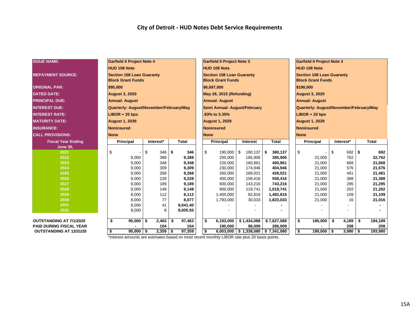| <b>ISSUE NAME:</b>             | <b>Garfield II Project Note 4</b>       |                              |                          | <b>Garfield II Project Note 3</b> |                  |                                         |                                       |                                  | <b>Garfield II Project Note 3</b> |    |              |    |                  |  |  |
|--------------------------------|-----------------------------------------|------------------------------|--------------------------|-----------------------------------|------------------|-----------------------------------------|---------------------------------------|----------------------------------|-----------------------------------|----|--------------|----|------------------|--|--|
|                                |                                         |                              |                          |                                   |                  |                                         |                                       | <b>HUD 108 Note</b>              |                                   |    |              |    |                  |  |  |
|                                | <b>HUD 108 Note</b>                     |                              |                          | <b>HUD 108 Note</b>               |                  |                                         |                                       |                                  |                                   |    |              |    |                  |  |  |
| <b>REPAYMENT SOURCE:</b>       | <b>Section 108 Loan Guaranty</b>        |                              |                          | <b>Section 108 Loan Guaranty</b>  |                  |                                         |                                       | <b>Section 108 Loan Guaranty</b> |                                   |    |              |    |                  |  |  |
|                                | <b>Block Grant Funds</b>                |                              |                          | <b>Block Grant Funds</b>          |                  |                                         |                                       | <b>Block Grant Funds</b>         |                                   |    |              |    |                  |  |  |
| <b>ORIGINAL PAR:</b>           | \$95,000                                |                              |                          | \$6,697,000                       |                  |                                         |                                       | \$190,000                        |                                   |    |              |    |                  |  |  |
| <b>DATED DATE:</b>             | <b>August 3, 2020</b>                   |                              | May 28, 2015 (Refunding) |                                   |                  |                                         |                                       | <b>August 3, 2020</b>            |                                   |    |              |    |                  |  |  |
| <b>PRINCIPAL DUE:</b>          | <b>Annual: August</b>                   | <b>Annual: August</b>        |                          |                                   |                  | <b>Annual: August</b>                   |                                       |                                  |                                   |    |              |    |                  |  |  |
| <b>INTEREST DUE:</b>           | Quarterly: August/November/February/May | Semi Annual: August/February |                          |                                   |                  | Quarterly: August/November/February/May |                                       |                                  |                                   |    |              |    |                  |  |  |
| <b>INTEREST RATE:</b>          | $LIBOR + 20$ bps                        |                              |                          | .93% to 3.35%                     |                  |                                         |                                       | $LIBOR + 20$ bps                 |                                   |    |              |    |                  |  |  |
| <b>MATURITY DATE:</b>          | <b>August 1, 2039</b>                   |                              |                          | <b>August 1, 2029</b>             |                  |                                         |                                       | <b>August 1, 2029</b>            |                                   |    |              |    |                  |  |  |
| <b>INSURANCE:</b>              | <b>Noninsured</b>                       |                              |                          | <b>Noninsured</b>                 |                  |                                         |                                       | <b>Noninsured</b>                |                                   |    |              |    |                  |  |  |
| <b>CALL PROVISIONS:</b>        | <b>None</b>                             |                              |                          | <b>None</b>                       |                  |                                         |                                       |                                  | <b>None</b>                       |    |              |    |                  |  |  |
| <b>Fiscal Year Ending</b>      | Principal                               | Interest*                    | <b>Total</b>             | Principal                         | Interest         |                                         | <b>Total</b>                          |                                  | <b>Principal</b>                  |    | Interest*    |    | <b>Total</b>     |  |  |
| <b>June 30,</b>                |                                         |                              |                          |                                   |                  |                                         |                                       |                                  |                                   |    |              |    |                  |  |  |
| 2021                           | \$                                      | \$<br>346                    | \$<br>346                | \$<br>190,000 \$                  | 190,137          |                                         | \$<br>380,137                         | \$                               |                                   | \$ | $692$ \$     |    | 692              |  |  |
| 2022                           | 9,000                                   | 388                          | 9,388                    | 200,000                           | 185,906          |                                         | 385,906                               |                                  | 22,000                            |    | 762          |    | 22,762           |  |  |
| 2023                           | 9,000                                   | 348                          | 9,348                    | 220,000                           | 180,861          |                                         | 400,861                               |                                  | 21,000                            |    | 668          |    | 21,668           |  |  |
| 2024                           | 9,000                                   | 309                          | 9,309                    | 230,000                           | 174,946          |                                         | 404,946                               |                                  | 21,000                            |    | 576          |    | 21,576           |  |  |
| 2025                           | 9.000                                   | 268                          | 9,268                    | 260,000                           | 168,021          |                                         | 428,021                               |                                  | 21,000                            |    | 481          |    | 21,481           |  |  |
| 2026                           | 9,000                                   | 228                          | 9,228                    | 400,000                           | 158,416          |                                         | 558,416                               |                                  | 21,000                            |    | 388          |    | 21,388           |  |  |
| 2027<br>2028                   | 9,000                                   | 189<br>149                   | 9,189                    | 600,000                           | 143,216          |                                         | 743,216                               |                                  | 21,000                            |    | 295<br>202   |    | 21,295           |  |  |
| 2029                           | 9,000                                   | 112                          | 9,149<br>8,112           | 900,000                           | 119,741          |                                         | 1,019,741                             |                                  | 21,000                            |    |              |    | 21,202           |  |  |
| 2030                           | 8,000<br>8,000                          | 77                           | 8,077                    | 1,400,000<br>1,793,000            | 82,816<br>30,033 |                                         | 1,482,816<br>1,823,033                |                                  | 21,000<br>21,000                  |    | 109<br>16    |    | 21,109<br>21,016 |  |  |
| 2031                           | 8,000                                   | 41                           | 8,041.40                 |                                   |                  |                                         |                                       |                                  |                                   |    |              |    |                  |  |  |
| 2032                           | 8,000                                   | 6                            | 8,005.93                 |                                   |                  |                                         |                                       |                                  |                                   |    |              |    |                  |  |  |
|                                |                                         |                              |                          |                                   |                  |                                         |                                       |                                  |                                   |    |              |    |                  |  |  |
| OUTSTANDING AT 7/1/2020        | \$<br>95,000                            | $2,463$ \$<br>\$             | 97,463                   | \$<br>6,193,000                   | \$1,434,088      |                                         | \$7,627,088                           | \$                               | 190,000                           | \$ | 4,189        | \$ | 194,189          |  |  |
| <b>PAID DURING FISCAL YEAR</b> |                                         | 104                          | 104                      | 190,000                           | 96,009           |                                         | 286,009                               |                                  |                                   |    | 208          |    | 208              |  |  |
| <b>OUTSTANDING AT 12/31/20</b> | \$<br>$95,000$   \$                     | $2,359$ \$                   | 97,359                   | \$                                |                  |                                         | $6,003,000$ \$ 1,338,080 \$ 7,341,080 | \$                               | $190,000$ \ \$                    |    | $3,980$   \$ |    | 193,980          |  |  |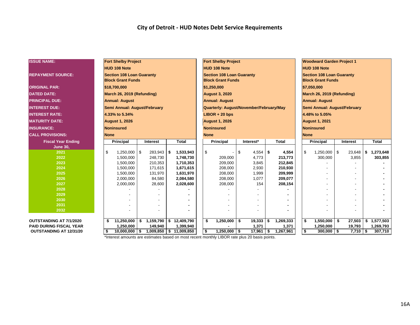| <b>ISSUE NAME:</b>             | <b>Fort Shelby Project</b>                                   |            |                                       |    |              |  | <b>Fort Shelby Project</b>              |    |              |                            |                              |                       | <b>Woodward Garden Project 1</b>                             |  |                 |    |              |  |  |  |
|--------------------------------|--------------------------------------------------------------|------------|---------------------------------------|----|--------------|--|-----------------------------------------|----|--------------|----------------------------|------------------------------|-----------------------|--------------------------------------------------------------|--|-----------------|----|--------------|--|--|--|
|                                | <b>HUD 108 Note</b>                                          |            |                                       |    |              |  | <b>HUD 108 Note</b>                     |    |              | <b>HUD 108 Note</b>        |                              |                       |                                                              |  |                 |    |              |  |  |  |
|                                |                                                              |            |                                       |    |              |  | <b>Section 108 Loan Guaranty</b>        |    |              |                            |                              |                       |                                                              |  |                 |    |              |  |  |  |
| <b>REPAYMENT SOURCE:</b>       | <b>Section 108 Loan Guaranty</b><br><b>Block Grant Funds</b> |            |                                       |    |              |  | <b>Block Grant Funds</b>                |    |              |                            |                              |                       | <b>Section 108 Loan Guaranty</b><br><b>Block Grant Funds</b> |  |                 |    |              |  |  |  |
|                                |                                                              |            |                                       |    |              |  |                                         |    |              |                            |                              |                       |                                                              |  |                 |    |              |  |  |  |
| <b>ORIGINAL PAR:</b>           | \$18,700,000                                                 |            |                                       |    |              |  | \$1,250,000                             |    |              |                            | \$7,050,000                  |                       |                                                              |  |                 |    |              |  |  |  |
| <b>DATED DATE:</b>             |                                                              |            | March 26, 2019 (Refunding)            |    |              |  | <b>August 3, 2020</b>                   |    |              | March 26, 2019 (Refunding) |                              |                       |                                                              |  |                 |    |              |  |  |  |
| <b>PRINCIPAL DUE:</b>          | <b>Annual: August</b>                                        |            |                                       |    |              |  | <b>Annual: August</b>                   |    |              |                            |                              |                       | <b>Annual: August</b>                                        |  |                 |    |              |  |  |  |
| <b>INTEREST DUE:</b>           | Semi Annual: August/February                                 |            |                                       |    |              |  | Quarterly: August/November/February/May |    |              |                            | Semi Annual: August/February |                       |                                                              |  |                 |    |              |  |  |  |
| <b>INTEREST RATE:</b>          | 4.33% to 5.34%                                               |            |                                       |    |              |  | $LIBOR + 20$ bps                        |    |              |                            | 4.48% to 5.05%               |                       |                                                              |  |                 |    |              |  |  |  |
| <b>MATURITY DATE:</b>          | <b>August 1, 2026</b>                                        |            |                                       |    |              |  | <b>August 1, 2026</b>                   |    |              |                            |                              | <b>August 1, 2021</b> |                                                              |  |                 |    |              |  |  |  |
| <b>INSURANCE:</b>              | <b>Noninsured</b>                                            |            |                                       |    |              |  | <b>Noninsured</b>                       |    |              | Noninsured                 |                              |                       |                                                              |  |                 |    |              |  |  |  |
| <b>CALL PROVISIONS:</b>        | <b>None</b>                                                  |            |                                       |    |              |  | <b>None</b>                             |    |              |                            |                              |                       | <b>None</b>                                                  |  |                 |    |              |  |  |  |
| <b>Fiscal Year Ending</b>      | Principal                                                    |            | <b>Interest</b>                       |    | <b>Total</b> |  | Principal<br>Interest*<br><b>Total</b>  |    |              |                            |                              |                       | <b>Principal</b>                                             |  | <b>Interest</b> |    | <b>Total</b> |  |  |  |
| <b>June 30,</b>                |                                                              |            |                                       |    |              |  |                                         |    |              |                            |                              |                       |                                                              |  |                 |    |              |  |  |  |
| 2021                           | \$                                                           | 1,250,000  | l \$<br>283,943                       | \$ | 1,533,943    |  | \$                                      | \$ | $4,554$ \$   |                            | 4,554                        |                       | \$<br>$1,250,000$ \ \$                                       |  | 23,648          | \$ | 1,273,648    |  |  |  |
| 2022                           |                                                              | 1,500,000  | 248.730                               |    | 1,748,730    |  | 209,000                                 |    | 4,773        |                            | 213,773                      |                       | 300,000                                                      |  | 3,855           |    | 303,855      |  |  |  |
| 2023                           |                                                              | 1,500,000  | 210,353                               |    | 1,710,353    |  | 209,000                                 |    | 3,845        |                            | 212,845                      |                       |                                                              |  |                 |    |              |  |  |  |
| 2024                           |                                                              | 1,500,000  | 171,615                               |    | 1,671,615    |  | 208,000                                 |    | 2,930        |                            | 210,930                      |                       |                                                              |  |                 |    |              |  |  |  |
| 2025                           |                                                              | 1,500,000  | 131,970                               |    | 1,631,970    |  | 208,000                                 |    | 1,999        |                            | 209,999                      |                       |                                                              |  |                 |    |              |  |  |  |
| 2026                           |                                                              | 2,000,000  | 84,580                                |    | 2,084,580    |  | 208,000                                 |    | 1,077        |                            | 209,077                      |                       |                                                              |  |                 |    |              |  |  |  |
| 2027<br>2028                   |                                                              | 2,000,000  | 28,600                                |    | 2,028,600    |  | 208,000                                 |    | 154          |                            | 208,154                      |                       |                                                              |  |                 |    |              |  |  |  |
| 2029                           |                                                              |            |                                       |    |              |  |                                         |    |              |                            |                              |                       |                                                              |  |                 |    |              |  |  |  |
| 2030                           |                                                              |            |                                       |    |              |  |                                         |    |              |                            |                              |                       |                                                              |  |                 |    |              |  |  |  |
| 2031                           |                                                              |            |                                       |    |              |  |                                         |    |              |                            |                              |                       |                                                              |  |                 |    |              |  |  |  |
| 2032                           |                                                              |            |                                       |    |              |  |                                         |    |              |                            |                              |                       |                                                              |  |                 |    |              |  |  |  |
|                                |                                                              |            |                                       |    |              |  |                                         |    |              |                            |                              |                       |                                                              |  |                 |    |              |  |  |  |
| <b>OUTSTANDING AT 7/1/2020</b> | \$                                                           | 11,250,000 | 1,159,790<br>\$                       | \$ | 12,409,790   |  | $1,250,000$ \ \$<br>\$                  |    | $19,333$ \\$ |                            | 1,269,333                    |                       | \$<br>$1,550,000$ \$                                         |  | 27,503          | \$ | 1,577,503    |  |  |  |
| PAID DURING FISCAL YEAR        |                                                              | 1,250,000  | 149,940                               |    | 1,399,940    |  |                                         |    | 1,371        |                            | 1,371                        |                       | 1,250,000                                                    |  | 19,793          |    | 1,269,793    |  |  |  |
| <b>OUTSTANDING AT 12/31/20</b> | s.                                                           | 10,000,000 | <b>S</b><br>$1,009,850$ \$ 11,009,850 |    |              |  | \$<br>$1,250,000$ \$                    |    | 17,961       | \$                         | 1,267,961                    |                       | \$<br>$300,000$ \$                                           |  | $7,710$ \$      |    | 307,710      |  |  |  |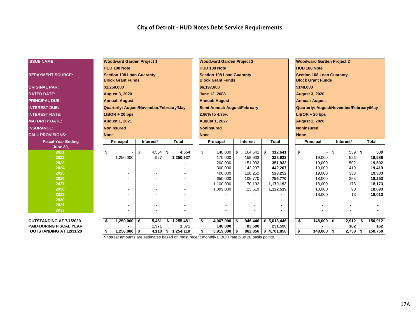| <b>ISSUE NAME:</b>             | <b>Woodward Garden Project 1</b>                             |             |                              | <b>Woodward Garden Project 2</b>                             |  |                                         | <b>Woodward Garden Project 2</b> |                       |                                  |                          |    |            |    |              |  |  |  |
|--------------------------------|--------------------------------------------------------------|-------------|------------------------------|--------------------------------------------------------------|--|-----------------------------------------|----------------------------------|-----------------------|----------------------------------|--------------------------|----|------------|----|--------------|--|--|--|
|                                | <b>HUD 108 Note</b>                                          |             |                              | <b>HUD 108 Note</b>                                          |  |                                         |                                  | <b>HUD 108 Note</b>   |                                  |                          |    |            |    |              |  |  |  |
|                                |                                                              |             |                              |                                                              |  |                                         |                                  |                       | <b>Section 108 Loan Guaranty</b> |                          |    |            |    |              |  |  |  |
| <b>REPAYMENT SOURCE:</b>       | <b>Section 108 Loan Guaranty</b><br><b>Block Grant Funds</b> |             |                              | <b>Section 108 Loan Guaranty</b><br><b>Block Grant Funds</b> |  |                                         |                                  |                       |                                  | <b>Block Grant Funds</b> |    |            |    |              |  |  |  |
|                                |                                                              |             |                              |                                                              |  |                                         |                                  |                       |                                  |                          |    |            |    |              |  |  |  |
| <b>ORIGINAL PAR:</b>           | \$1,250,000                                                  |             | \$6,197,000                  |                                                              |  | \$148,000                               |                                  |                       |                                  |                          |    |            |    |              |  |  |  |
| <b>DATED DATE:</b>             | <b>August 3, 2020</b>                                        |             | June 12, 2008                |                                                              |  |                                         |                                  | <b>August 3, 2020</b> |                                  |                          |    |            |    |              |  |  |  |
| <b>PRINCIPAL DUE:</b>          | <b>Annual: August</b>                                        |             | <b>Annual: August</b>        |                                                              |  | <b>Annual: August</b>                   |                                  |                       |                                  |                          |    |            |    |              |  |  |  |
| <b>INTEREST DUE:</b>           | Quarterly: August/November/February/May                      |             | Semi Annual: August/February |                                                              |  | Quarterly: August/November/February/May |                                  |                       |                                  |                          |    |            |    |              |  |  |  |
| <b>INTEREST RATE:</b>          | $LIBOR + 20$ bps                                             |             | 2.66% to 4.35%               |                                                              |  | $LIBOR + 20$ bps                        |                                  |                       |                                  |                          |    |            |    |              |  |  |  |
| <b>IMATURITY DATE:</b>         | <b>August 1, 2021</b>                                        |             | <b>August 1, 2027</b>        |                                                              |  | <b>August 1, 2028</b>                   |                                  |                       |                                  |                          |    |            |    |              |  |  |  |
| <b>INSURANCE:</b>              | Noninsured                                                   |             | <b>Noninsured</b>            |                                                              |  |                                         |                                  | <b>Noninsured</b>     |                                  |                          |    |            |    |              |  |  |  |
| <b>CALL PROVISIONS:</b>        | <b>None</b>                                                  |             | <b>None</b>                  |                                                              |  |                                         |                                  |                       | <b>None</b>                      |                          |    |            |    |              |  |  |  |
| <b>Fiscal Year Ending</b>      | Principal                                                    | Interest*   | Total                        | <b>Principal</b><br><b>Total</b><br>Interest                 |  |                                         |                                  |                       |                                  | <b>Principal</b>         |    | Interest*  |    | <b>Total</b> |  |  |  |
| <b>June 30,</b>                |                                                              |             |                              |                                                              |  |                                         |                                  |                       |                                  |                          |    |            |    |              |  |  |  |
| 2021                           | \$                                                           | \$<br>4,554 | 4,554<br>-\$                 | \$<br>$148,000$ \$                                           |  | 164,641                                 | \$                               | 312,641               | $\mathfrak{S}$                   | $\overline{\phantom{a}}$ | \$ | $539$ \$   |    | 539          |  |  |  |
| 2022                           | 1,250,000                                                    | 927         | 1,250,927                    | 170,000                                                      |  | 158,933                                 |                                  | 328,933               |                                  | 19,000                   |    | 586        |    | 19,586       |  |  |  |
| 2023                           |                                                              |             |                              | 200,000                                                      |  | 151,932                                 |                                  | 351,932               |                                  | 19,000                   |    | 502        |    | 19,502       |  |  |  |
| 2024                           |                                                              |             |                              | 300,000                                                      |  | 142,207                                 |                                  | 442,207               |                                  | 19,000                   |    | 419        |    | 19,419       |  |  |  |
| 2025                           |                                                              |             |                              | 400,000                                                      |  | 128,252                                 |                                  | 528,252               |                                  | 19,000                   |    | 333        |    | 19,333       |  |  |  |
| 2026                           |                                                              |             |                              | 650,000                                                      |  | 106,770                                 |                                  | 756,770               |                                  | 18,000                   |    | 253        |    | 18,253       |  |  |  |
| 2027                           |                                                              |             |                              | 1,100,000                                                    |  | 70,192                                  |                                  | 1,170,192             |                                  | 18,000                   |    | 173        |    | 18,173       |  |  |  |
| 2028<br>2029                   |                                                              |             |                              | 1,099,000                                                    |  | 23,519                                  |                                  | 1,122,519             |                                  | 18,000                   |    | 93<br>13   |    | 18,093       |  |  |  |
| 2030                           |                                                              |             |                              |                                                              |  |                                         |                                  |                       |                                  | 18,000                   |    |            |    | 18,013       |  |  |  |
| 2031                           |                                                              |             |                              |                                                              |  |                                         |                                  |                       |                                  |                          |    |            |    |              |  |  |  |
| 2032                           |                                                              |             |                              |                                                              |  |                                         |                                  |                       |                                  |                          |    |            |    |              |  |  |  |
|                                |                                                              |             |                              |                                                              |  |                                         |                                  |                       |                                  |                          |    |            |    |              |  |  |  |
| <b>OUTSTANDING AT 7/1/2020</b> | \$<br>1,250,000                                              | \$<br>5,481 | \$1,255,481                  | \$<br>$4,067,000$ \$                                         |  | 946,446                                 |                                  | \$5,013,446           | \$                               | 148,000                  | \$ | 2,912      | \$ | 150,912      |  |  |  |
| <b>PAID DURING FISCAL YEAR</b> |                                                              | 1,371       | 1,371                        | 148,000                                                      |  | 83,590                                  |                                  | 231,590               |                                  |                          |    | 162        |    | 162          |  |  |  |
| OUTSTANDING AT 12/31/20        | $1,250,000$ \$<br>\$                                         |             | $4,110$ \$ 1,254,110         | \$<br>$3,919,000$ \$                                         |  |                                         |                                  | 862,856 \$4,781,856   | \$                               | 148,000 \$               |    | $2,750$ \$ |    | 150,750      |  |  |  |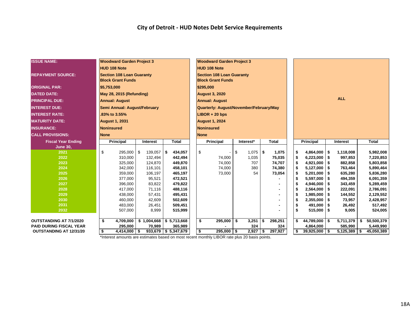| <b>HUD 108 Note</b><br><b>HUD 108 Note</b><br><b>REPAYMENT SOURCE:</b><br><b>Section 108 Loan Guaranty</b><br><b>Section 108 Loan Guaranty</b><br><b>Block Grant Funds</b><br><b>Block Grant Funds</b><br><b>ORIGINAL PAR:</b><br>\$5,753,000<br>\$295,000<br>May 28, 2015 (Refunding)<br><b>August 3, 2020</b><br><b>DATED DATE:</b><br><b>ALL</b><br><b>PRINCIPAL DUE:</b><br><b>Annual: August</b><br><b>Annual: August</b><br>Quarterly: August/November/February/May<br><b>INTEREST DUE:</b><br>Semi Annual: August/February<br><b>INTEREST RATE:</b><br>.83% to 3.55%<br>$LIBOR + 20$ bps<br><b>MATURITY DATE:</b><br><b>August 1, 2031</b><br><b>August 1, 2024</b><br><b>INSURANCE:</b><br><b>Noninsured</b><br>Noninsured |           |
|------------------------------------------------------------------------------------------------------------------------------------------------------------------------------------------------------------------------------------------------------------------------------------------------------------------------------------------------------------------------------------------------------------------------------------------------------------------------------------------------------------------------------------------------------------------------------------------------------------------------------------------------------------------------------------------------------------------------------------|-----------|
|                                                                                                                                                                                                                                                                                                                                                                                                                                                                                                                                                                                                                                                                                                                                    |           |
|                                                                                                                                                                                                                                                                                                                                                                                                                                                                                                                                                                                                                                                                                                                                    |           |
|                                                                                                                                                                                                                                                                                                                                                                                                                                                                                                                                                                                                                                                                                                                                    |           |
|                                                                                                                                                                                                                                                                                                                                                                                                                                                                                                                                                                                                                                                                                                                                    |           |
|                                                                                                                                                                                                                                                                                                                                                                                                                                                                                                                                                                                                                                                                                                                                    |           |
|                                                                                                                                                                                                                                                                                                                                                                                                                                                                                                                                                                                                                                                                                                                                    |           |
|                                                                                                                                                                                                                                                                                                                                                                                                                                                                                                                                                                                                                                                                                                                                    |           |
|                                                                                                                                                                                                                                                                                                                                                                                                                                                                                                                                                                                                                                                                                                                                    |           |
|                                                                                                                                                                                                                                                                                                                                                                                                                                                                                                                                                                                                                                                                                                                                    |           |
|                                                                                                                                                                                                                                                                                                                                                                                                                                                                                                                                                                                                                                                                                                                                    |           |
| <b>CALL PROVISIONS:</b><br><b>None</b><br><b>None</b>                                                                                                                                                                                                                                                                                                                                                                                                                                                                                                                                                                                                                                                                              |           |
| <b>Fiscal Year Ending</b><br>Principal<br><b>Total</b><br><b>Principal</b><br>Interest*<br><b>Total</b><br><b>Principal</b><br><b>Total</b><br>Interest<br>Interest                                                                                                                                                                                                                                                                                                                                                                                                                                                                                                                                                                |           |
| June 30,                                                                                                                                                                                                                                                                                                                                                                                                                                                                                                                                                                                                                                                                                                                           |           |
| \$<br>2021<br>\$<br>295,000<br>434,057<br>\$<br>l \$<br>139,057<br>∣\$.<br>$1,075$ \$<br>1.075<br>\$<br>4,864,000<br>\$<br>1,118,008                                                                                                                                                                                                                                                                                                                                                                                                                                                                                                                                                                                               | 5,982,008 |
| \$<br>\$<br>2022<br>310,000<br>132,494<br>442,494<br>74,000<br>1,035<br>75,035<br>6,223,000<br>997,853                                                                                                                                                                                                                                                                                                                                                                                                                                                                                                                                                                                                                             | 7,220,853 |
| 2023<br>124,870<br>449,870<br>\$<br>325,000<br>74,000<br>707<br>74,707<br>4,921,000<br>-\$<br>882,858                                                                                                                                                                                                                                                                                                                                                                                                                                                                                                                                                                                                                              | 5,803,858 |
| 2024<br>\$<br>342,000<br>116,101<br>458,101<br>74,000<br>380<br>74,380<br>5,127,000<br>763,464<br>-\$                                                                                                                                                                                                                                                                                                                                                                                                                                                                                                                                                                                                                              | 5,890,464 |
| \$<br>\$<br>635,280<br>2025<br>359,000<br>106,197<br>465,197<br>73,000<br>54<br>73,054<br>5,201,000                                                                                                                                                                                                                                                                                                                                                                                                                                                                                                                                                                                                                                | 5,836,280 |
| 2026<br>377,000<br>95,521<br>472,521<br>\$<br>494,359<br>\$<br>5,597,000                                                                                                                                                                                                                                                                                                                                                                                                                                                                                                                                                                                                                                                           | 6,091,359 |
| \$<br>\$<br>2027<br>479,822<br>4,946,000<br>396,000<br>83,822<br>343,459                                                                                                                                                                                                                                                                                                                                                                                                                                                                                                                                                                                                                                                           | 5,289,459 |
| 2028<br>417,000<br>71,116<br>488,116<br>2,564,000<br>\$<br>222,091                                                                                                                                                                                                                                                                                                                                                                                                                                                                                                                                                                                                                                                                 | 2,786,091 |
| 2029<br>\$<br>438,000<br>57,431<br>495,431<br>1,985,000<br>\$<br>144,552                                                                                                                                                                                                                                                                                                                                                                                                                                                                                                                                                                                                                                                           | 2,129,552 |
| \$<br>460,000<br>42,609<br>502,609<br>2,355,000<br>73,957<br>2030<br>\$                                                                                                                                                                                                                                                                                                                                                                                                                                                                                                                                                                                                                                                            | 2,428,957 |
| 2031<br>483,000<br>26,451<br>509,451<br>491,000<br>\$<br>26,492<br>\$                                                                                                                                                                                                                                                                                                                                                                                                                                                                                                                                                                                                                                                              | 517,492   |
| \$<br>2032<br>8,999<br>515,999<br>515,000<br>-\$<br>9,005<br>507,000                                                                                                                                                                                                                                                                                                                                                                                                                                                                                                                                                                                                                                                               | 524,005   |
| \$<br>\$<br>4,709,000<br>$$1,004,668$ $$5,713,668$<br>295,000<br>$3,251$ \$<br>298,251<br>\$<br>44,789,000<br>5,711,379<br>50,500,379<br>OUTSTANDING AT 7/1/2020<br>\$<br>-\$<br>\$                                                                                                                                                                                                                                                                                                                                                                                                                                                                                                                                                |           |
| <b>PAID DURING FISCAL YEAR</b><br>585,990<br>295,000<br>70,989<br>365,989<br>324<br>324<br>4,864,000                                                                                                                                                                                                                                                                                                                                                                                                                                                                                                                                                                                                                               | 5,449,990 |
| $933,679$ \$ 5,347,679<br>\$<br>2,927<br>297,927<br>295,000 \$<br>\$<br>$39,925,000$ \$<br>$5,125,389$ \ \$<br>45,050,389<br><b>OUTSTANDING AT 12/31/20</b><br>\$<br>$4,414,000$ \ \$<br>l \$                                                                                                                                                                                                                                                                                                                                                                                                                                                                                                                                      |           |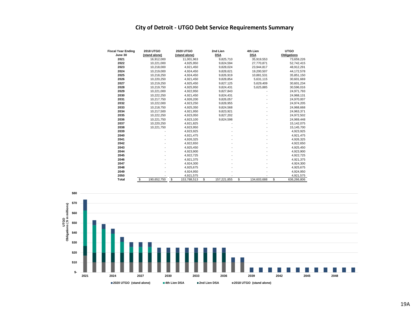### **City of Detroit - UTGO Debt Service Requirements Summary**

| <b>Fiscal Year Ending</b> | <b>2018 UTGO</b>  | <b>2020 UTGO</b>  | 2nd Lien          | 4th Lien          | <b>UTGO</b>        |
|---------------------------|-------------------|-------------------|-------------------|-------------------|--------------------|
| June 30                   | (stand alone)     | (stand alone)     | <b>DSA</b>        | <b>DSA</b>        | <b>Obligations</b> |
| 2021                      | 16,912,000        | 11,001,963        | 9,825,710         | 35,919,553        | 73,659,226         |
| 2022                      | 10,221,000        | 4,925,950         | 9,824,594         | 27,770,871        | 52,742,415         |
| 2023                      | 10,218,000        | 4,921,450         | 9,828,024         | 23,944,817        | 48,912,291         |
| 2024                      | 10.219.000        | 4.924.450         | 9,828,621         | 19,200,507        | 44,172,578         |
| 2025                      | 10,218,250        | 4,924,450         | 9,826,919         | 10,881,531        | 35,851,150         |
| 2026                      | 10.220.250        | 4,921,450         | 9,828,854         | 5,631,115         | 30,601,669         |
| 2027                      | 10,219,250        | 4,925,450         | 9,827,125         | 5,629,409         | 30,601,234         |
| 2028                      | 10,219,750        | 4,925,950         | 9,824,431         | 5,625,885         | 30,596,016         |
| 2029                      | 10,221,000        | 4,922,950         | 9,827,843         |                   | 24,971,793         |
| 2030                      | 10,222,250        | 4,921,450         | 9,824,431         |                   | 24,968,131         |
| 2031                      | 10,217,750        | 4,926,200         | 9,826,057         |                   | 24,970,007         |
| 2032                      | 10,222,000        | 4,923,250         | 9,828,955         |                   | 24,974,205         |
| 2033                      | 10,218,750        | 4,925,350         | 9,824,568         |                   | 24,968,668         |
| 2034                      | 10,217,500        | 4,921,950         | 9,823,921         |                   | 24,963,371         |
| 2035                      | 10,222,250        | 4,923,050         | 9,827,202         |                   | 24,972,502         |
| 2036                      | 10,221,750        | 4,923,100         | 9,824,598         |                   | 24,969,448         |
| 2037                      | 10,220,250        | 4,921,825         |                   |                   | 15,142,075         |
| 2038                      | 10,221,750        | 4,923,950         |                   |                   | 15,145,700         |
| 2039                      |                   | 4,923,925         |                   |                   | 4,923,925          |
| 2040                      |                   | 4,921,475         |                   |                   | 4,921,475          |
| 2041                      |                   | 4,926,325         |                   |                   | 4,926,325          |
| 2042                      |                   | 4,922,650         |                   |                   | 4,922,650          |
| 2043                      |                   | 4,925,450         |                   |                   | 4,925,450          |
| 2044                      |                   | 4,923,900         |                   |                   | 4,923,900          |
| 2045                      |                   | 4,922,725         |                   |                   | 4,922,725          |
| 2046                      |                   | 4,921,375         |                   |                   | 4,921,375          |
| 2047                      |                   | 4,924,300         |                   |                   | 4,924,300          |
| 2048                      |                   | 4,925,675         |                   |                   | 4,925,675          |
| 2049                      |                   | 4,924,950         |                   |                   | 4,924,950          |
| 2050                      |                   | 4,921,575         |                   |                   | 4,921,575          |
| Total                     | \$<br>190.652.750 | \$<br>153,788,513 | \$<br>157,221,855 | \$<br>134,603,688 | \$<br>636,266,806  |